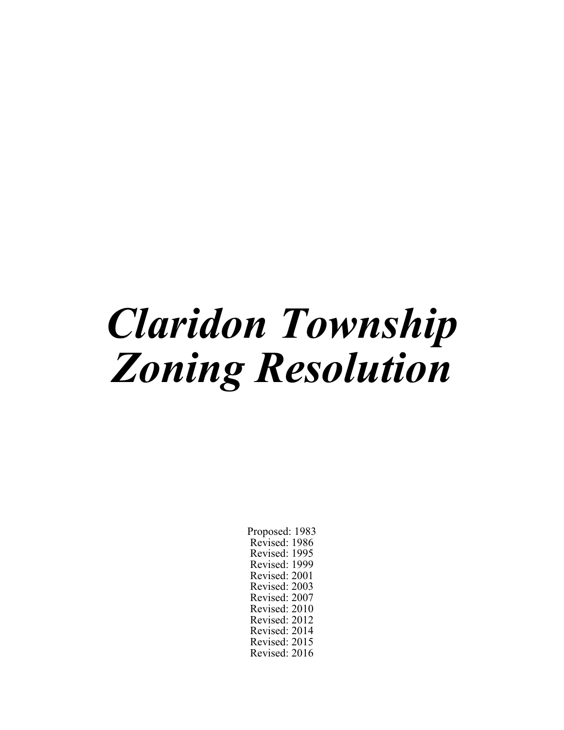# *Claridon Township Zoning Resolution*

Proposed: 1983 Revised: 1986 Revised: 1995 Revised: 1999 Revised: 2001 Revised: 2003 Revised: 2007 Revised: 2010 Revised: 2012 Revised: 2014 Revised: 2015 Revised: 2016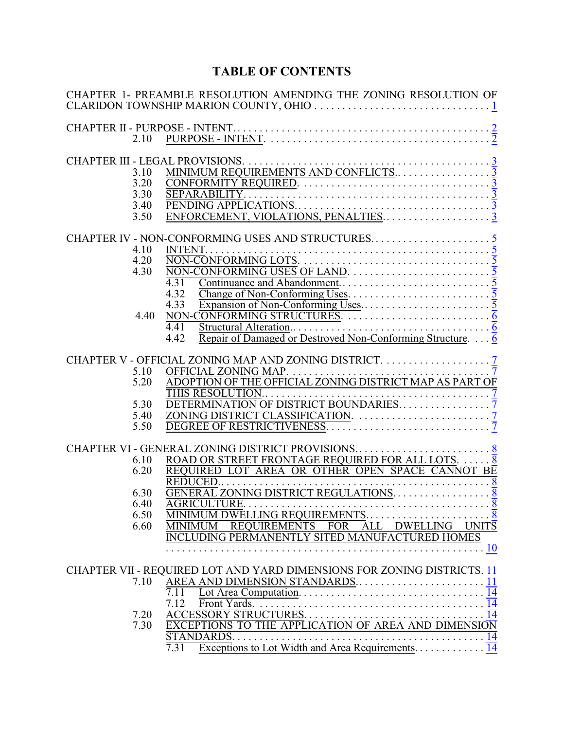# **TABLE OF CONTENTS**

|      | CHAPTER 1- PREAMBLE RESOLUTION AMENDING THE ZONING RESOLUTION OF                      |
|------|---------------------------------------------------------------------------------------|
| 2.10 |                                                                                       |
|      |                                                                                       |
| 3.10 |                                                                                       |
| 3.20 |                                                                                       |
| 3.30 |                                                                                       |
| 3.40 |                                                                                       |
| 3.50 |                                                                                       |
|      | CHAPTER IV - NON-CONFORMING USES AND STRUCTURES                                       |
| 4.10 | INTENT.                                                                               |
| 4.20 |                                                                                       |
| 4.30 | NON-CONFORMING USES OF LAND. $\dots \dots \dots \dots \dots \dots \dots \overline{5}$ |
|      | 4.31                                                                                  |
|      | 4.32                                                                                  |
|      | 4.33                                                                                  |
| 4.40 |                                                                                       |
|      | 4.41                                                                                  |
|      | Repair of Damaged or Destroyed Non-Conforming Structure. $\ldots$ 6<br>4.42           |
|      |                                                                                       |
| 5.10 |                                                                                       |
| 5.20 | OFFICIAL ZONING MAP.<br>ADOPTION OF THE OFFICIAL ZONING DISTRICT MAP AS PART OF       |
|      | THIS RESOLUTION<br>. 7                                                                |
| 5.30 |                                                                                       |
| 5.40 |                                                                                       |
| 5.50 |                                                                                       |
|      |                                                                                       |
|      |                                                                                       |
| 6.10 | ROAD OR STREET FRONTAGE REQUIRED FOR ALL LOTS. $\dots$ .                              |
| 6.20 | REQUIRED LOT AREA OR OTHER OPEN SPACE CANNOT BE<br>REDUCED                            |
| 6.30 |                                                                                       |
| 6.40 |                                                                                       |
| 6.50 |                                                                                       |
| 6.60 | REQUIREMENTS FOR ALL DWELLING UNITS<br>MINIMUM                                        |
|      | INCLUDING PERMANENTLY SITED MANUFACTURED HOMES                                        |
|      |                                                                                       |
|      |                                                                                       |
|      | CHAPTER VII - REQUIRED LOT AND YARD DIMENSIONS FOR ZONING DISTRICTS. 11               |
| 7.10 |                                                                                       |
|      | 7.11                                                                                  |
|      | 7.12                                                                                  |
| 7.20 |                                                                                       |
| 7.30 |                                                                                       |
|      | STANDARDS                                                                             |
|      | 7.31                                                                                  |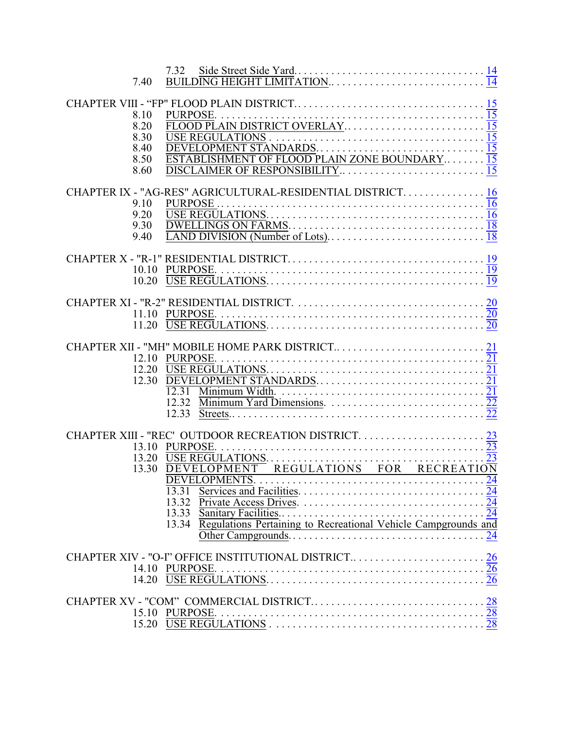| 7.40                                         | 7.32                                                                                                                                                                   |  |
|----------------------------------------------|------------------------------------------------------------------------------------------------------------------------------------------------------------------------|--|
| 8.10<br>8.20<br>8.30<br>8.40<br>8.50<br>8.60 | PURPOSE<br>USE REGULATIONS $\ldots$ $\ldots$ $\ldots$ $\ldots$ $\ldots$ $\ldots$ $\ldots$ $\ldots$ $\ldots$ $\ldots$<br><b>ISHMENT OF FLOOD PLAIN ZONE BOUNDARY 15</b> |  |
| 9.10<br>9.20<br>9.30<br>9.40                 | CHAPTER IX - "AG-RES" AGRICULTURAL-RESIDENTIAL DISTRICT 16                                                                                                             |  |
|                                              |                                                                                                                                                                        |  |
|                                              |                                                                                                                                                                        |  |
| 12.10<br>12.20<br>12.30                      | Minimum Width. $\ldots \ldots \ldots \ldots \ldots \ldots \ldots \ldots \ldots \ldots \ldots \overline{21}$<br>12.31<br>12.32<br>12.33                                 |  |
| 13.20<br>13.30                               | DEVELOPMENT REGULATIONS FOR RECREATION<br>13.34 Regulations Pertaining to Recreational Vehicle Campgrounds and                                                         |  |
|                                              |                                                                                                                                                                        |  |
|                                              |                                                                                                                                                                        |  |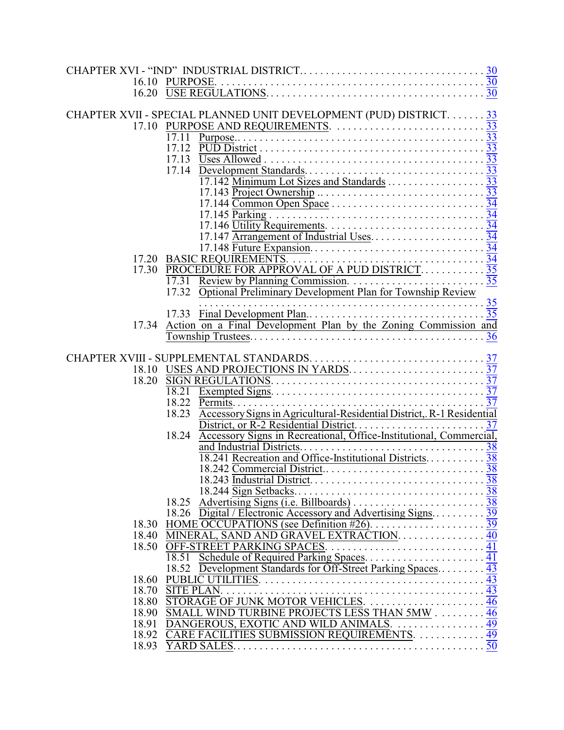|       | CHAPTER XVII - SPECIAL PLANNED UNIT DEVELOPMENT (PUD) DISTRICT33                                                     |  |
|-------|----------------------------------------------------------------------------------------------------------------------|--|
|       |                                                                                                                      |  |
|       | 17.11                                                                                                                |  |
|       |                                                                                                                      |  |
|       |                                                                                                                      |  |
|       |                                                                                                                      |  |
|       |                                                                                                                      |  |
|       |                                                                                                                      |  |
|       |                                                                                                                      |  |
|       |                                                                                                                      |  |
|       |                                                                                                                      |  |
|       |                                                                                                                      |  |
|       |                                                                                                                      |  |
| 17.20 |                                                                                                                      |  |
| 17.30 |                                                                                                                      |  |
|       |                                                                                                                      |  |
|       | 17.32 Optional Preliminary Development Plan for Township Review                                                      |  |
|       |                                                                                                                      |  |
|       |                                                                                                                      |  |
| 17 34 | Action on a Final Development Plan by the Zoning Commission and                                                      |  |
|       |                                                                                                                      |  |
|       |                                                                                                                      |  |
|       |                                                                                                                      |  |
|       |                                                                                                                      |  |
|       | 18.20 SIGN REGULATIONS. $\ldots$ . $\ldots$ . $\ldots$ . $\ldots$ . $\ldots$ . $\ldots$ . $\ldots$ . $\frac{37}{27}$ |  |
|       |                                                                                                                      |  |
|       | 18.23 Accessory Signs in Agricultural-Residential District, R-1 Residential                                          |  |
|       |                                                                                                                      |  |
|       | Accessory Signs in Recreational, Office-Institutional, Commercial,<br>18.24                                          |  |
|       |                                                                                                                      |  |
|       |                                                                                                                      |  |
|       |                                                                                                                      |  |
|       |                                                                                                                      |  |
|       |                                                                                                                      |  |
|       | 18.25                                                                                                                |  |
|       | 18.26 Digital / Electronic Accessory and Advertising Signs 39                                                        |  |
| 18.30 |                                                                                                                      |  |
| 18.40 |                                                                                                                      |  |
| 18.50 |                                                                                                                      |  |
|       |                                                                                                                      |  |
|       |                                                                                                                      |  |
| 18.60 |                                                                                                                      |  |
| 18.70 |                                                                                                                      |  |
| 18.80 |                                                                                                                      |  |
| 18.90 | SMALL WIND TURBINE PROJECTS LESS THAN 5MW $\ldots \ldots \ldots \frac{46}{10}$                                       |  |
| 18.91 | DANGEROUS, EXOTIC AND WILD ANIMALS. 49                                                                               |  |
| 18.92 | CARE FACILITIES SUBMISSION REQUIREMENTS. 49                                                                          |  |
| 18.93 |                                                                                                                      |  |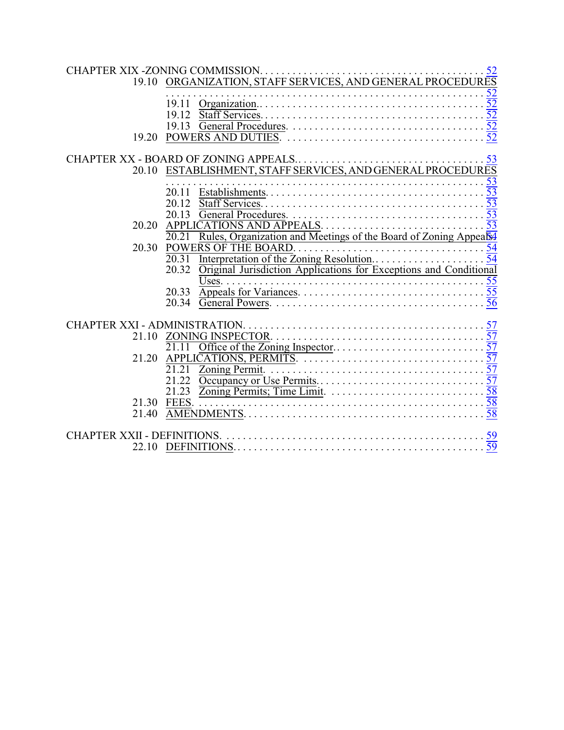| POWERS AND DUTIES. $\frac{52}{52}$<br>19.20                                                              |  |
|----------------------------------------------------------------------------------------------------------|--|
|                                                                                                          |  |
|                                                                                                          |  |
| 20.10 ESTABLISHMENT, STAFF SERVICES, AND GENERAL PROCEDURES                                              |  |
|                                                                                                          |  |
|                                                                                                          |  |
|                                                                                                          |  |
|                                                                                                          |  |
| APPLICATIONS AND APPEALS. $\dots \dots \dots \dots \dots \dots \dots \dots \dots \overline{53}$<br>20.20 |  |
| Rules, Organization and Meetings of the Board of Zoning Appeals4<br>20.21                                |  |
| 20.30                                                                                                    |  |
| 20.31                                                                                                    |  |
| Original Jurisdiction Applications for Exceptions and Conditional<br>20.32                               |  |
|                                                                                                          |  |
| 20.33                                                                                                    |  |
|                                                                                                          |  |
|                                                                                                          |  |
| 21.10                                                                                                    |  |
|                                                                                                          |  |
| 21.20                                                                                                    |  |
|                                                                                                          |  |
|                                                                                                          |  |
| 21.23                                                                                                    |  |
| 21.30 FEES.                                                                                              |  |
| 21.40                                                                                                    |  |
|                                                                                                          |  |
|                                                                                                          |  |
|                                                                                                          |  |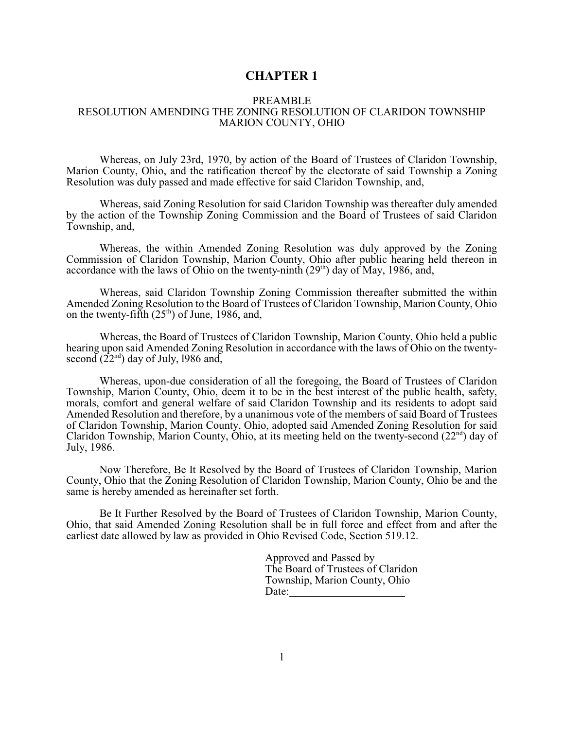# <span id="page-5-0"></span>**CHAPTER 1**

#### PREAMBLE RESOLUTION AMENDING THE ZONING RESOLUTION OF CLARIDON TOWNSHIP MARION COUNTY, OHIO

Whereas, on July 23rd, 1970, by action of the Board of Trustees of Claridon Township, Marion County, Ohio, and the ratification thereof by the electorate of said Township a Zoning Resolution was duly passed and made effective for said Claridon Township, and,

Whereas, said Zoning Resolution for said Claridon Township was thereafter duly amended by the action of the Township Zoning Commission and the Board of Trustees of said Claridon Township, and,

Whereas, the within Amended Zoning Resolution was duly approved by the Zoning Commission of Claridon Township, Marion County, Ohio after public hearing held thereon in accordance with the laws of Ohio on the twenty-ninth  $(29<sup>th</sup>)$  day of May, 1986, and,

Whereas, said Claridon Township Zoning Commission thereafter submitted the within Amended Zoning Resolution to the Board of Trustees of Claridon Township, Marion County, Ohio on the twenty-fifth  $(25<sup>th</sup>)$  of June, 1986, and,

Whereas, the Board of Trustees of Claridon Township, Marion County, Ohio held a public hearing upon said Amended Zoning Resolution in accordance with the laws of Ohio on the twentysecond  $(22<sup>nd</sup>)$  day of July, 1986 and,

Whereas, upon-due consideration of all the foregoing, the Board of Trustees of Claridon Township, Marion County, Ohio, deem it to be in the best interest of the public health, safety, morals, comfort and general welfare of said Claridon Township and its residents to adopt said Amended Resolution and therefore, by a unanimous vote of the members of said Board of Trustees of Claridon Township, Marion County, Ohio, adopted said Amended Zoning Resolution for said Claridon Township, Marion County, Ohio, at its meeting held on the twenty-second  $(22<sup>nd</sup>)$  day of July, 1986.

Now Therefore, Be It Resolved by the Board of Trustees of Claridon Township, Marion County, Ohio that the Zoning Resolution of Claridon Township, Marion County, Ohio be and the same is hereby amended as hereinafter set forth.

Be It Further Resolved by the Board of Trustees of Claridon Township, Marion County, Ohio, that said Amended Zoning Resolution shall be in full force and effect from and after the earliest date allowed by law as provided in Ohio Revised Code, Section 519.12.

> Approved and Passed by The Board of Trustees of Claridon Township, Marion County, Ohio Date: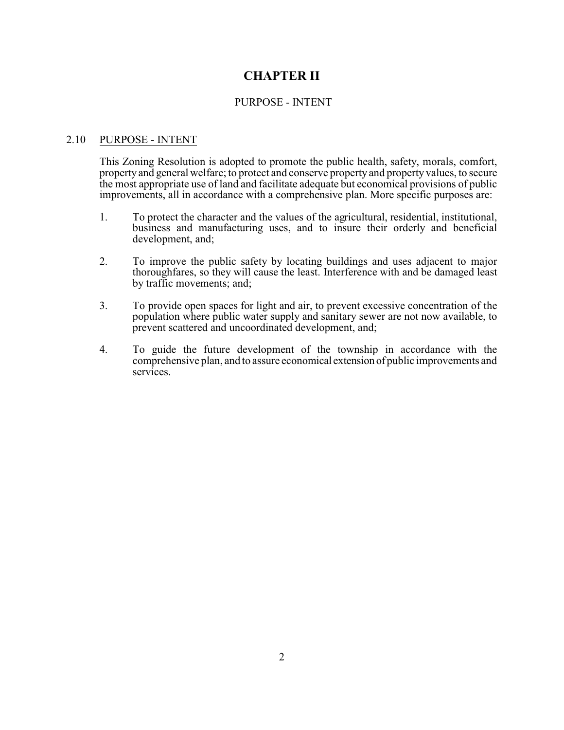# **CHAPTER II**

## <span id="page-6-0"></span>PURPOSE - INTENT

# <span id="page-6-1"></span>2.10 PURPOSE - INTENT

This Zoning Resolution is adopted to promote the public health, safety, morals, comfort, property and general welfare; to protect and conserve property and property values, to secure the most appropriate use of land and facilitate adequate but economical provisions of public improvements, all in accordance with a comprehensive plan. More specific purposes are:

- 1. To protect the character and the values of the agricultural, residential, institutional, business and manufacturing uses, and to insure their orderly and beneficial development, and;
- 2. To improve the public safety by locating buildings and uses adjacent to major thoroughfares, so they will cause the least. Interference with and be damaged least by traffic movements; and;
- 3. To provide open spaces for light and air, to prevent excessive concentration of the population where public water supply and sanitary sewer are not now available, to prevent scattered and uncoordinated development, and;
- 4. To guide the future development of the township in accordance with the comprehensive plan, and to assure economical extension of public improvements and services.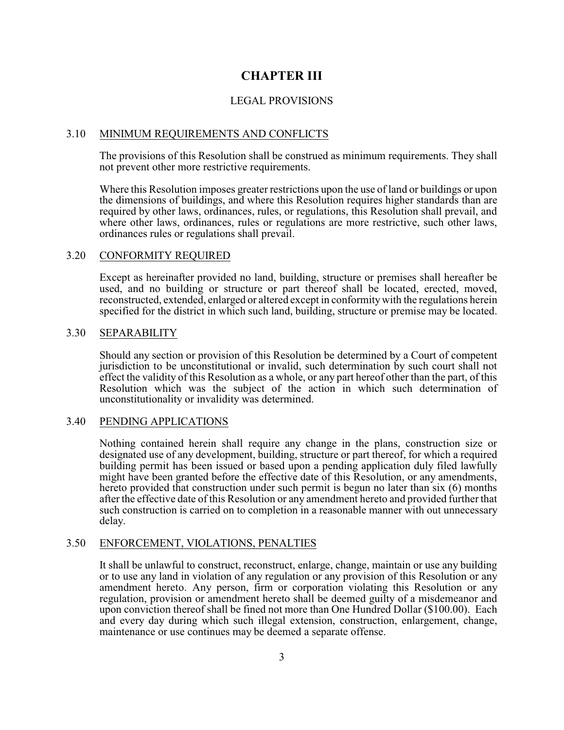# **CHAPTER III**

# <span id="page-7-0"></span>LEGAL PROVISIONS

#### <span id="page-7-1"></span>3.10 MINIMUM REQUIREMENTS AND CONFLICTS

The provisions of this Resolution shall be construed as minimum requirements. They shall not prevent other more restrictive requirements.

Where this Resolution imposes greater restrictions upon the use of land or buildings or upon the dimensions of buildings, and where this Resolution requires higher standards than are required by other laws, ordinances, rules, or regulations, this Resolution shall prevail, and where other laws, ordinances, rules or regulations are more restrictive, such other laws, ordinances rules or regulations shall prevail.

#### <span id="page-7-2"></span>3.20 CONFORMITY REQUIRED

Except as hereinafter provided no land, building, structure or premises shall hereafter be used, and no building or structure or part thereof shall be located, erected, moved, reconstructed, extended, enlarged or altered except in conformitywith the regulations herein specified for the district in which such land, building, structure or premise may be located.

#### <span id="page-7-3"></span>3.30 SEPARABILITY

Should any section or provision of this Resolution be determined by a Court of competent jurisdiction to be unconstitutional or invalid, such determination by such court shall not effect the validity of this Resolution as a whole, or any part hereof other than the part, of this Resolution which was the subject of the action in which such determination of unconstitutionality or invalidity was determined.

#### <span id="page-7-4"></span>3.40 PENDING APPLICATIONS

Nothing contained herein shall require any change in the plans, construction size or designated use of any development, building, structure or part thereof, for which a required building permit has been issued or based upon a pending application duly filed lawfully might have been granted before the effective date of this Resolution, or any amendments, hereto provided that construction under such permit is begun no later than six (6) months after the effective date of this Resolution or any amendment hereto and provided further that such construction is carried on to completion in a reasonable manner with out unnecessary delay.

#### <span id="page-7-5"></span>3.50 ENFORCEMENT, VIOLATIONS, PENALTIES

It shall be unlawful to construct, reconstruct, enlarge, change, maintain or use any building or to use any land in violation of any regulation or any provision of this Resolution or any amendment hereto. Any person, firm or corporation violating this Resolution or any regulation, provision or amendment hereto shall be deemed guilty of a misdemeanor and upon conviction thereof shall be fined not more than One Hundred Dollar (\$100.00). Each and every day during which such illegal extension, construction, enlargement, change, maintenance or use continues may be deemed a separate offense.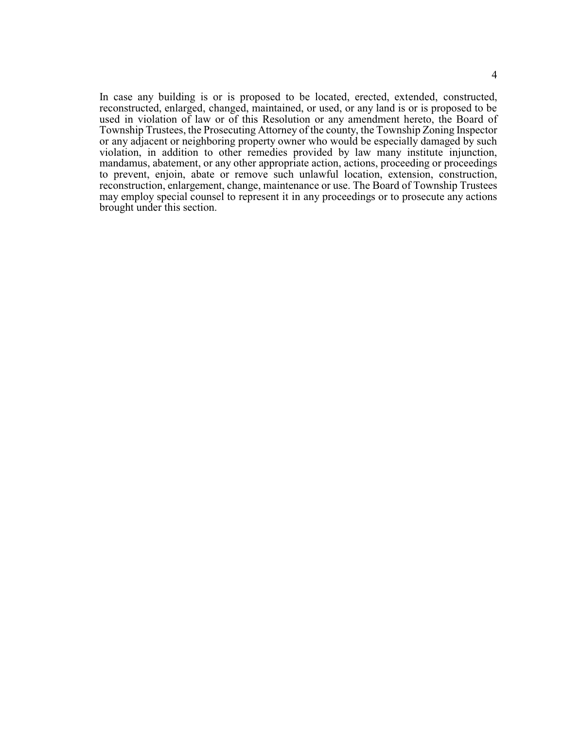In case any building is or is proposed to be located, erected, extended, constructed, reconstructed, enlarged, changed, maintained, or used, or any land is or is proposed to be used in violation of law or of this Resolution or any amendment hereto, the Board of Township Trustees, the Prosecuting Attorney of the county, the Township Zoning Inspector or any adjacent or neighboring property owner who would be especially damaged by such violation, in addition to other remedies provided by law many institute injunction, mandamus, abatement, or any other appropriate action, actions, proceeding or proceedings to prevent, enjoin, abate or remove such unlawful location, extension, construction, reconstruction, enlargement, change, maintenance or use. The Board of Township Trustees may employ special counsel to represent it in any proceedings or to prosecute any actions brought under this section.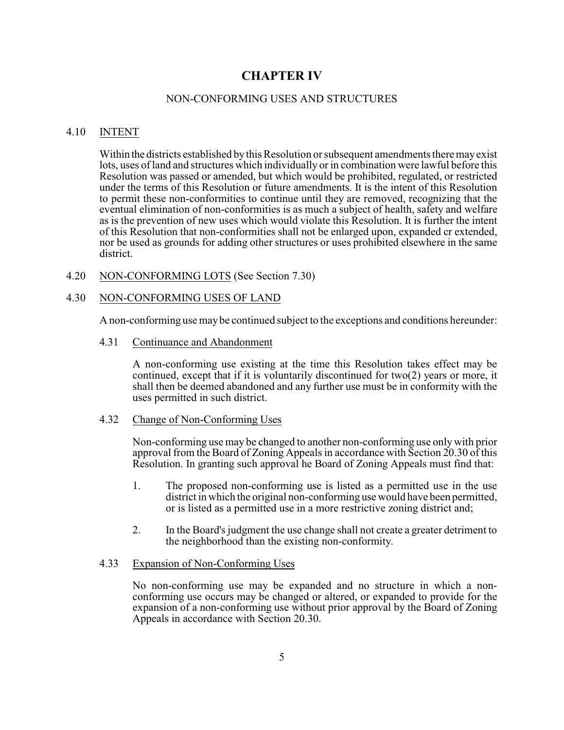# **CHAPTER IV**

## <span id="page-9-0"></span>NON-CONFORMING USES AND STRUCTURES

# <span id="page-9-1"></span>4.10 INTENT

Within the districts established bythis Resolution or subsequent amendments there mayexist lots, uses of land and structures which individually or in combination were lawful before this Resolution was passed or amended, but which would be prohibited, regulated, or restricted under the terms of this Resolution or future amendments. It is the intent of this Resolution to permit these non-conformities to continue until they are removed, recognizing that the eventual elimination of non-conformities is as much a subject of health, safety and welfare as is the prevention of new uses which would violate this Resolution. It is further the intent of this Resolution that non-conformities shall not be enlarged upon, expanded cr extended, nor be used as grounds for adding other structures or uses prohibited elsewhere in the same district.

<span id="page-9-2"></span>4.20 NON-CONFORMING LOTS (See Section 7.30)

#### <span id="page-9-3"></span>4.30 NON-CONFORMING USES OF LAND

A non-conforming use maybe continued subject to the exceptions and conditions hereunder:

<span id="page-9-4"></span>4.31 Continuance and Abandonment

A non-conforming use existing at the time this Resolution takes effect may be continued, except that if it is voluntarily discontinued for two(2) years or more, it shall then be deemed abandoned and any further use must be in conformity with the uses permitted in such district.

#### <span id="page-9-5"></span>4.32 Change of Non-Conforming Uses

Non-conforming use may be changed to another non-conforming use only with prior approval from the Board of Zoning Appeals in accordance with Section 20.30 of this Resolution. In granting such approval he Board of Zoning Appeals must find that:

- 1. The proposed non-conforming use is listed as a permitted use in the use district in which the original non-conforming use would have been permitted, or is listed as a permitted use in a more restrictive zoning district and;
- 2. In the Board's judgment the use change shall not create a greater detriment to the neighborhood than the existing non-conformity.

## <span id="page-9-7"></span><span id="page-9-6"></span>4.33 Expansion of Non-Conforming Uses

No non-conforming use may be expanded and no structure in which a nonconforming use occurs may be changed or altered, or expanded to provide for the expansion of a non-conforming use without prior approval by the Board of Zoning Appeals in accordance with Section 20.30.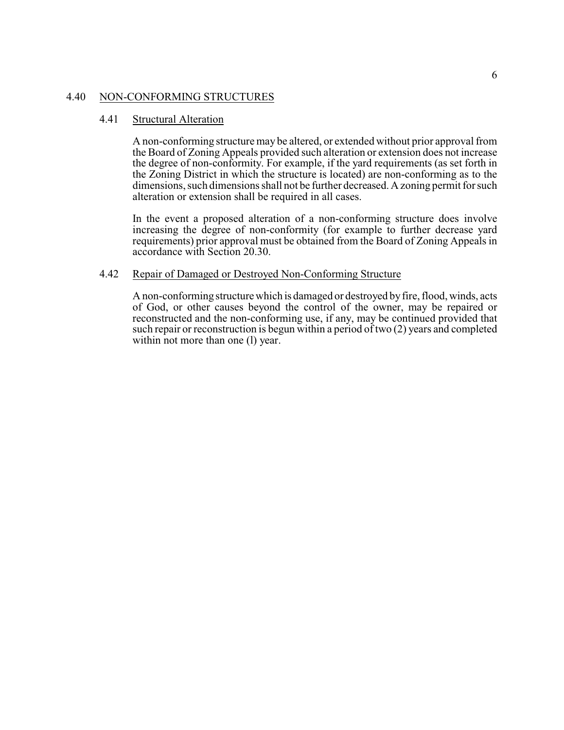#### 4.40 NON-CONFORMING STRUCTURES

#### <span id="page-10-0"></span>4.41 Structural Alteration

A non-conforming structure may be altered, or extended without prior approval from the Board of Zoning Appeals provided such alteration or extension does not increase the degree of non-conformity. For example, if the yard requirements (as set forth in the Zoning District in which the structure is located) are non-conforming as to the dimensions, such dimensions shall not be further decreased. A zoning permit for such alteration or extension shall be required in all cases.

In the event a proposed alteration of a non-conforming structure does involve increasing the degree of non-conformity (for example to further decrease yard requirements) prior approval must be obtained from the Board of Zoning Appeals in accordance with Section 20.30.

#### <span id="page-10-1"></span>4.42 Repair of Damaged or Destroyed Non-Conforming Structure

A non-conforming structure which is damaged or destroyed byfire, flood, winds, acts of God, or other causes beyond the control of the owner, may be repaired or reconstructed and the non-conforming use, if any, may be continued provided that such repair or reconstruction is begun within a period of two (2) years and completed within not more than one (1) year.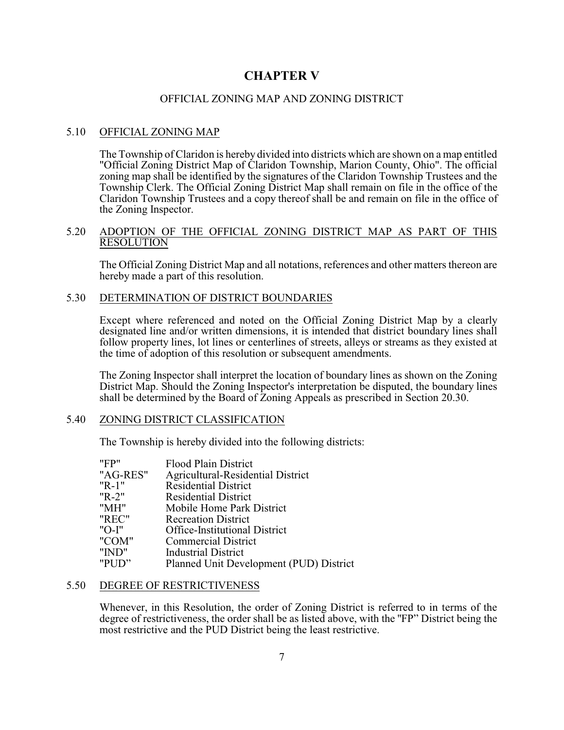# **CHAPTER V**

## <span id="page-11-0"></span>OFFICIAL ZONING MAP AND ZONING DISTRICT

# <span id="page-11-1"></span>5.10 OFFICIAL ZONING MAP

The Township of Claridon is hereby divided into districts which are shown on a map entitled "Official Zoning District Map of Claridon Township, Marion County, Ohio". The official zoning map shall be identified by the signatures of the Claridon Township Trustees and the Township Clerk. The Official Zoning District Map shall remain on file in the office of the Claridon Township Trustees and a copy thereof shall be and remain on file in the office of the Zoning Inspector.

## <span id="page-11-2"></span>5.20 ADOPTION OF THE OFFICIAL ZONING DISTRICT MAP AS PART OF THIS **RESOLUTION**

The Official Zoning District Map and all notations, references and other matters thereon are hereby made a part of this resolution.

## <span id="page-11-3"></span>5.30 DETERMINATION OF DISTRICT BOUNDARIES

Except where referenced and noted on the Official Zoning District Map by a clearly designated line and/or written dimensions, it is intended that district boundary lines shall follow property lines, lot lines or centerlines of streets, alleys or streams as they existed at the time of adoption of this resolution or subsequent amendments.

The Zoning Inspector shall interpret the location of boundary lines as shown on the Zoning District Map. Should the Zoning Inspector's interpretation be disputed, the boundary lines shall be determined by the Board of Zoning Appeals as prescribed in Section 20.30.

#### <span id="page-11-4"></span>5.40 ZONING DISTRICT CLASSIFICATION

The Township is hereby divided into the following districts:

| "FP"      | <b>Flood Plain District</b>             |
|-----------|-----------------------------------------|
| "AG-RES"  | Agricultural-Residential District       |
| $"R-1"$   | <b>Residential District</b>             |
| $"R-2"$   | <b>Residential District</b>             |
| "MH"      | Mobile Home Park District               |
| "REC"     | <b>Recreation District</b>              |
| " $O-I$ " | <b>Office-Institutional District</b>    |
| "COM"     | <b>Commercial District</b>              |
| "IND"     | <b>Industrial District</b>              |
| "PUD"     | Planned Unit Development (PUD) District |
|           |                                         |

#### <span id="page-11-5"></span>5.50 DEGREE OF RESTRICTIVENESS

Whenever, in this Resolution, the order of Zoning District is referred to in terms of the degree of restrictiveness, the order shall be as listed above, with the ''FP" District being the most restrictive and the PUD District being the least restrictive.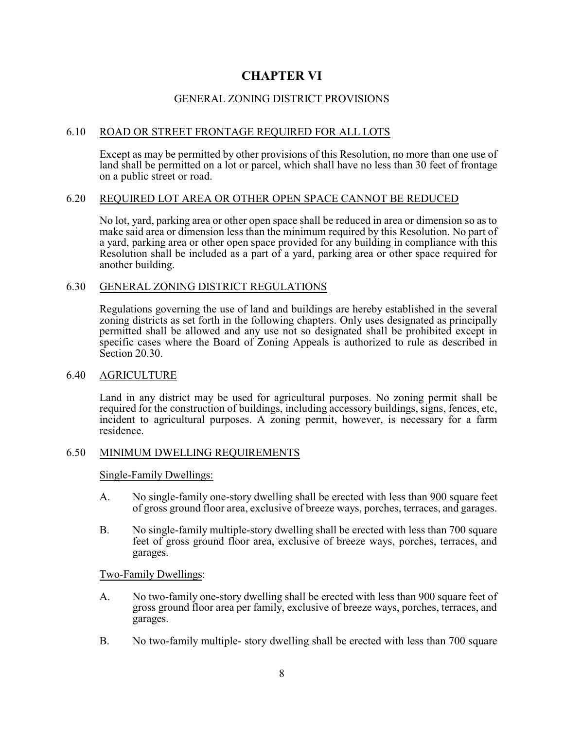# **CHAPTER VI**

# <span id="page-12-0"></span>GENERAL ZONING DISTRICT PROVISIONS

# <span id="page-12-1"></span>6.10 ROAD OR STREET FRONTAGE REQUIRED FOR ALL LOTS

Except as may be permitted by other provisions of this Resolution, no more than one use of land shall be permitted on a lot or parcel, which shall have no less than 30 feet of frontage on a public street or road.

#### <span id="page-12-2"></span>6.20 REQUIRED LOT AREA OR OTHER OPEN SPACE CANNOT BE REDUCED

No lot, yard, parking area or other open space shall be reduced in area or dimension so as to make said area or dimension less than the minimum required by this Resolution. No part of a yard, parking area or other open space provided for any building in compliance with this Resolution shall be included as a part of a yard, parking area or other space required for another building.

#### <span id="page-12-3"></span>6.30 GENERAL ZONING DISTRICT REGULATIONS

Regulations governing the use of land and buildings are hereby established in the several zoning districts as set forth in the following chapters. Only uses designated as principally permitted shall be allowed and any use not so designated shall be prohibited except in specific cases where the Board of Zoning Appeals is authorized to rule as described in Section 20.30.

## <span id="page-12-4"></span>6.40 AGRICULTURE

Land in any district may be used for agricultural purposes. No zoning permit shall be required for the construction of buildings, including accessory buildings, signs, fences, etc, incident to agricultural purposes. A zoning permit, however, is necessary for a farm residence.

#### <span id="page-12-5"></span>6.50 MINIMUM DWELLING REQUIREMENTS

#### Single-Family Dwellings:

- A. No single-family one-story dwelling shall be erected with less than 900 square feet of gross ground floor area, exclusive of breeze ways, porches, terraces, and garages.
- B. No single-family multiple-story dwelling shall be erected with less than 700 square feet of gross ground floor area, exclusive of breeze ways, porches, terraces, and garages.

#### Two-Family Dwellings:

- A. No two-family one-story dwelling shall be erected with less than 900 square feet of gross ground floor area per family, exclusive of breeze ways, porches, terraces, and garages.
- B. No two-family multiple- story dwelling shall be erected with less than 700 square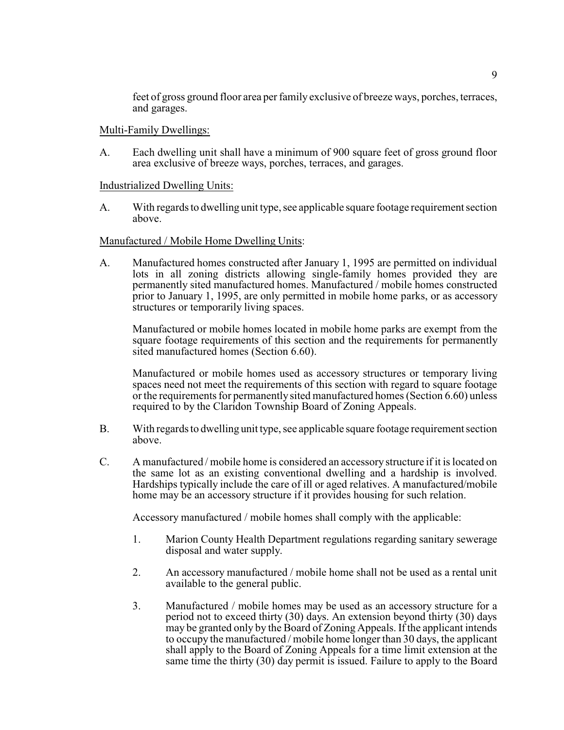feet of gross ground floor area per family exclusive of breeze ways, porches, terraces, and garages.

#### Multi-Family Dwellings:

A. Each dwelling unit shall have a minimum of 900 square feet of gross ground floor area exclusive of breeze ways, porches, terraces, and garages.

#### Industrialized Dwelling Units:

A. With regards to dwelling unit type, see applicable square footage requirement section above.

#### Manufactured / Mobile Home Dwelling Units:

A. Manufactured homes constructed after January 1, 1995 are permitted on individual lots in all zoning districts allowing single-family homes provided they are permanently sited manufactured homes. Manufactured / mobile homes constructed prior to January 1, 1995, are only permitted in mobile home parks, or as accessory structures or temporarily living spaces.

Manufactured or mobile homes located in mobile home parks are exempt from the square footage requirements of this section and the requirements for permanently sited manufactured homes (Section 6.60).

Manufactured or mobile homes used as accessory structures or temporary living spaces need not meet the requirements of this section with regard to square footage or the requirements for permanently sited manufactured homes (Section 6.60) unless required to by the Claridon Township Board of Zoning Appeals.

- B. With regards to dwelling unit type, see applicable square footage requirement section above.
- C. A manufactured / mobile home is considered an accessory structure if it is located on the same lot as an existing conventional dwelling and a hardship is involved. Hardships typically include the care of ill or aged relatives. A manufactured/mobile home may be an accessory structure if it provides housing for such relation.

Accessory manufactured / mobile homes shall comply with the applicable:

- 1. Marion County Health Department regulations regarding sanitary sewerage disposal and water supply.
- 2. An accessory manufactured / mobile home shall not be used as a rental unit available to the general public.
- 3. Manufactured / mobile homes may be used as an accessory structure for a period not to exceed thirty (30) days. An extension beyond thirty (30) days may be granted only by the Board of Zoning Appeals. If the applicant intends to occupy the manufactured / mobile home longer than 30 days, the applicant shall apply to the Board of Zoning Appeals for a time limit extension at the same time the thirty (30) day permit is issued. Failure to apply to the Board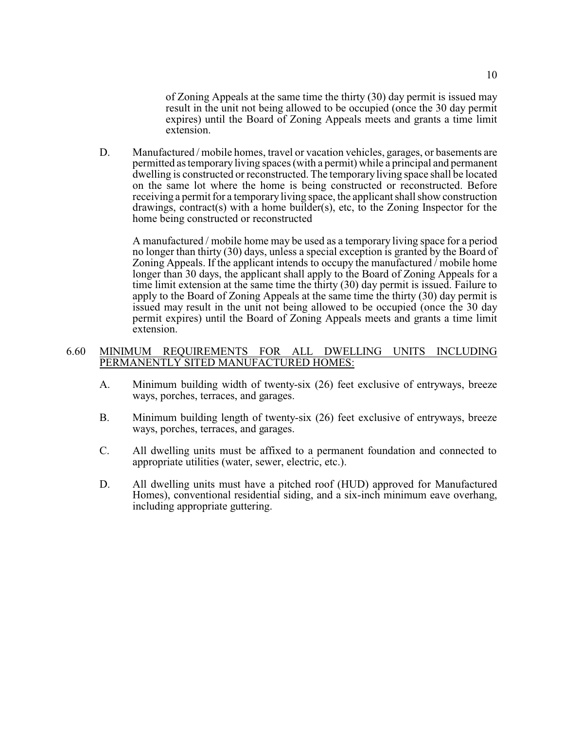of Zoning Appeals at the same time the thirty (30) day permit is issued may result in the unit not being allowed to be occupied (once the 30 day permit expires) until the Board of Zoning Appeals meets and grants a time limit extension.

D. Manufactured / mobile homes, travel or vacation vehicles, garages, or basements are permitted as temporary living spaces (with a permit) while a principal and permanent dwelling is constructed or reconstructed. The temporary living space shall be located on the same lot where the home is being constructed or reconstructed. Before receiving a permit for a temporary living space, the applicant shall show construction drawings, contract(s) with a home builder(s), etc, to the Zoning Inspector for the home being constructed or reconstructed

A manufactured / mobile home may be used as a temporary living space for a period no longer than thirty (30) days, unless a special exception is granted by the Board of Zoning Appeals. If the applicant intends to occupy the manufactured  $\dot{\ell}$  mobile home longer than 30 days, the applicant shall apply to the Board of Zoning Appeals for a time limit extension at the same time the thirty (30) day permit is issued. Failure to apply to the Board of Zoning Appeals at the same time the thirty (30) day permit is issued may result in the unit not being allowed to be occupied (once the 30 day permit expires) until the Board of Zoning Appeals meets and grants a time limit extension.

## <span id="page-14-0"></span>6.60 MINIMUM REQUIREMENTS FOR ALL DWELLING UNITS INCLUDING PERMANENTLY SITED MANUFACTURED HOMES:

- A. Minimum building width of twenty-six (26) feet exclusive of entryways, breeze ways, porches, terraces, and garages.
- B. Minimum building length of twenty-six (26) feet exclusive of entryways, breeze ways, porches, terraces, and garages.
- C. All dwelling units must be affixed to a permanent foundation and connected to appropriate utilities (water, sewer, electric, etc.).
- D. All dwelling units must have a pitched roof (HUD) approved for Manufactured Homes), conventional residential siding, and a six-inch minimum eave overhang, including appropriate guttering.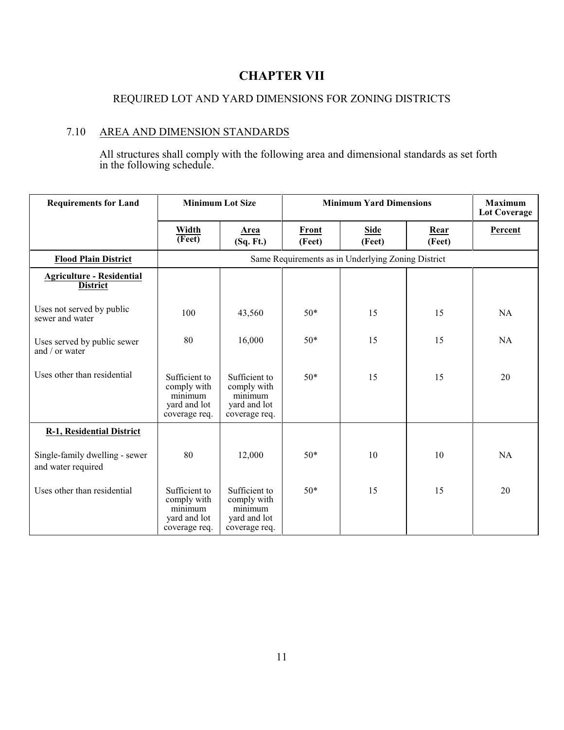# **CHAPTER VII**

# <span id="page-15-0"></span>REQUIRED LOT AND YARD DIMENSIONS FOR ZONING DISTRICTS

# <span id="page-15-1"></span>7.10 AREA AND DIMENSION STANDARDS

All structures shall comply with the following area and dimensional standards as set forth in the following schedule.

| <b>Requirements for Land</b>                         | <b>Minimum Lot Size</b>                                                  |                                                                          | <b>Minimum Yard Dimensions</b> |                                                    |                | <b>Maximum</b><br><b>Lot Coverage</b> |
|------------------------------------------------------|--------------------------------------------------------------------------|--------------------------------------------------------------------------|--------------------------------|----------------------------------------------------|----------------|---------------------------------------|
|                                                      | Width<br>(Fect)                                                          | Area<br>(Sq. Ft.)                                                        | Front<br>(Feet)                | Side<br>(Feet)                                     | Rear<br>(Feet) | Percent                               |
| <b>Flood Plain District</b>                          |                                                                          |                                                                          |                                | Same Requirements as in Underlying Zoning District |                |                                       |
| <b>Agriculture - Residential</b><br><b>District</b>  |                                                                          |                                                                          |                                |                                                    |                |                                       |
| Uses not served by public<br>sewer and water         | 100                                                                      | 43,560                                                                   | $50*$                          | 15                                                 | 15             | <b>NA</b>                             |
| Uses served by public sewer<br>and $/$ or water      | 80                                                                       | 16,000                                                                   | $50*$                          | 15                                                 | 15             | <b>NA</b>                             |
| Uses other than residential                          | Sufficient to<br>comply with<br>minimum<br>yard and lot<br>coverage req. | Sufficient to<br>comply with<br>minimum<br>yard and lot<br>coverage req. | $50*$                          | 15                                                 | 15             | 20                                    |
| <b>R-1, Residential District</b>                     |                                                                          |                                                                          |                                |                                                    |                |                                       |
| Single-family dwelling - sewer<br>and water required | 80                                                                       | 12,000                                                                   | $50*$                          | 10                                                 | 10             | <b>NA</b>                             |
| Uses other than residential                          | Sufficient to<br>comply with<br>minimum<br>yard and lot<br>coverage req. | Sufficient to<br>comply with<br>minimum<br>yard and lot<br>coverage req. | $50*$                          | 15                                                 | 15             | 20                                    |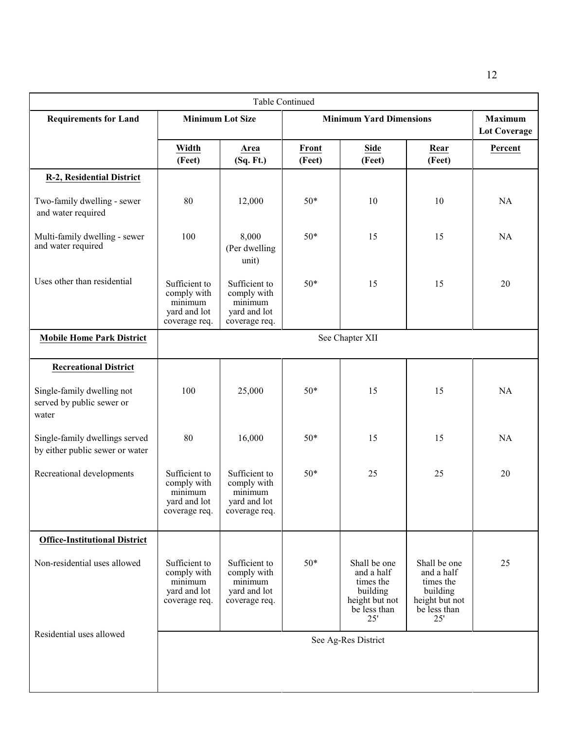| Table Continued                                                   |                                                                          |                                                                          |                        |                                                                                              |                                                                                              |           |
|-------------------------------------------------------------------|--------------------------------------------------------------------------|--------------------------------------------------------------------------|------------------------|----------------------------------------------------------------------------------------------|----------------------------------------------------------------------------------------------|-----------|
| <b>Requirements for Land</b>                                      | <b>Minimum Lot Size</b><br><b>Minimum Yard Dimensions</b>                |                                                                          |                        | <b>Maximum</b><br><b>Lot Coverage</b>                                                        |                                                                                              |           |
|                                                                   | Width<br>(Feet)                                                          | <b>Area</b><br>(Sq. Ft.)                                                 | <b>Front</b><br>(Feet) | <b>Side</b><br>(Feet)                                                                        | Rear<br>(Feet)                                                                               | Percent   |
| R-2, Residential District                                         |                                                                          |                                                                          |                        |                                                                                              |                                                                                              |           |
| Two-family dwelling - sewer<br>and water required                 | 80                                                                       | 12,000                                                                   | $50*$                  | 10                                                                                           | 10                                                                                           | NA        |
| Multi-family dwelling - sewer<br>and water required               | 100                                                                      | 8,000<br>(Per dwelling<br>unit)                                          | $50*$                  | 15                                                                                           | 15                                                                                           | NA        |
| Uses other than residential                                       | Sufficient to<br>comply with<br>minimum<br>yard and lot<br>coverage req. | Sufficient to<br>comply with<br>minimum<br>yard and lot<br>coverage req. | $50*$                  | 15                                                                                           | 15                                                                                           | 20        |
| <b>Mobile Home Park District</b>                                  |                                                                          |                                                                          |                        | See Chapter XII                                                                              |                                                                                              |           |
| <b>Recreational District</b>                                      |                                                                          |                                                                          |                        |                                                                                              |                                                                                              |           |
| Single-family dwelling not<br>served by public sewer or<br>water  | 100                                                                      | 25,000                                                                   | $50*$                  | 15                                                                                           | 15                                                                                           | <b>NA</b> |
| Single-family dwellings served<br>by either public sewer or water | 80                                                                       | 16,000                                                                   | $50*$                  | 15                                                                                           | 15                                                                                           | NA        |
| Recreational developments                                         | Sufficient to<br>comply with<br>minimum<br>yard and lot<br>coverage req. | Sufficient to<br>comply with<br>minimum<br>yard and lot<br>coverage req. | $50*$                  | 25                                                                                           | 25                                                                                           | 20        |
| <b>Office-Institutional District</b>                              |                                                                          |                                                                          |                        |                                                                                              |                                                                                              |           |
| Non-residential uses allowed                                      | Sufficient to<br>comply with<br>minimum<br>yard and lot<br>coverage req. | Sufficient to<br>comply with<br>minimum<br>yard and lot<br>coverage req. | $50*$                  | Shall be one<br>and a half<br>times the<br>building<br>height but not<br>be less than<br>25' | Shall be one<br>and a half<br>times the<br>building<br>height but not<br>be less than<br>25' | 25        |
| Residential uses allowed                                          | See Ag-Res District                                                      |                                                                          |                        |                                                                                              |                                                                                              |           |
|                                                                   |                                                                          |                                                                          |                        |                                                                                              |                                                                                              |           |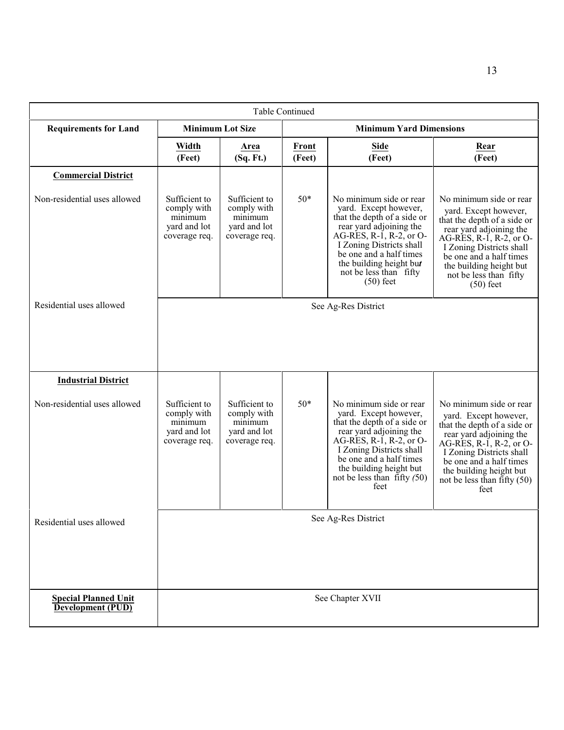| <b>Table Continued</b>                           |                                                                          |                                                                          |                                |                                                                                                                                                                                                                                                                              |                                                                                                                                                                                                                                                                                |  |
|--------------------------------------------------|--------------------------------------------------------------------------|--------------------------------------------------------------------------|--------------------------------|------------------------------------------------------------------------------------------------------------------------------------------------------------------------------------------------------------------------------------------------------------------------------|--------------------------------------------------------------------------------------------------------------------------------------------------------------------------------------------------------------------------------------------------------------------------------|--|
| <b>Requirements for Land</b>                     | <b>Minimum Lot Size</b>                                                  |                                                                          | <b>Minimum Yard Dimensions</b> |                                                                                                                                                                                                                                                                              |                                                                                                                                                                                                                                                                                |  |
|                                                  | Width<br>(Feet)                                                          | Area<br>(Sq. Ft.)                                                        | Front<br>(Feet)                | <b>Side</b><br>(Feet)                                                                                                                                                                                                                                                        | Rear<br>(Feet)                                                                                                                                                                                                                                                                 |  |
| <b>Commercial District</b>                       |                                                                          |                                                                          |                                |                                                                                                                                                                                                                                                                              |                                                                                                                                                                                                                                                                                |  |
| Non-residential uses allowed                     | Sufficient to<br>comply with<br>minimum<br>yard and lot<br>coverage req. | Sufficient to<br>comply with<br>minimum<br>yard and lot<br>coverage req. | $50*$                          | No minimum side or rear<br>yard. Except however,<br>that the depth of a side or<br>rear yard adjoining the<br>AG-RES, $R-1$ , $R-2$ , or O-<br>I Zoning Districts shall<br>be one and a half times<br>the building height but<br>not be less than fifty<br>$(50)$ feet       | No minimum side or rear<br>yard. Except however,<br>that the depth of a side or<br>rear yard adjoining the<br>AG-RES, R-1, R-2, or O-<br>I Zoning Districts shall<br>be one and a half times<br>the building height but<br>not be less than fifty<br>$(50)$ feet               |  |
| Residential uses allowed                         | See Ag-Res District                                                      |                                                                          |                                |                                                                                                                                                                                                                                                                              |                                                                                                                                                                                                                                                                                |  |
| <b>Industrial District</b>                       |                                                                          |                                                                          |                                |                                                                                                                                                                                                                                                                              |                                                                                                                                                                                                                                                                                |  |
| Non-residential uses allowed                     | Sufficient to<br>comply with<br>minimum<br>yard and lot<br>coverage req. | Sufficient to<br>comply with<br>minimum<br>yard and lot<br>coverage req. | $50*$                          | No minimum side or rear<br>yard. Except however,<br>that the depth of a side or<br>rear yard adjoining the<br>AG-RES, $R-1$ , $R-2$ , or O-<br>I Zoning Districts shall<br>be one and a half times<br>the building height but<br>not be less than $\bar{f}$ fty (50)<br>feet | No minimum side or rear<br>yard. Except however,<br>that the depth of a side or<br>rear yard adjoining the<br>AG-RES, $R-I$ , $R-2$ , or O-<br>I Zoning Districts shall<br>be one and a half times<br>the building height but<br>not be less than $\tilde{f}$ fty (50)<br>feet |  |
| Residential uses allowed                         | See Ag-Res District                                                      |                                                                          |                                |                                                                                                                                                                                                                                                                              |                                                                                                                                                                                                                                                                                |  |
|                                                  |                                                                          |                                                                          |                                |                                                                                                                                                                                                                                                                              |                                                                                                                                                                                                                                                                                |  |
| <b>Special Planned Unit</b><br>Development (PUD) |                                                                          |                                                                          |                                | See Chapter XVII                                                                                                                                                                                                                                                             |                                                                                                                                                                                                                                                                                |  |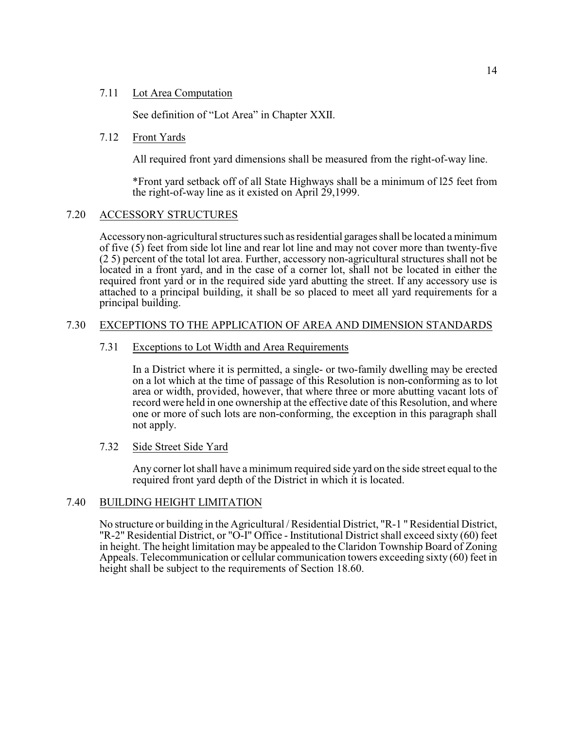#### <span id="page-18-0"></span>7.11 Lot Area Computation

See definition of "Lot Area" in Chapter XXII.

## <span id="page-18-1"></span>7.12 Front Yards

All required front yard dimensions shall be measured from the right-of-way line.

\*Front yard setback off of all State Highways shall be a minimum of l25 feet from the right-of-way line as it existed on April 29,1999.

#### <span id="page-18-2"></span>7.20 ACCESSORY STRUCTURES

Accessorynon-agricultural structures such as residential garages shall be located a minimum of five (5) feet from side lot line and rear lot line and may not cover more than twenty-five (2 5) percent of the total lot area. Further, accessory non-agricultural structures shall not be located in a front yard, and in the case of a corner lot, shall not be located in either the required front yard or in the required side yard abutting the street. If any accessory use is attached to a principal building, it shall be so placed to meet all yard requirements for a principal building.

## <span id="page-18-3"></span>7.30 EXCEPTIONS TO THE APPLICATION OF AREA AND DIMENSION STANDARDS

#### <span id="page-18-4"></span>7.31 Exceptions to Lot Width and Area Requirements

In a District where it is permitted, a single- or two-family dwelling may be erected on a lot which at the time of passage of this Resolution is non-conforming as to lot area or width, provided, however, that where three or more abutting vacant lots of record were held in one ownership at the effective date of this Resolution, and where one or more of such lots are non-conforming, the exception in this paragraph shall not apply.

## <span id="page-18-5"></span>7.32 Side Street Side Yard

Any corner lot shall have a minimum required side yard on the side street equal to the required front yard depth of the District in which it is located.

## <span id="page-18-6"></span>7.40 BUILDING HEIGHT LIMITATION

No structure or building in the Agricultural / Residential District, "R-1 "Residential District, "R-2" Residential District, or "O-I" Office - Institutional District shall exceed sixty (60) feet in height. The height limitation may be appealed to the Claridon Township Board of Zoning Appeals. Telecommunication or cellular communication towers exceeding sixty (60) feet in height shall be subject to the requirements of Section 18.60.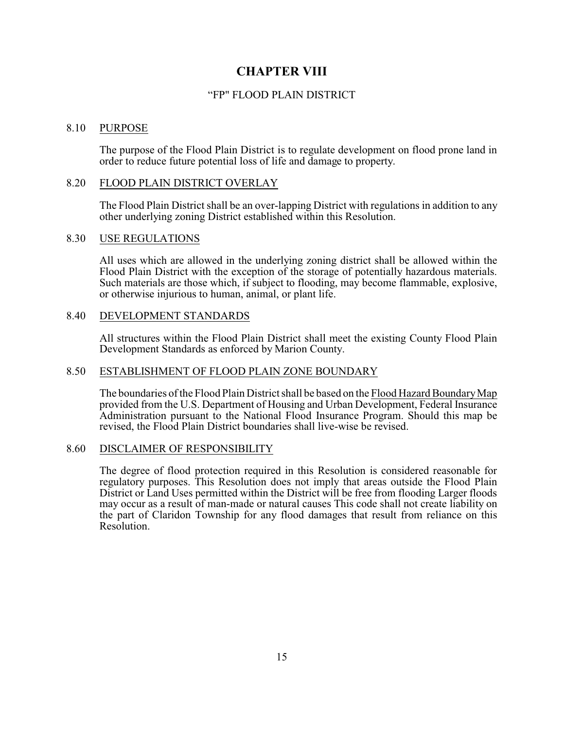# **CHAPTER VIII**

### <span id="page-19-0"></span>"FP" FLOOD PLAIN DISTRICT

#### <span id="page-19-1"></span>8.10 PURPOSE

The purpose of the Flood Plain District is to regulate development on flood prone land in order to reduce future potential loss of life and damage to property.

#### <span id="page-19-2"></span>8.20 FLOOD PLAIN DISTRICT OVERLAY

The Flood Plain District shall be an over-lapping District with regulations in addition to any other underlying zoning District established within this Resolution.

#### <span id="page-19-3"></span>8.30 USE REGULATIONS

All uses which are allowed in the underlying zoning district shall be allowed within the Flood Plain District with the exception of the storage of potentially hazardous materials. Such materials are those which, if subject to flooding, may become flammable, explosive, or otherwise injurious to human, animal, or plant life.

#### <span id="page-19-4"></span>8.40 DEVELOPMENT STANDARDS

All structures within the Flood Plain District shall meet the existing County Flood Plain Development Standards as enforced by Marion County.

#### <span id="page-19-5"></span>8.50 ESTABLISHMENT OF FLOOD PLAIN ZONE BOUNDARY

The boundaries of the Flood Plain District shall be based on the Flood Hazard Boundary Map provided from the U.S. Department of Housing and Urban Development, Federal Insurance Administration pursuant to the National Flood Insurance Program. Should this map be revised, the Flood Plain District boundaries shall live-wise be revised.

#### <span id="page-19-6"></span>8.60 DISCLAIMER OF RESPONSIBILITY

The degree of flood protection required in this Resolution is considered reasonable for regulatory purposes. This Resolution does not imply that areas outside the Flood Plain District or Land Uses permitted within the District will be free from flooding Larger floods may occur as a result of man-made or natural causes This code shall not create liability on the part of Claridon Township for any flood damages that result from reliance on this Resolution.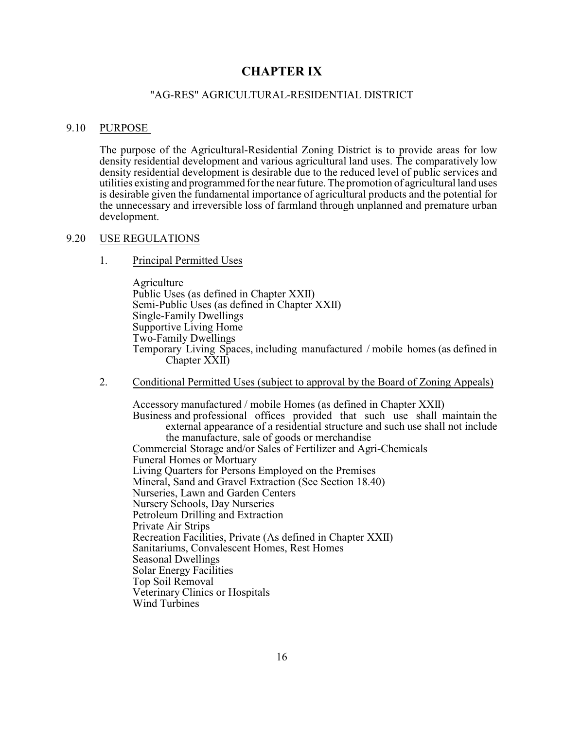# **CHAPTER IX**

#### <span id="page-20-0"></span>"AG-RES" AGRICULTURAL-RESIDENTIAL DISTRICT

#### <span id="page-20-1"></span>9.10 PURPOSE

The purpose of the Agricultural-Residential Zoning District is to provide areas for low density residential development and various agricultural land uses. The comparatively low density residential development is desirable due to the reduced level of public services and utilities existing and programmed for the near future. The promotion of agricultural land uses is desirable given the fundamental importance of agricultural products and the potential for the unnecessary and irreversible loss of farmland through unplanned and premature urban development.

#### <span id="page-20-2"></span>9.20 USE REGULATIONS

#### 1. Principal Permitted Uses

Agriculture Public Uses (as defined in Chapter XXII) Semi-Public Uses (as defined in Chapter XXII) Single-Family Dwellings Supportive Living Home Two-Family Dwellings Temporary Living Spaces, including manufactured / mobile homes (as defined in Chapter XXII)

2. Conditional Permitted Uses (subject to approval by the Board of Zoning Appeals)

Accessory manufactured / mobile Homes (as defined in Chapter XXII) Business and professional offices provided that such use shall maintain the external appearance of a residential structure and such use shall not include the manufacture, sale of goods or merchandise Commercial Storage and/or Sales of Fertilizer and Agri-Chemicals Funeral Homes or Mortuary Living Quarters for Persons Employed on the Premises Mineral, Sand and Gravel Extraction (See Section 18.40) Nurseries, Lawn and Garden Centers Nursery Schools, Day Nurseries Petroleum Drilling and Extraction Private Air Strips Recreation Facilities, Private (As defined in Chapter XXII) Sanitariums, Convalescent Homes, Rest Homes Seasonal Dwellings Solar Energy Facilities Top Soil Removal Veterinary Clinics or Hospitals Wind Turbines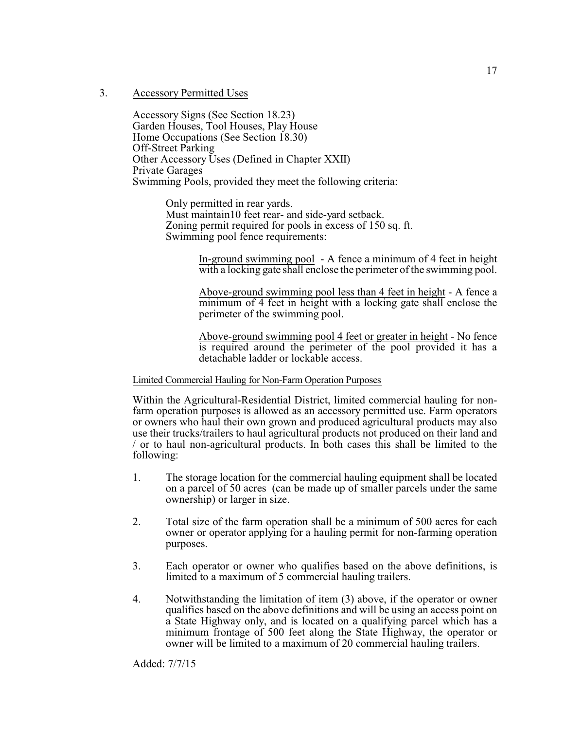3. Accessory Permitted Uses

Accessory Signs (See Section 18.23) Garden Houses, Tool Houses, Play House Home Occupations (See Section 18.30) Off-Street Parking Other Accessory Uses (Defined in Chapter XXII) Private Garages Swimming Pools, provided they meet the following criteria:

> Only permitted in rear yards. Must maintain10 feet rear- and side-yard setback. Zoning permit required for pools in excess of 150 sq. ft. Swimming pool fence requirements:

> > In-ground swimming pool - A fence a minimum of 4 feet in height with a locking gate shall enclose the perimeter of the swimming pool.

> > Above-ground swimming pool less than 4 feet in height - A fence a minimum of 4 feet in height with a locking gate shall enclose the perimeter of the swimming pool.

> > Above-ground swimming pool 4 feet or greater in height - No fence is required around the perimeter of the pool provided it has a detachable ladder or lockable access.

#### Limited Commercial Hauling for Non-Farm Operation Purposes

Within the Agricultural-Residential District, limited commercial hauling for nonfarm operation purposes is allowed as an accessory permitted use. Farm operators or owners who haul their own grown and produced agricultural products may also use their trucks/trailers to haul agricultural products not produced on their land and / or to haul non-agricultural products. In both cases this shall be limited to the following:

- 1. The storage location for the commercial hauling equipment shall be located on a parcel of 50 acres (can be made up of smaller parcels under the same ownership) or larger in size.
- 2. Total size of the farm operation shall be a minimum of 500 acres for each owner or operator applying for a hauling permit for non-farming operation purposes.
- 3. Each operator or owner who qualifies based on the above definitions, is limited to a maximum of 5 commercial hauling trailers.
- 4. Notwithstanding the limitation of item (3) above, if the operator or owner qualifies based on the above definitions and will be using an access point on a State Highway only, and is located on a qualifying parcel which has a minimum frontage of 500 feet along the State Highway, the operator or owner will be limited to a maximum of 20 commercial hauling trailers.

Added: 7/7/15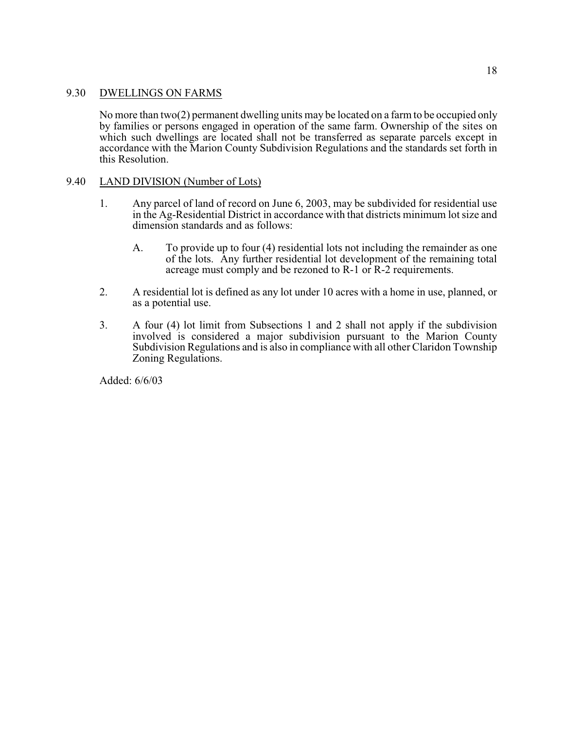## <span id="page-22-0"></span>9.30 DWELLINGS ON FARMS

No more than two(2) permanent dwelling units may be located on a farm to be occupied only by families or persons engaged in operation of the same farm. Ownership of the sites on which such dwellings are located shall not be transferred as separate parcels except in accordance with the Marion County Subdivision Regulations and the standards set forth in this Resolution.

## <span id="page-22-1"></span>9.40 LAND DIVISION (Number of Lots)

- 1. Any parcel of land of record on June 6, 2003, may be subdivided for residential use in the Ag-Residential District in accordance with that districts minimum lot size and dimension standards and as follows:
	- A. To provide up to four (4) residential lots not including the remainder as one of the lots. Any further residential lot development of the remaining total acreage must comply and be rezoned to R-1 or R-2 requirements.
- 2. A residential lot is defined as any lot under 10 acres with a home in use, planned, or as a potential use.
- 3. A four (4) lot limit from Subsections 1 and 2 shall not apply if the subdivision involved is considered a major subdivision pursuant to the Marion County Subdivision Regulations and is also in compliance with all other Claridon Township Zoning Regulations.

Added: 6/6/03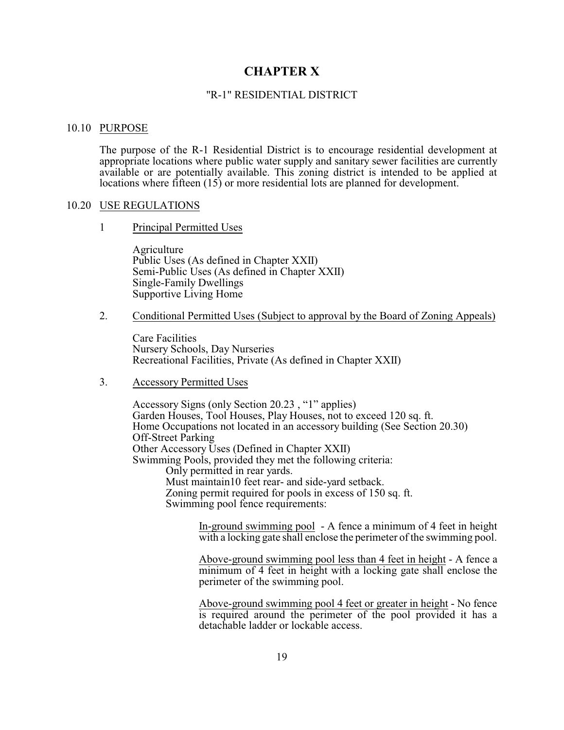# **CHAPTER X**

#### <span id="page-23-0"></span>"R-1" RESIDENTIAL DISTRICT

#### <span id="page-23-1"></span>10.10 PURPOSE

The purpose of the R-1 Residential District is to encourage residential development at appropriate locations where public water supply and sanitary sewer facilities are currently available or are potentially available. This zoning district is intended to be applied at locations where fifteen (15) or more residential lots are planned for development.

#### <span id="page-23-2"></span>10.20 USE REGULATIONS

#### 1 Principal Permitted Uses

Agriculture Public Uses (As defined in Chapter XXII) Semi-Public Uses (As defined in Chapter XXII) Single-Family Dwellings Supportive Living Home

#### 2. Conditional Permitted Uses (Subject to approval by the Board of Zoning Appeals)

Care Facilities Nursery Schools, Day Nurseries Recreational Facilities, Private (As defined in Chapter XXII)

#### 3. Accessory Permitted Uses

Accessory Signs (only Section 20.23 , "1" applies) Garden Houses, Tool Houses, Play Houses, not to exceed 120 sq. ft. Home Occupations not located in an accessory building (See Section 20.30) Off-Street Parking Other Accessory Uses (Defined in Chapter XXII) Swimming Pools, provided they met the following criteria: Only permitted in rear yards. Must maintain10 feet rear- and side-yard setback. Zoning permit required for pools in excess of 150 sq. ft. Swimming pool fence requirements:

> In-ground swimming pool - A fence a minimum of 4 feet in height with a locking gate shall enclose the perimeter of the swimming pool.

> Above-ground swimming pool less than 4 feet in height - A fence a minimum of 4 feet in height with a locking gate shall enclose the perimeter of the swimming pool.

> Above-ground swimming pool 4 feet or greater in height - No fence is required around the perimeter of the pool provided it has a detachable ladder or lockable access.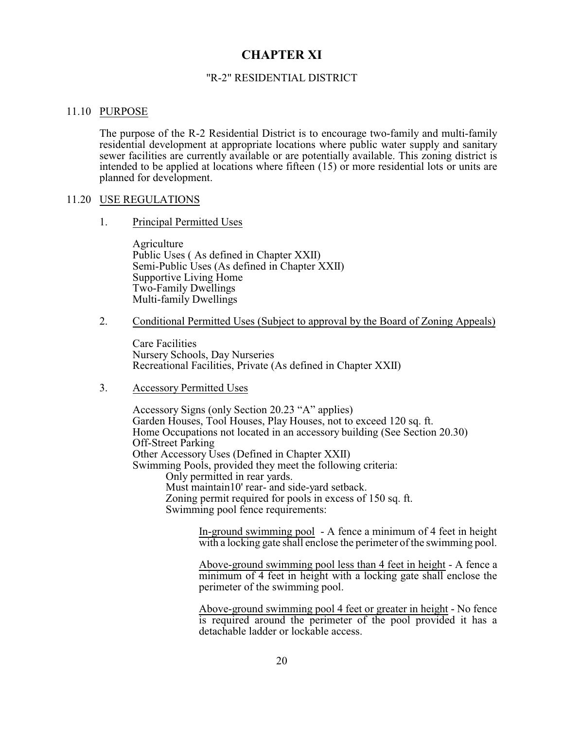# **CHAPTER XI**

## <span id="page-24-0"></span>"R-2" RESIDENTIAL DISTRICT

#### <span id="page-24-1"></span>11.10 PURPOSE

The purpose of the R-2 Residential District is to encourage two-family and multi-family residential development at appropriate locations where public water supply and sanitary sewer facilities are currently available or are potentially available. This zoning district is intended to be applied at locations where fifteen (15) or more residential lots or units are planned for development.

#### <span id="page-24-2"></span>11.20 USE REGULATIONS

#### 1. Principal Permitted Uses

**Agriculture** Public Uses ( As defined in Chapter XXII) Semi-Public Uses (As defined in Chapter XXII) Supportive Living Home Two-Family Dwellings Multi-family Dwellings

# 2. Conditional Permitted Uses (Subject to approval by the Board of Zoning Appeals)

Care Facilities Nursery Schools, Day Nurseries Recreational Facilities, Private (As defined in Chapter XXII)

#### 3. Accessory Permitted Uses

Accessory Signs (only Section 20.23 "A" applies) Garden Houses, Tool Houses, Play Houses, not to exceed 120 sq. ft. Home Occupations not located in an accessory building (See Section 20.30) Off-Street Parking Other Accessory Uses (Defined in Chapter XXII) Swimming Pools, provided they meet the following criteria: Only permitted in rear yards. Must maintain10' rear- and side-yard setback. Zoning permit required for pools in excess of 150 sq. ft. Swimming pool fence requirements:

> In-ground swimming pool - A fence a minimum of 4 feet in height with a locking gate shall enclose the perimeter of the swimming pool.

> Above-ground swimming pool less than 4 feet in height - A fence a minimum of 4 feet in height with a locking gate shall enclose the perimeter of the swimming pool.

> Above-ground swimming pool 4 feet or greater in height - No fence is required around the perimeter of the pool provided it has a detachable ladder or lockable access.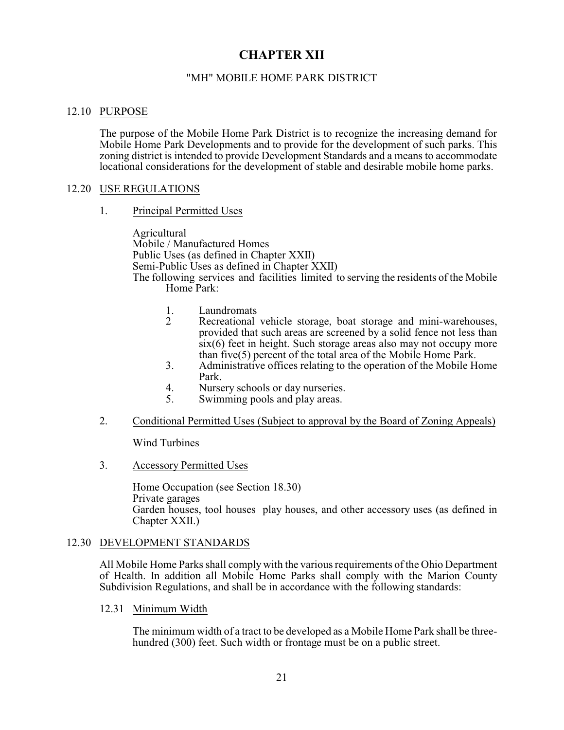# **CHAPTER XII**

# <span id="page-25-0"></span>"MH" MOBILE HOME PARK DISTRICT

# <span id="page-25-1"></span>12.10 PURPOSE

The purpose of the Mobile Home Park District is to recognize the increasing demand for Mobile Home Park Developments and to provide for the development of such parks. This zoning district is intended to provide Development Standards and a means to accommodate locational considerations for the development of stable and desirable mobile home parks.

## <span id="page-25-2"></span>12.20 USE REGULATIONS

1. Principal Permitted Uses

Agricultural Mobile / Manufactured Homes Public Uses (as defined in Chapter XXII) Semi-Public Uses as defined in Chapter XXII) The following services and facilities limited to serving the residents of the Mobile Home Park:

- 1. Laundromats<br>2 Recreational
- Recreational vehicle storage, boat storage and mini-warehouses, provided that such areas are screened by a solid fence not less than six(6) feet in height. Such storage areas also may not occupy more than five(5) percent of the total area of the Mobile Home Park.
- 3. Administrative offices relating to the operation of the Mobile Home Park.
- 4. Nursery schools or day nurseries.<br>5. Swimming pools and play areas.
- Swimming pools and play areas.

### 2. Conditional Permitted Uses (Subject to approval by the Board of Zoning Appeals)

Wind Turbines

3. Accessory Permitted Uses

Home Occupation (see Section 18.30) Private garages Garden houses, tool houses play houses, and other accessory uses (as defined in Chapter XXII.)

#### <span id="page-25-3"></span>12.30 DEVELOPMENT STANDARDS

All Mobile Home Parks shall comply with the various requirements of the Ohio Department of Health. In addition all Mobile Home Parks shall comply with the Marion County Subdivision Regulations, and shall be in accordance with the following standards:

<span id="page-25-4"></span>12.31 Minimum Width

The minimum width of a tract to be developed as a Mobile Home Park shall be threehundred (300) feet. Such width or frontage must be on a public street.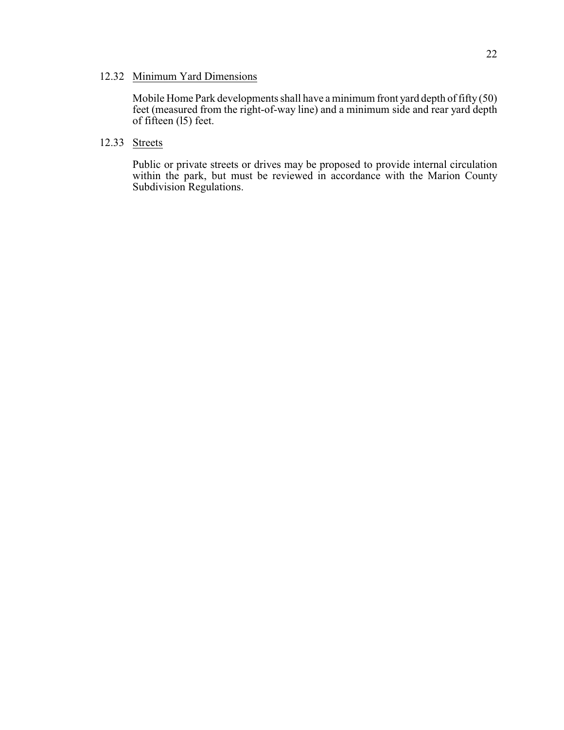#### <span id="page-26-0"></span>12.32 Minimum Yard Dimensions

Mobile Home Park developments shall have a minimum front yard depth of fifty (50) feet (measured from the right-of-way line) and a minimum side and rear yard depth of fifteen (l5) feet.

# <span id="page-26-1"></span>12.33 Streets

Public or private streets or drives may be proposed to provide internal circulation within the park, but must be reviewed in accordance with the Marion County Subdivision Regulations.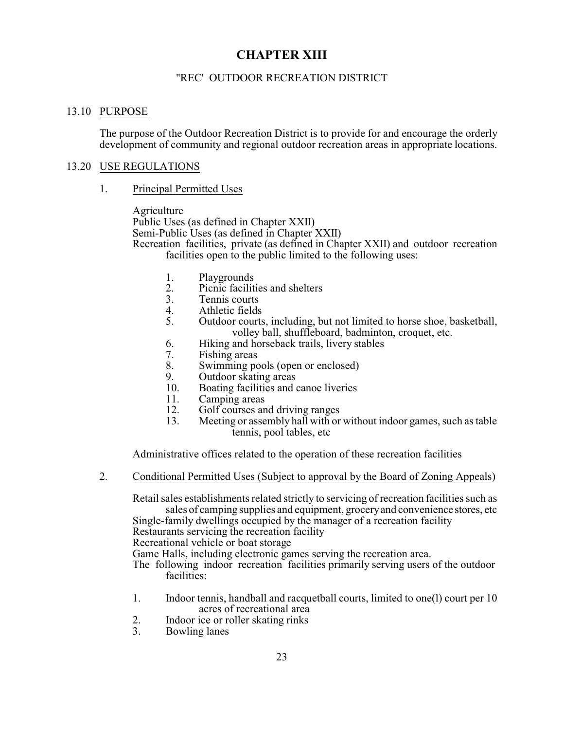# **CHAPTER XIII**

# <span id="page-27-0"></span>"REC' OUTDOOR RECREATION DISTRICT

# <span id="page-27-1"></span>13.10 PURPOSE

The purpose of the Outdoor Recreation District is to provide for and encourage the orderly development of community and regional outdoor recreation areas in appropriate locations.

## <span id="page-27-2"></span>13.20 USE REGULATIONS

#### 1. Principal Permitted Uses

Agriculture Public Uses (as defined in Chapter XXII) Semi-Public Uses (as defined in Chapter XXII) Recreation facilities, private (as defined in Chapter XXII) and outdoor recreation facilities open to the public limited to the following uses:

- 1. Playgrounds<br>2. Picnic facilit
- 2. Picnic facilities and shelters<br>3. Tennis courts
- 3. Tennis courts<br>4. Athletic fields
- 4. Athletic fields<br>5. Outdoor courts
- 5. Outdoor courts, including, but not limited to horse shoe, basketball, volley ball, shuffleboard, badminton, croquet, etc.
- 6. Hiking and horseback trails, livery stables
- 7. Fishing areas
- 8. Swimming pools (open or enclosed)<br>9. Outdoor skating areas
- 9. Outdoor skating areas<br>10. Boating facilities and of
- 10. Boating facilities and canoe liveries
- 11. Camping areas<br>12. Golf courses an
- 12. Golf courses and driving ranges<br>13. Meeting or assembly hall with or
	- Meeting or assembly hall with or without indoor games, such as table tennis, pool tables, etc

Administrative offices related to the operation of these recreation facilities

2. Conditional Permitted Uses (Subject to approval by the Board of Zoning Appeals)

Retail sales establishments related strictly to servicing of recreation facilities such as sales of camping supplies and equipment, groceryand convenience stores, etc Single-family dwellings occupied by the manager of a recreation facility

Restaurants servicing the recreation facility

Recreational vehicle or boat storage

Game Halls, including electronic games serving the recreation area.

The following indoor recreation facilities primarily serving users of the outdoor facilities:

- 1. Indoor tennis, handball and racquetball courts, limited to one(l) court per 10 acres of recreational area
- 2. Indoor ice or roller skating rinks<br>3. Bowling lanes
- Bowling lanes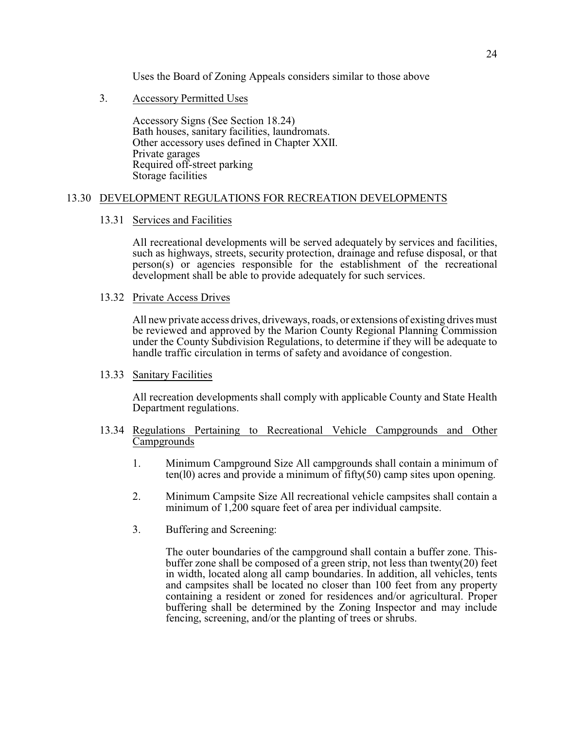Uses the Board of Zoning Appeals considers similar to those above

3. Accessory Permitted Uses

Accessory Signs (See Section 18.24) Bath houses, sanitary facilities, laundromats. Other accessory uses defined in Chapter XXII. Private garages Required off-street parking Storage facilities

## <span id="page-28-0"></span>13.30 DEVELOPMENT REGULATIONS FOR RECREATION DEVELOPMENTS

## <span id="page-28-1"></span>13.31 Services and Facilities

All recreational developments will be served adequately by services and facilities, such as highways, streets, security protection, drainage and refuse disposal, or that person(s) or agencies responsible for the establishment of the recreational development shall be able to provide adequately for such services.

<span id="page-28-2"></span>13.32 Private Access Drives

All new private access drives, driveways, roads, or extensions of existing drives must be reviewed and approved by the Marion County Regional Planning Commission under the County Subdivision Regulations, to determine if they will be adequate to handle traffic circulation in terms of safety and avoidance of congestion.

#### <span id="page-28-3"></span>13.33 Sanitary Facilities

All recreation developments shall comply with applicable County and State Health Department regulations.

- <span id="page-28-4"></span>13.34 Regulations Pertaining to Recreational Vehicle Campgrounds and Other Campgrounds
	- 1. Minimum Campground Size All campgrounds shall contain a minimum of ten(l0) acres and provide a minimum of fifty(50) camp sites upon opening.
	- 2. Minimum Campsite Size All recreational vehicle campsites shall contain a minimum of 1,200 square feet of area per individual campsite.
	- 3. Buffering and Screening:

The outer boundaries of the campground shall contain a buffer zone. Thisbuffer zone shall be composed of a green strip, not less than twenty(20) feet in width, located along all camp boundaries. In addition, all vehicles, tents and campsites shall be located no closer than 100 feet from any property containing a resident or zoned for residences and/or agricultural. Proper buffering shall be determined by the Zoning Inspector and may include fencing, screening, and/or the planting of trees or shrubs.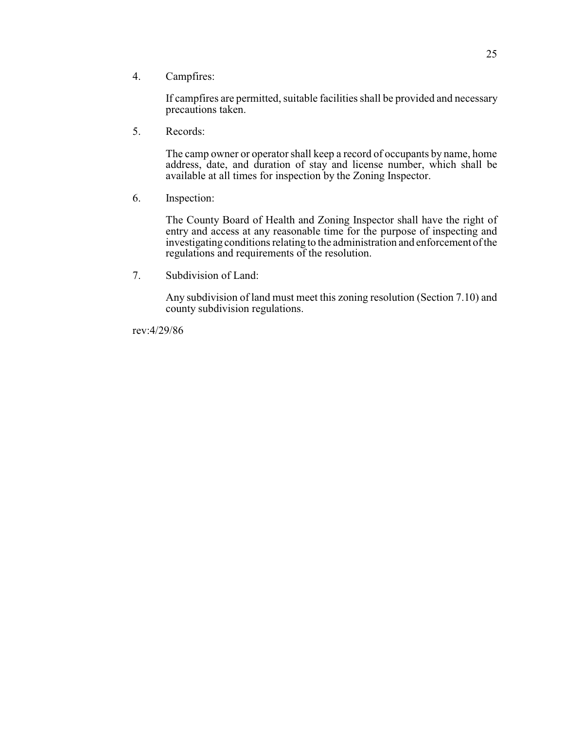4. Campfires:

If campfires are permitted, suitable facilities shall be provided and necessary precautions taken.

5. Records:

The camp owner or operator shall keep a record of occupants by name, home address, date, and duration of stay and license number, which shall be available at all times for inspection by the Zoning Inspector.

6. Inspection:

The County Board of Health and Zoning Inspector shall have the right of entry and access at any reasonable time for the purpose of inspecting and investigating conditions relating to the administration and enforcement of the regulations and requirements of the resolution.

7. Subdivision of Land:

Any subdivision of land must meet this zoning resolution (Section 7.10) and county subdivision regulations.

rev:4/29/86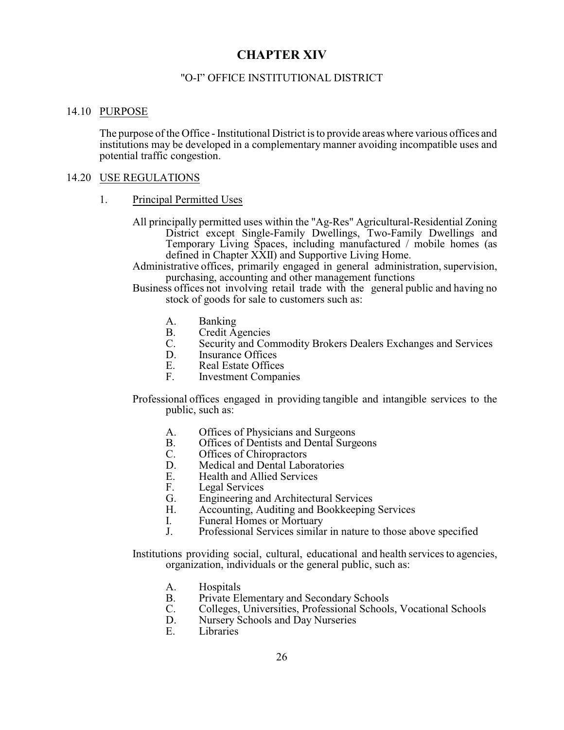# **CHAPTER XIV**

# <span id="page-30-0"></span>"O-I" OFFICE INSTITUTIONAL DISTRICT

# <span id="page-30-1"></span>14.10 PURPOSE

The purpose of the Office - Institutional District is to provide areas where various offices and institutions may be developed in a complementary manner avoiding incompatible uses and potential traffic congestion.

## <span id="page-30-2"></span>14.20 USE REGULATIONS

#### 1. Principal Permitted Uses

- All principally permitted uses within the "Ag-Res" Agricultural-Residential Zoning District except Single-Family Dwellings, Two-Family Dwellings and Temporary Living Spaces, including manufactured / mobile homes (as defined in Chapter XXII) and Supportive Living Home.
- Administrative offices, primarily engaged in general administration, supervision, purchasing, accounting and other management functions

Business offices not involving retail trade with the general public and having no stock of goods for sale to customers such as:

- A. Banking<br>B. Credit As
- B. Credit Agencies<br>C. Security and Cor
- C. Security and Commodity Brokers Dealers Exchanges and Services
- D. Insurance Offices<br>E. Real Estate Office
- E. Real Estate Offices<br>F. Investment Compar
- **Investment Companies**
- Professional offices engaged in providing tangible and intangible services to the public, such as:
	- A. Offices of Physicians and Surgeons<br>B. Offices of Dentists and Dental Surg
	- B. Offices of Dentists and Dental Surgeons<br>C. Offices of Chiropractors
	- C. Offices of Chiropractors<br>D. Medical and Dental Labo
	- D. Medical and Dental Laboratories<br>E. Health and Allied Services
	- E. Health and Allied Services<br>F. Legal Services
	- F. Legal Services<br>G. Engineering an
	- G. Engineering and Architectural Services<br>H. Accounting, Auditing and Bookkeeping
	- H. Accounting, Auditing and Bookkeeping Services
	- I. Funeral Homes or Mortuary<br>I. Professional Services similary
	- Professional Services similar in nature to those above specified
- Institutions providing social, cultural, educational and health services to agencies, organization, individuals or the general public, such as:
	- A. Hospitals<br>B. Private El
	- B. Private Elementary and Secondary Schools<br>C. Colleges, Universities, Professional Schools
	- C. Colleges, Universities, Professional Schools, Vocational Schools
	- D. Nursery Schools and Day Nurseries<br>E. Libraries
	- E. Libraries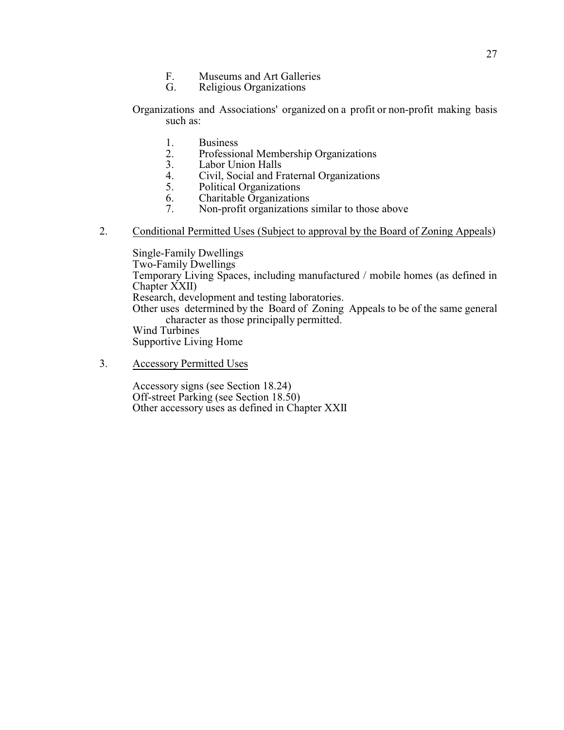- F. Museums and Art Galleries<br>G. Religious Organizations
- Religious Organizations
- Organizations and Associations' organized on a profit or non-profit making basis such as:
	- 1. Business<br>2. Professio
	- 2. Professional Membership Organizations<br>3. Labor Union Halls
	- 3. Labor Union Halls<br>4. Civil, Social and Fi
	- 4. Civil, Social and Fraternal Organizations<br>5. Political Organizations
	- 5. Political Organizations<br>6. Charitable Organization
	- 6. Charitable Organizations<br>7. Non-profit organizations
	- Non-profit organizations similar to those above
- 2. Conditional Permitted Uses (Subject to approval by the Board of Zoning Appeals)

Single-Family Dwellings Two-Family Dwellings Temporary Living Spaces, including manufactured / mobile homes (as defined in Chapter XXII) Research, development and testing laboratories. Other uses determined by the Board of Zoning Appeals to be of the same general character as those principally permitted. Wind Turbines Supportive Living Home

3. Accessory Permitted Uses

Accessory signs (see Section 18.24) Off-street Parking (see Section 18.50) Other accessory uses as defined in Chapter XXII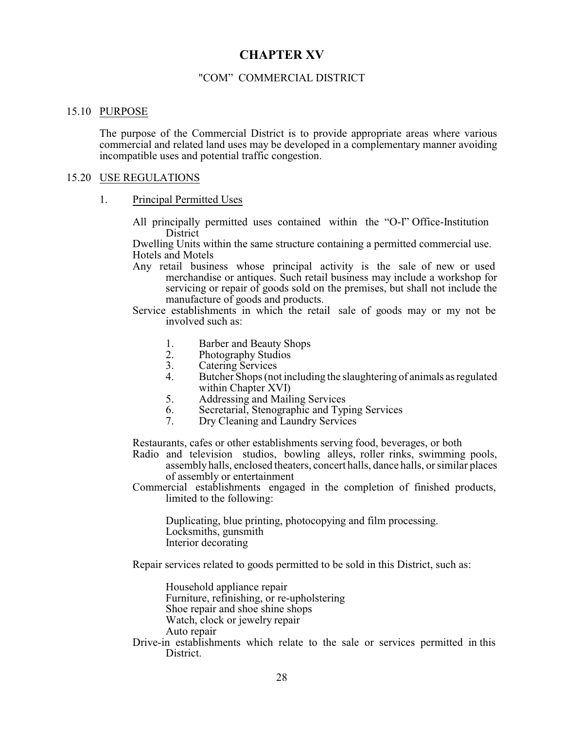# **CHAPTER XV**

# <span id="page-32-0"></span>"COM" COMMERCIAL DISTRICT

#### <span id="page-32-1"></span>15.10 PURPOSE

The purpose of the Commercial District is to provide appropriate areas where various commercial and related land uses may be developed in a complementary manner avoiding incompatible uses and potential traffic congestion.

#### <span id="page-32-2"></span>15.20 USE REGULATIONS

#### 1. Principal Permitted Uses

All principally permitted uses contained within the "O-I" Office-Institution **District** 

Dwelling Units within the same structure containing a permitted commercial use. Hotels and Motels

Any retail business whose principal activity is the sale of new or used merchandise or antiques. Such retail business may include a workshop for servicing or repair of goods sold on the premises, but shall not include the manufacture of goods and products.

Service establishments in which the retail sale of goods may or my not be involved such as:

- 1. Barber and Beauty Shops<br>2. Photography Studios
- 2. Photography Studios<br>3. Catering Services
- 3. Catering Services<br>4. Butcher Shops (no
- Butcher Shops (not including the slaughtering of animals as regulated within Chapter XVI)
- 5. Addressing and Mailing Services<br>6. Secretarial, Stenographic and Typ
- 6. Secretarial, Stenographic and Typing Services<br>7. Drv Cleaning and Laundry Services
- Dry Cleaning and Laundry Services

Restaurants, cafes or other establishments serving food, beverages, or both

Radio and television studios, bowling alleys, roller rinks, swimming pools, assembly halls, enclosed theaters, concert halls, dance halls, or similar places of assembly or entertainment

Commercial establishments engaged in the completion of finished products, limited to the following:

Duplicating, blue printing, photocopying and film processing. Locksmiths, gunsmith Interior decorating

Repair services related to goods permitted to be sold in this District, such as:

Household appliance repair Furniture, refinishing, or re-upholstering Shoe repair and shoe shine shops Watch, clock or jewelry repair Auto repair

Drive-in establishments which relate to the sale or services permitted in this District.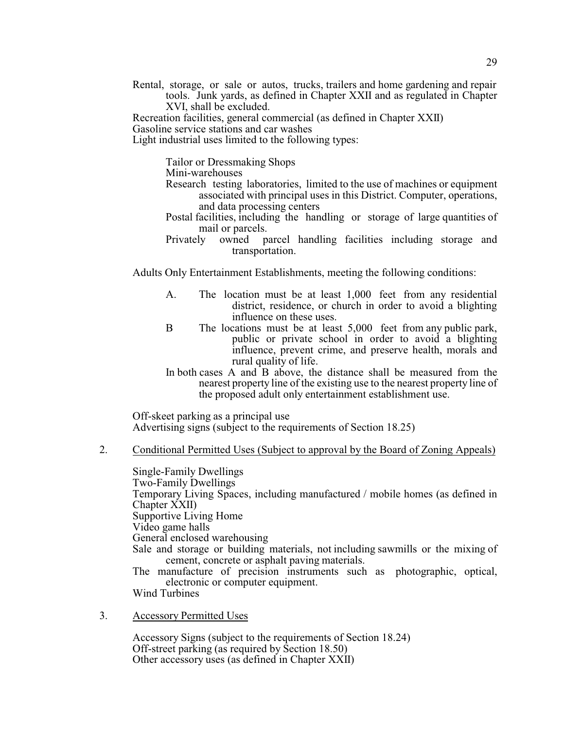Rental, storage, or sale or autos, trucks, trailers and home gardening and repair tools. Junk yards, as defined in Chapter XXII and as regulated in Chapter XVI, shall be excluded.

Recreation facilities, general commercial (as defined in Chapter XXII)

Gasoline service stations and car washes

Light industrial uses limited to the following types:

Tailor or Dressmaking Shops

Mini-warehouses

- Research testing laboratories, limited to the use of machines or equipment associated with principal uses in this District. Computer, operations, and data processing centers
- Postal facilities, including the handling or storage of large quantities of mail or parcels.
- Privately owned parcel handling facilities including storage and transportation.

Adults Only Entertainment Establishments, meeting the following conditions:

- A. The location must be at least 1,000 feet from any residential district, residence, or church in order to avoid a blighting influence on these uses.
- B The locations must be at least 5,000 feet from any public park, public or private school in order to avoid a blighting influence, prevent crime, and preserve health, morals and rural quality of life.
- In both cases A and B above, the distance shall be measured from the nearest property line of the existing use to the nearest property line of the proposed adult only entertainment establishment use.

Off-skeet parking as a principal use Advertising signs (subject to the requirements of Section 18.25)

2. Conditional Permitted Uses (Subject to approval by the Board of Zoning Appeals)

Single-Family Dwellings Two-Family Dwellings Temporary Living Spaces, including manufactured / mobile homes (as defined in Chapter XXII) Supportive Living Home Video game halls General enclosed warehousing Sale and storage or building materials, not including sawmills or the mixing of cement, concrete or asphalt paving materials. The manufacture of precision instruments such as photographic, optical, electronic or computer equipment. Wind Turbines

3. Accessory Permitted Uses

Accessory Signs (subject to the requirements of Section 18.24) Off-street parking (as required by Section 18.50) Other accessory uses (as defined in Chapter XXII)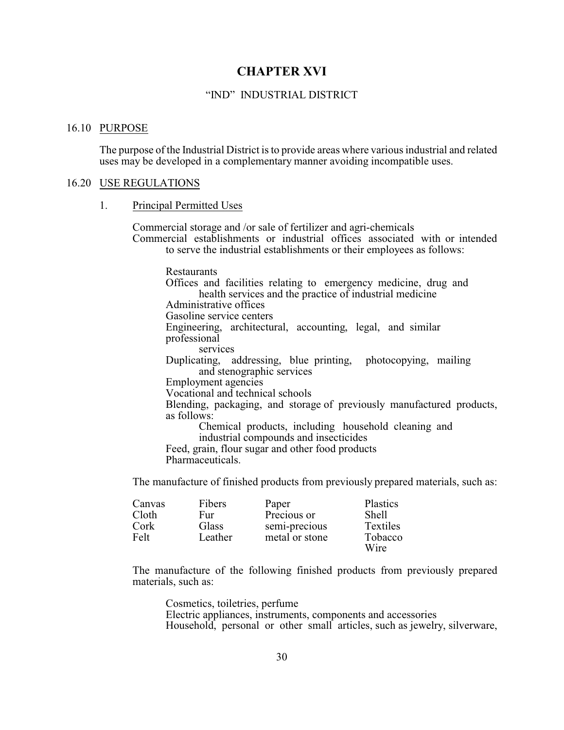# **CHAPTER XVI**

#### <span id="page-34-0"></span>"IND" INDUSTRIAL DISTRICT

#### <span id="page-34-1"></span>16.10 PURPOSE

The purpose of the Industrial District is to provide areas where various industrial and related uses may be developed in a complementary manner avoiding incompatible uses.

#### <span id="page-34-2"></span>16.20 USE REGULATIONS

#### 1. Principal Permitted Uses

Commercial storage and /or sale of fertilizer and agri-chemicals Commercial establishments or industrial offices associated with or intended to serve the industrial establishments or their employees as follows:

Restaurants Offices and facilities relating to emergency medicine, drug and health services and the practice of industrial medicine Administrative offices Gasoline service centers Engineering, architectural, accounting, legal, and similar professional services Duplicating, addressing, blue printing, photocopying, mailing and stenographic services Employment agencies Vocational and technical schools Blending, packaging, and storage of previously manufactured products, as follows: Chemical products, including household cleaning and industrial compounds and insecticides Feed, grain, flour sugar and other food products Pharmaceuticals.

The manufacture of finished products from previously prepared materials, such as:

| Canvas | Fibers  | Paper          | Plastics        |
|--------|---------|----------------|-----------------|
| Cloth  | Fur     | Precious or    | Shell           |
| Cork   | Glass   | semi-precious  | <b>Textiles</b> |
| Felt   | Leather | metal or stone | Tobacco         |
|        |         |                | Wire            |

The manufacture of the following finished products from previously prepared materials, such as:

Cosmetics, toiletries, perfume Electric appliances, instruments, components and accessories Household, personal or other small articles, such as jewelry, silverware,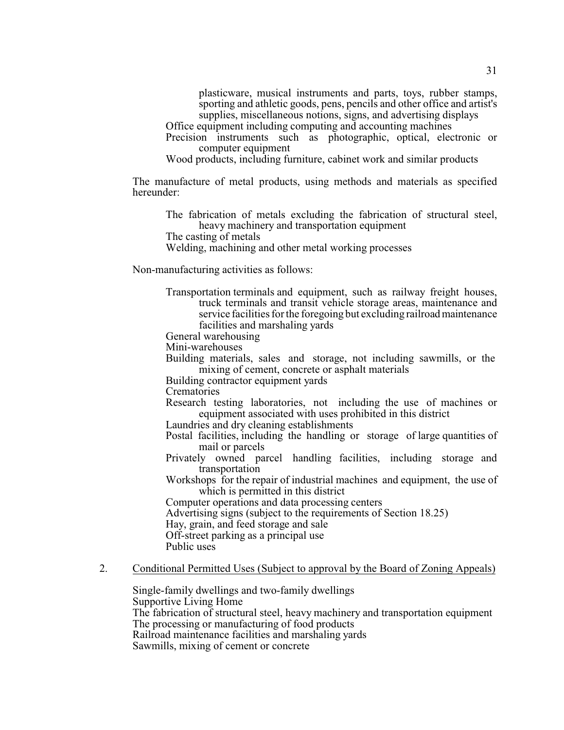plasticware, musical instruments and parts, toys, rubber stamps, sporting and athletic goods, pens, pencils and other office and artist's supplies, miscellaneous notions, signs, and advertising displays

- Office equipment including computing and accounting machines
- Precision instruments such as photographic, optical, electronic or computer equipment

Wood products, including furniture, cabinet work and similar products

The manufacture of metal products, using methods and materials as specified hereunder:

- The fabrication of metals excluding the fabrication of structural steel, heavy machinery and transportation equipment
- The casting of metals
- Welding, machining and other metal working processes

Non-manufacturing activities as follows:

Transportation terminals and equipment, such as railway freight houses, truck terminals and transit vehicle storage areas, maintenance and service facilities for the foregoing but excluding railroad maintenance facilities and marshaling yards

General warehousing

Mini-warehouses

Building materials, sales and storage, not including sawmills, or the mixing of cement, concrete or asphalt materials

Building contractor equipment yards

**Crematories** 

Research testing laboratories, not including the use of machines or equipment associated with uses prohibited in this district

Laundries and dry cleaning establishments

- Postal facilities, including the handling or storage of large quantities of mail or parcels
- Privately owned parcel handling facilities, including storage and transportation
- Workshops for the repair of industrial machines and equipment, the use of which is permitted in this district

Computer operations and data processing centers

Advertising signs (subject to the requirements of Section 18.25)

Hay, grain, and feed storage and sale

Off-street parking as a principal use

Public uses

2. Conditional Permitted Uses (Subject to approval by the Board of Zoning Appeals)

Single-family dwellings and two-family dwellings Supportive Living Home The fabrication of structural steel, heavy machinery and transportation equipment The processing or manufacturing of food products Railroad maintenance facilities and marshaling yards Sawmills, mixing of cement or concrete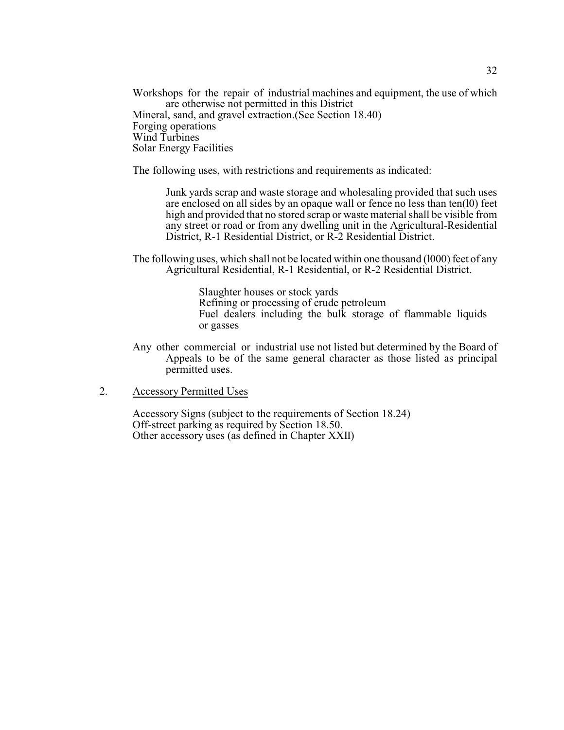Workshops for the repair of industrial machines and equipment, the use of which are otherwise not permitted in this District Mineral, sand, and gravel extraction.(See Section 18.40) Forging operations Wind Turbines Solar Energy Facilities

The following uses, with restrictions and requirements as indicated:

Junk yards scrap and waste storage and wholesaling provided that such uses are enclosed on all sides by an opaque wall or fence no less than ten(l0) feet high and provided that no stored scrap or waste material shall be visible from any street or road or from any dwelling unit in the Agricultural-Residential District, R-1 Residential District, or R-2 Residential District.

The following uses, which shall not be located within one thousand (l000) feet of any Agricultural Residential, R-1 Residential, or R-2 Residential District.

> Slaughter houses or stock yards Refining or processing of crude petroleum Fuel dealers including the bulk storage of flammable liquids or gasses

- Any other commercial or industrial use not listed but determined by the Board of Appeals to be of the same general character as those listed as principal permitted uses.
- 2. Accessory Permitted Uses

Accessory Signs (subject to the requirements of Section 18.24) Off-street parking as required by Section 18.50. Other accessory uses (as defined in Chapter XXII)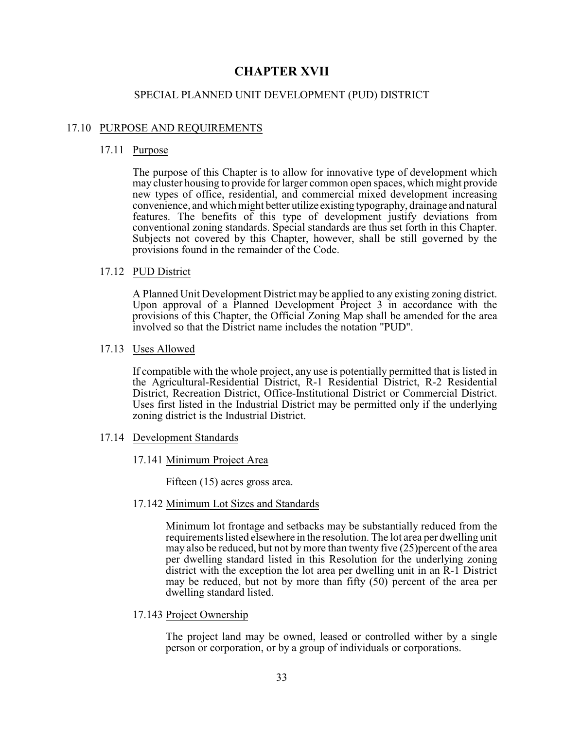# **CHAPTER XVII**

#### SPECIAL PLANNED UNIT DEVELOPMENT (PUD) DISTRICT

#### 17.10 PURPOSE AND REQUIREMENTS

#### 17.11 Purpose

The purpose of this Chapter is to allow for innovative type of development which may cluster housing to provide for larger common open spaces, which might provide new types of office, residential, and commercial mixed development increasing convenience, and which might better utilize existing typography, drainage and natural features. The benefits of this type of development justify deviations from conventional zoning standards. Special standards are thus set forth in this Chapter. Subjects not covered by this Chapter, however, shall be still governed by the provisions found in the remainder of the Code.

#### 17.12 PUD District

A Planned Unit Development District may be applied to any existing zoning district. Upon approval of a Planned Development Project 3 in accordance with the provisions of this Chapter, the Official Zoning Map shall be amended for the area involved so that the District name includes the notation "PUD".

#### 17.13 Uses Allowed

If compatible with the whole project, any use is potentially permitted that is listed in the Agricultural-Residential District, R-1 Residential District, R-2 Residential District, Recreation District, Office-Institutional District or Commercial District. Uses first listed in the Industrial District may be permitted only if the underlying zoning district is the Industrial District.

#### 17.14 Development Standards

17.141 Minimum Project Area

Fifteen (15) acres gross area.

### 17.142 Minimum Lot Sizes and Standards

Minimum lot frontage and setbacks may be substantially reduced from the requirements listed elsewhere in the resolution. The lot area per dwelling unit may also be reduced, but not by more than twenty five (25)percent of the area per dwelling standard listed in this Resolution for the underlying zoning district with the exception the lot area per dwelling unit in an R-1 District may be reduced, but not by more than fifty (50) percent of the area per dwelling standard listed.

17.143 Project Ownership

The project land may be owned, leased or controlled wither by a single person or corporation, or by a group of individuals or corporations.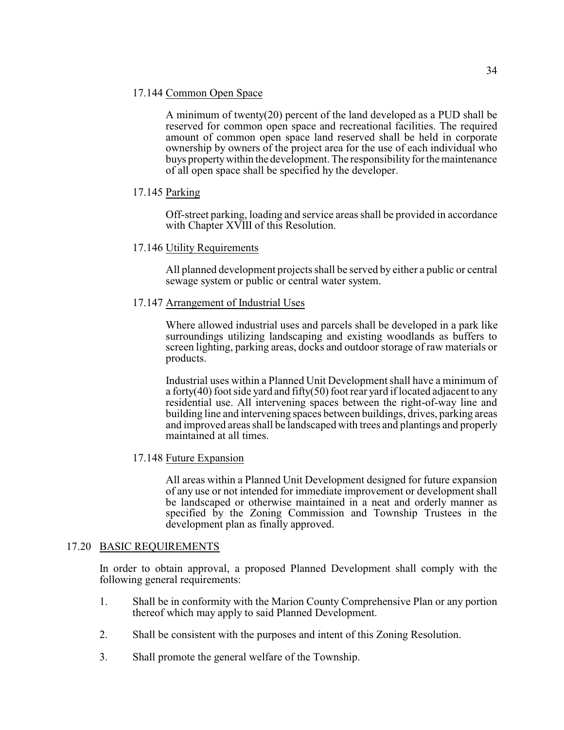## 17.144 Common Open Space

A minimum of twenty(20) percent of the land developed as a PUD shall be reserved for common open space and recreational facilities. The required amount of common open space land reserved shall be held in corporate ownership by owners of the project area for the use of each individual who buys property within the development. The responsibility for the maintenance of all open space shall be specified hy the developer.

## 17.145 Parking

Off-street parking, loading and service areas shall be provided in accordance with Chapter XVIII of this Resolution.

#### 17.146 Utility Requirements

All planned development projects shall be served by either a public or central sewage system or public or central water system.

## 17.147 Arrangement of Industrial Uses

Where allowed industrial uses and parcels shall be developed in a park like surroundings utilizing landscaping and existing woodlands as buffers to screen lighting, parking areas, docks and outdoor storage of raw materials or products.

Industrial uses within a Planned Unit Development shall have a minimum of a forty(40) foot side yard and fifty(50) foot rear yard if located adjacent to any residential use. All intervening spaces between the right-of-way line and building line and intervening spaces between buildings, drives, parking areas and improved areas shall be landscaped with trees and plantings and properly maintained at all times.

# 17.148 Future Expansion

All areas within a Planned Unit Development designed for future expansion of any use or not intended for immediate improvement or development shall be landscaped or otherwise maintained in a neat and orderly manner as specified by the Zoning Commission and Township Trustees in the development plan as finally approved.

#### 17.20 BASIC REQUIREMENTS

In order to obtain approval, a proposed Planned Development shall comply with the following general requirements:

- 1. Shall be in conformity with the Marion County Comprehensive Plan or any portion thereof which may apply to said Planned Development.
- 2. Shall be consistent with the purposes and intent of this Zoning Resolution.
- 3. Shall promote the general welfare of the Township.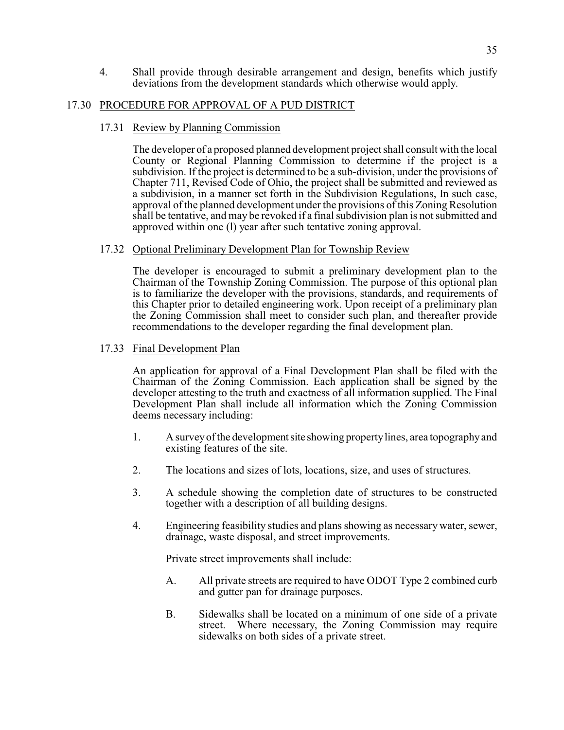4. Shall provide through desirable arrangement and design, benefits which justify deviations from the development standards which otherwise would apply.

#### 17.30 PROCEDURE FOR APPROVAL OF A PUD DISTRICT

17.31 Review by Planning Commission

The developer of a proposed planned development project shall consult with the local County or Regional Planning Commission to determine if the project is a subdivision. If the project is determined to be a sub-division, under the provisions of Chapter 711, Revised Code of Ohio, the project shall be submitted and reviewed as a subdivision, in a manner set forth in the Subdivision Regulations, In such case, approval of the planned development under the provisions of this Zoning Resolution shall be tentative, and may be revoked if a final subdivision plan is not submitted and approved within one (l) year after such tentative zoning approval.

## 17.32 Optional Preliminary Development Plan for Township Review

The developer is encouraged to submit a preliminary development plan to the Chairman of the Township Zoning Commission. The purpose of this optional plan is to familiarize the developer with the provisions, standards, and requirements of this Chapter prior to detailed engineering work. Upon receipt of a preliminary plan the Zoning Commission shall meet to consider such plan, and thereafter provide recommendations to the developer regarding the final development plan.

#### 17.33 Final Development Plan

An application for approval of a Final Development Plan shall be filed with the Chairman of the Zoning Commission. Each application shall be signed by the developer attesting to the truth and exactness of all information supplied. The Final Development Plan shall include all information which the Zoning Commission deems necessary including:

- 1. A surveyof the developmentsite showing propertylines, area topographyand existing features of the site.
- 2. The locations and sizes of lots, locations, size, and uses of structures.
- 3. A schedule showing the completion date of structures to be constructed together with a description of all building designs.
- 4. Engineering feasibility studies and plans showing as necessary water, sewer, drainage, waste disposal, and street improvements.

Private street improvements shall include:

- A. All private streets are required to have ODOT Type 2 combined curb and gutter pan for drainage purposes.
- B. Sidewalks shall be located on a minimum of one side of a private street. Where necessary, the Zoning Commission may require sidewalks on both sides of a private street.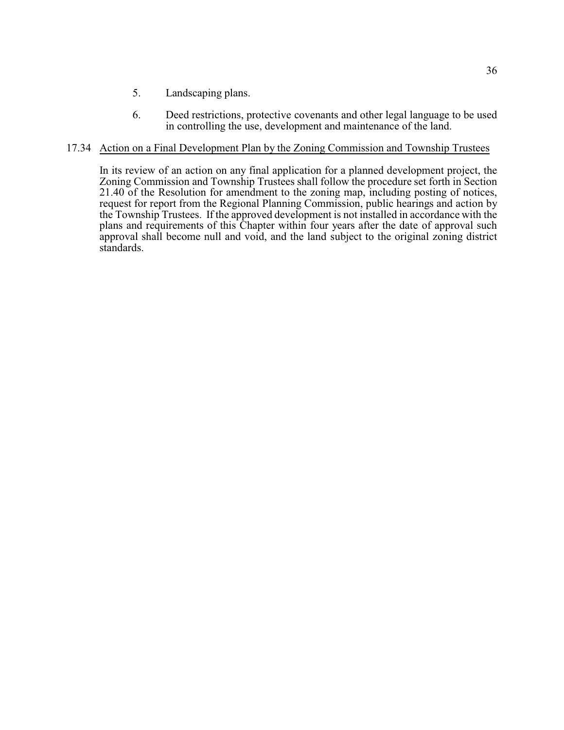- 5. Landscaping plans.
- 6. Deed restrictions, protective covenants and other legal language to be used in controlling the use, development and maintenance of the land.

## 17.34 Action on a Final Development Plan by the Zoning Commission and Township Trustees

In its review of an action on any final application for a planned development project, the Zoning Commission and Township Trustees shall follow the procedure set forth in Section 21.40 of the Resolution for amendment to the zoning map, including posting of notices, request for report from the Regional Planning Commission, public hearings and action by the Township Trustees. If the approved development is not installed in accordance with the plans and requirements of this Chapter within four years after the date of approval such approval shall become null and void, and the land subject to the original zoning district standards.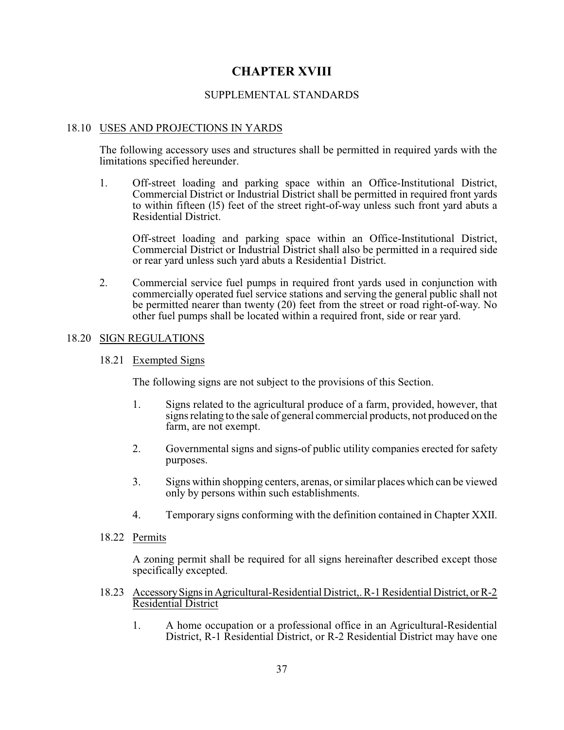# **CHAPTER XVIII**

## SUPPLEMENTAL STANDARDS

## 18.10 USES AND PROJECTIONS IN YARDS

The following accessory uses and structures shall be permitted in required yards with the limitations specified hereunder.

1. Off-street loading and parking space within an Office-Institutional District, Commercial District or Industrial District shall be permitted in required front yards to within fifteen (l5) feet of the street right-of-way unless such front yard abuts a Residential District.

Off-street loading and parking space within an Office-Institutional District, Commercial District or Industrial District shall also be permitted in a required side or rear yard unless such yard abuts a Residentia1 District.

2. Commercial service fuel pumps in required front yards used in conjunction with commercially operated fuel service stations and serving the general public shall not be permitted nearer than twenty (20) feet from the street or road right-of-way. No other fuel pumps shall be located within a required front, side or rear yard.

#### 18.20 SIGN REGULATIONS

18.21 Exempted Signs

The following signs are not subject to the provisions of this Section.

- 1. Signs related to the agricultural produce of a farm, provided, however, that signs relating to the sale of general commercial products, not produced on the farm, are not exempt.
- 2. Governmental signs and signs-of public utility companies erected for safety purposes.
- 3. Signs within shopping centers, arenas, or similar places which can be viewed only by persons within such establishments.
- 4. Temporary signs conforming with the definition contained in Chapter XXII.
- 18.22 Permits

A zoning permit shall be required for all signs hereinafter described except those specifically excepted.

- 18.23 AccessorySignsin Agricultural-Residential District,. R-1 Residential District, orR-2 Residential District
	- 1. A home occupation or a professional office in an Agricultural-Residential District, R-1 Residential District, or R-2 Residential District may have one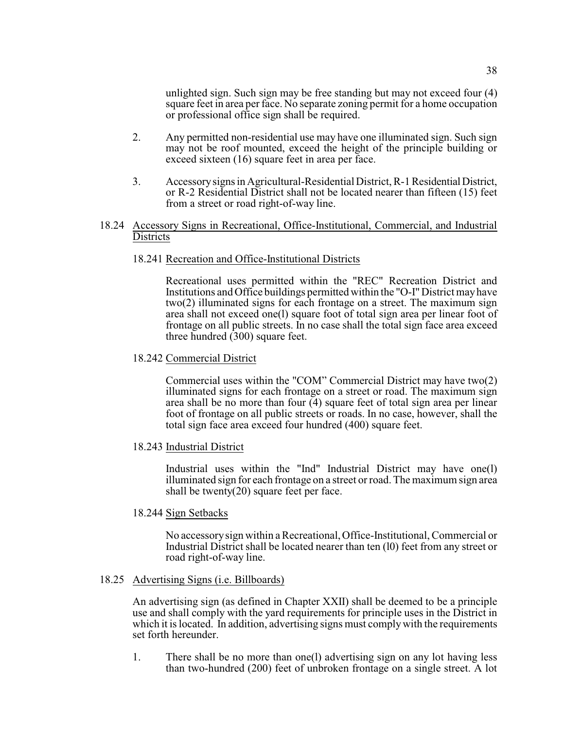unlighted sign. Such sign may be free standing but may not exceed four (4) square feet in area per face. No separate zoning permit for a home occupation or professional office sign shall be required.

- 2. Any permitted non-residential use may have one illuminated sign. Such sign may not be roof mounted, exceed the height of the principle building or exceed sixteen (16) square feet in area per face.
- 3. Accessorysigns in Agricultural-Residential District, R-1 ResidentialDistrict, or R-2 Residential District shall not be located nearer than fifteen (15) feet from a street or road right-of-way line.

#### 18.24 Accessory Signs in Recreational, Office-Institutional, Commercial, and Industrial **Districts**

18.241 Recreation and Office-Institutional Districts

Recreational uses permitted within the "REC" Recreation District and Institutions and Office buildings permitted within the "O-I"District mayhave two(2) illuminated signs for each frontage on a street. The maximum sign area shall not exceed one(l) square foot of total sign area per linear foot of frontage on all public streets. In no case shall the total sign face area exceed three hundred (300) square feet.

18.242 Commercial District

Commercial uses within the "COM" Commercial District may have two(2) illuminated signs for each frontage on a street or road. The maximum sign area shall be no more than four (4) square feet of total sign area per linear foot of frontage on all public streets or roads. In no case, however, shall the total sign face area exceed four hundred (400) square feet.

18.243 Industrial District

Industrial uses within the "Ind" Industrial District may have one(l) illuminated sign for each frontage on a street or road. The maximum sign area shall be twenty(20) square feet per face.

18.244 Sign Setbacks

No accessorysign within a Recreational, Office-Institutional, Commercial or Industrial District shall be located nearer than ten (l0) feet from any street or road right-of-way line.

#### 18.25 Advertising Signs (i.e. Billboards)

An advertising sign (as defined in Chapter XXII) shall be deemed to be a principle use and shall comply with the yard requirements for principle uses in the District in which it is located. In addition, advertising signs must complywith the requirements set forth hereunder.

1. There shall be no more than one(l) advertising sign on any lot having less than two-hundred (200) feet of unbroken frontage on a single street. A lot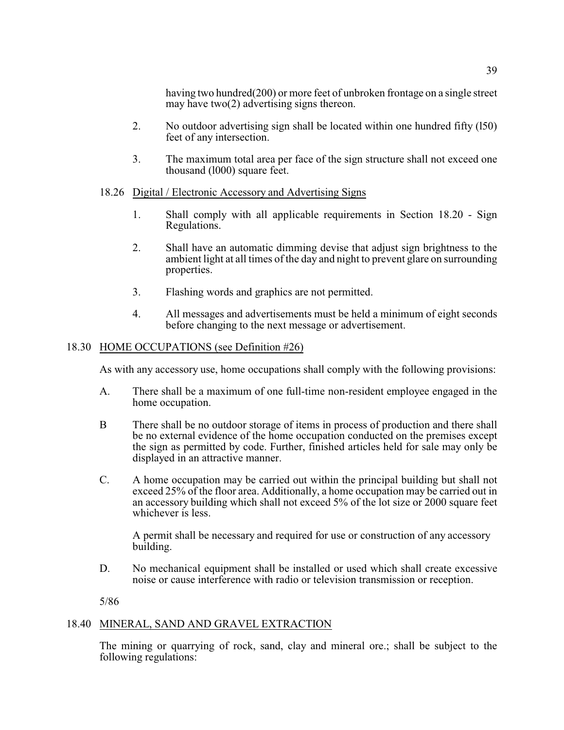39

having two hundred(200) or more feet of unbroken frontage on a single street may have two(2) advertising signs thereon.

- 2. No outdoor advertising sign shall be located within one hundred fifty (l50) feet of any intersection.
- 3. The maximum total area per face of the sign structure shall not exceed one thousand (l000) square feet.

# 18.26 Digital / Electronic Accessory and Advertising Signs

- 1. Shall comply with all applicable requirements in Section 18.20 Sign Regulations.
- 2. Shall have an automatic dimming devise that adjust sign brightness to the ambient light at all times of the day and night to prevent glare on surrounding properties.
- 3. Flashing words and graphics are not permitted.
- 4. All messages and advertisements must be held a minimum of eight seconds before changing to the next message or advertisement.

# 18.30 HOME OCCUPATIONS (see Definition #26)

As with any accessory use, home occupations shall comply with the following provisions:

- A. There shall be a maximum of one full-time non-resident employee engaged in the home occupation.
- B There shall be no outdoor storage of items in process of production and there shall be no external evidence of the home occupation conducted on the premises except the sign as permitted by code. Further, finished articles held for sale may only be displayed in an attractive manner.
- C. A home occupation may be carried out within the principal building but shall not exceed 25% of the floor area. Additionally, a home occupation may be carried out in an accessory building which shall not exceed 5% of the lot size or 2000 square feet whichever is less.

A permit shall be necessary and required for use or construction of any accessory building.

D. No mechanical equipment shall be installed or used which shall create excessive noise or cause interference with radio or television transmission or reception.

5/86

# 18.40 MINERAL, SAND AND GRAVEL EXTRACTION

The mining or quarrying of rock, sand, clay and mineral ore.; shall be subject to the following regulations: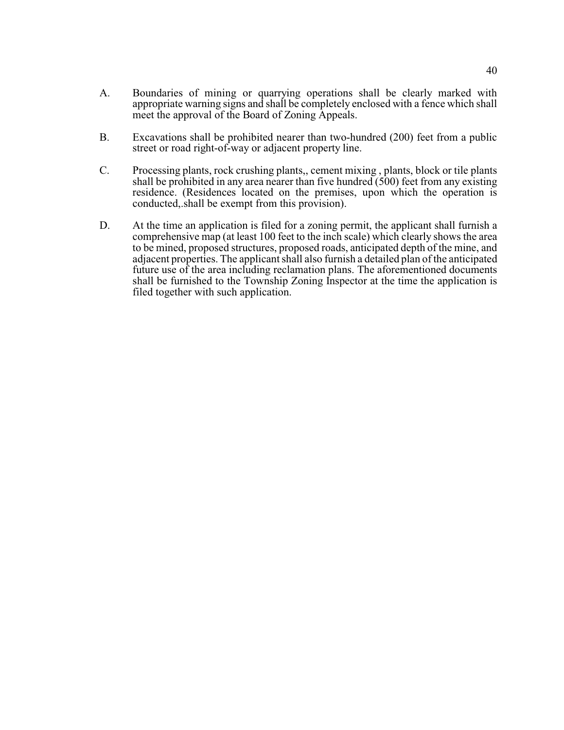- A. Boundaries of mining or quarrying operations shall be clearly marked with appropriate warning signs and shall be completely enclosed with a fence which shall meet the approval of the Board of Zoning Appeals.
- B. Excavations shall be prohibited nearer than two-hundred (200) feet from a public street or road right-of-way or adjacent property line.
- C. Processing plants, rock crushing plants,, cement mixing , plants, block or tile plants shall be prohibited in any area nearer than five hundred (500) feet from any existing residence. (Residences located on the premises, upon which the operation is conducted,.shall be exempt from this provision).
- D. At the time an application is filed for a zoning permit, the applicant shall furnish a comprehensive map (at least 100 feet to the inch scale) which clearly shows the area to be mined, proposed structures, proposed roads, anticipated depth of the mine, and adjacent properties. The applicant shall also furnish a detailed plan of the anticipated future use of the area including reclamation plans. The aforementioned documents shall be furnished to the Township Zoning Inspector at the time the application is filed together with such application.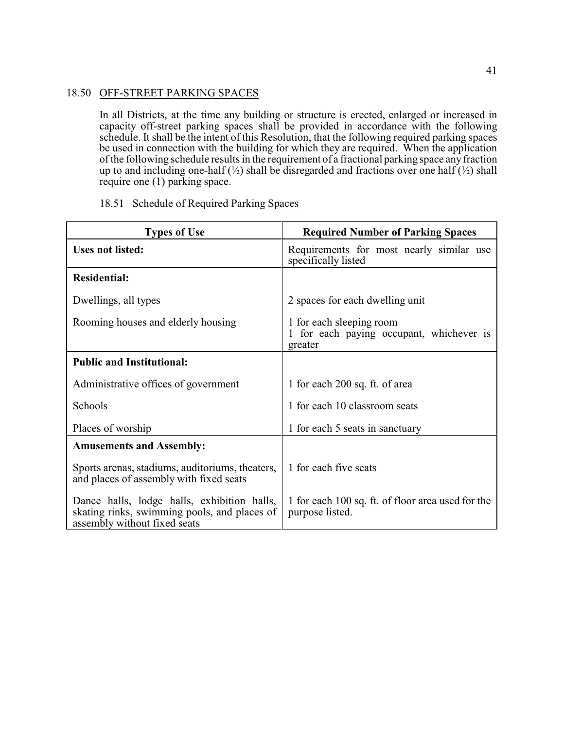## 18.50 OFF-STREET PARKING SPACES

In all Districts, at the time any building or structure is erected, enlarged or increased in capacity off-street parking spaces shall be provided in accordance with the following schedule. It shall be the intent of this Resolution, that the following required parking spaces be used in connection with the building for which they are required. When the application of the following schedule results in the requirement of a fractional parking space any fraction up to and including one-half  $\left(\frac{1}{2}\right)$  shall be disregarded and fractions over one half  $\left(\frac{1}{2}\right)$  shall require one (1) parking space.

# 18.51 Schedule of Required Parking Spaces

| <b>Types of Use</b>                                                                                                         | <b>Required Number of Parking Spaces</b>                                        |
|-----------------------------------------------------------------------------------------------------------------------------|---------------------------------------------------------------------------------|
| <b>Uses not listed:</b>                                                                                                     | Requirements for most nearly similar use<br>specifically listed                 |
| <b>Residential:</b>                                                                                                         |                                                                                 |
| Dwellings, all types                                                                                                        | 2 spaces for each dwelling unit                                                 |
| Rooming houses and elderly housing                                                                                          | 1 for each sleeping room<br>1 for each paying occupant, whichever is<br>greater |
| <b>Public and Institutional:</b>                                                                                            |                                                                                 |
| Administrative offices of government                                                                                        | 1 for each 200 sq. ft. of area                                                  |
| Schools                                                                                                                     | 1 for each 10 classroom seats                                                   |
| Places of worship                                                                                                           | 1 for each 5 seats in sanctuary                                                 |
| <b>Amusements and Assembly:</b>                                                                                             |                                                                                 |
| Sports arenas, stadiums, auditoriums, theaters,<br>and places of assembly with fixed seats                                  | 1 for each five seats                                                           |
| Dance halls, lodge halls, exhibition halls,<br>skating rinks, swimming pools, and places of<br>assembly without fixed seats | 1 for each 100 sq. ft. of floor area used for the<br>purpose listed.            |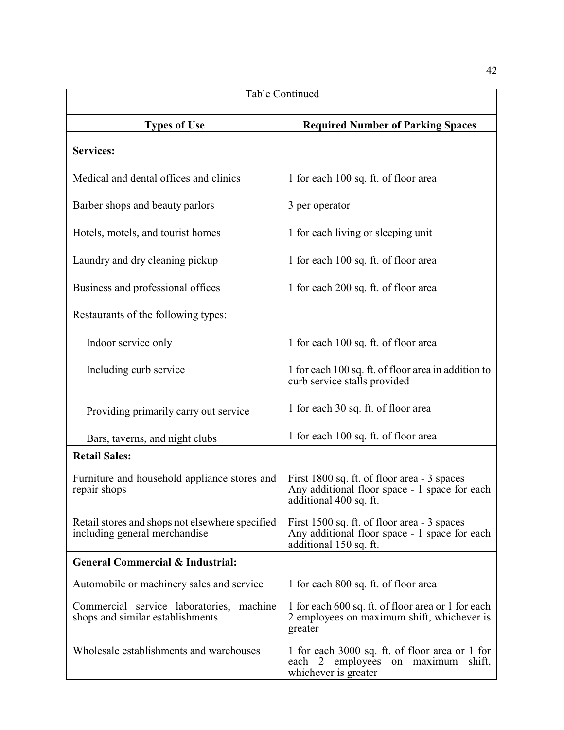| <b>Table Continued</b>                                                           |                                                                                                                        |
|----------------------------------------------------------------------------------|------------------------------------------------------------------------------------------------------------------------|
| <b>Types of Use</b>                                                              | <b>Required Number of Parking Spaces</b>                                                                               |
| <b>Services:</b>                                                                 |                                                                                                                        |
| Medical and dental offices and clinics                                           | 1 for each 100 sq. ft. of floor area                                                                                   |
| Barber shops and beauty parlors                                                  | 3 per operator                                                                                                         |
| Hotels, motels, and tourist homes                                                | 1 for each living or sleeping unit                                                                                     |
| Laundry and dry cleaning pickup                                                  | 1 for each 100 sq. ft. of floor area                                                                                   |
| Business and professional offices                                                | 1 for each 200 sq. ft. of floor area                                                                                   |
| Restaurants of the following types:                                              |                                                                                                                        |
| Indoor service only                                                              | 1 for each 100 sq. ft. of floor area                                                                                   |
| Including curb service                                                           | 1 for each 100 sq. ft. of floor area in addition to<br>curb service stalls provided                                    |
| Providing primarily carry out service                                            | 1 for each 30 sq. ft. of floor area                                                                                    |
| Bars, taverns, and night clubs                                                   | 1 for each 100 sq. ft. of floor area                                                                                   |
| <b>Retail Sales:</b>                                                             |                                                                                                                        |
| Furniture and household appliance stores and<br>repair shops                     | First 1800 sq. ft. of floor area - 3 spaces<br>Any additional floor space - 1 space for each<br>additional 400 sq. ft. |
| Retail stores and shops not elsewhere specified<br>including general merchandise | First 1500 sq. ft. of floor area - 3 spaces<br>Any additional floor space - 1 space for each<br>additional 150 sq. ft. |
| <b>General Commercial &amp; Industrial:</b>                                      |                                                                                                                        |
| Automobile or machinery sales and service                                        | 1 for each 800 sq. ft. of floor area                                                                                   |
| Commercial service laboratories, machine<br>shops and similar establishments     | 1 for each 600 sq. ft. of floor area or 1 for each<br>2 employees on maximum shift, whichever is<br>greater            |
| Wholesale establishments and warehouses                                          | 1 for each 3000 sq. ft. of floor area or 1 for<br>employees<br>each 2<br>on maximum<br>shift,<br>whichever is greater  |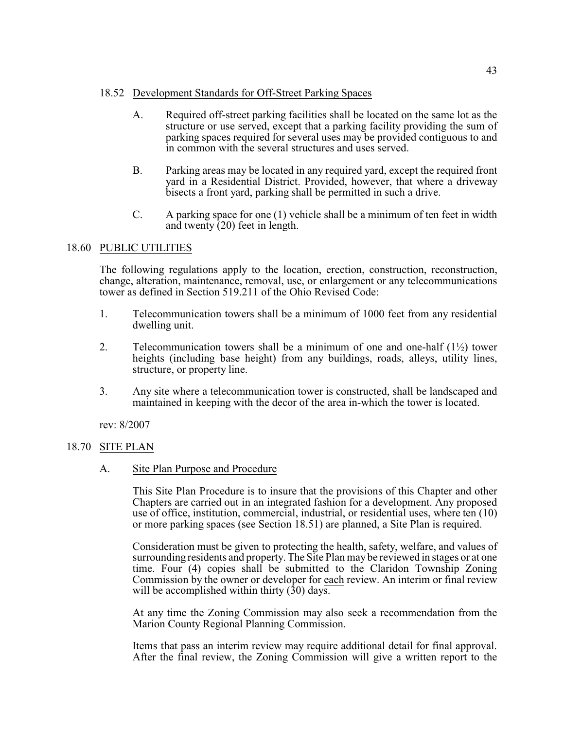#### 18.52 Development Standards for Off-Street Parking Spaces

- A. Required off-street parking facilities shall be located on the same lot as the structure or use served, except that a parking facility providing the sum of parking spaces required for several uses may be provided contiguous to and in common with the several structures and uses served.
- B. Parking areas may be located in any required yard, except the required front yard in a Residential District. Provided, however, that where a driveway bisects a front yard, parking shall be permitted in such a drive.
- C. A parking space for one (1) vehicle shall be a minimum of ten feet in width and twenty (20) feet in length.

# 18.60 PUBLIC UTILITIES

The following regulations apply to the location, erection, construction, reconstruction, change, alteration, maintenance, removal, use, or enlargement or any telecommunications tower as defined in Section 519.211 of the Ohio Revised Code:

- 1. Telecommunication towers shall be a minimum of 1000 feet from any residential dwelling unit.
- 2. Telecommunication towers shall be a minimum of one and one-half  $(1/2)$  tower heights (including base height) from any buildings, roads, alleys, utility lines, structure, or property line.
- 3. Any site where a telecommunication tower is constructed, shall be landscaped and maintained in keeping with the decor of the area in-which the tower is located.

rev: 8/2007

# 18.70 SITE PLAN

A. Site Plan Purpose and Procedure

This Site Plan Procedure is to insure that the provisions of this Chapter and other Chapters are carried out in an integrated fashion for a development. Any proposed use of office, institution, commercial, industrial, or residential uses, where ten (10) or more parking spaces (see Section 18.51) are planned, a Site Plan is required.

Consideration must be given to protecting the health, safety, welfare, and values of surrounding residents and property. The Site Plan may be reviewed in stages or at one time. Four (4) copies shall be submitted to the Claridon Township Zoning Commission by the owner or developer for each review. An interim or final review will be accomplished within thirty (30) days.

At any time the Zoning Commission may also seek a recommendation from the Marion County Regional Planning Commission.

Items that pass an interim review may require additional detail for final approval. After the final review, the Zoning Commission will give a written report to the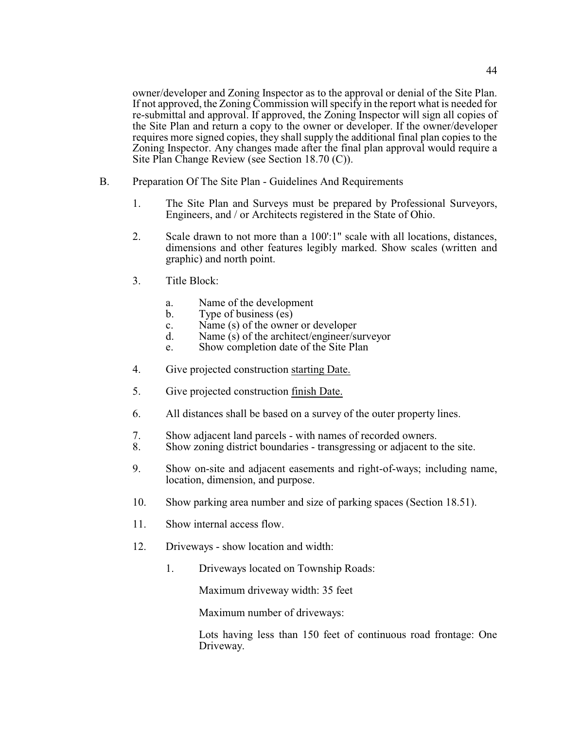owner/developer and Zoning Inspector as to the approval or denial of the Site Plan. If not approved, the Zoning Commission will specify in the report what is needed for re-submittal and approval. If approved, the Zoning Inspector will sign all copies of the Site Plan and return a copy to the owner or developer. If the owner/developer requires more signed copies, they shall supply the additional final plan copies to the Zoning Inspector. Any changes made after the final plan approval would require a Site Plan Change Review (see Section 18.70 (C)).

- B. Preparation Of The Site Plan Guidelines And Requirements
	- 1. The Site Plan and Surveys must be prepared by Professional Surveyors, Engineers, and / or Architects registered in the State of Ohio.
	- 2. Scale drawn to not more than a 100':1" scale with all locations, distances, dimensions and other features legibly marked. Show scales (written and graphic) and north point.
	- 3. Title Block:
		- a. Name of the development
		- b. Type of business (es)
		- c. Name (s) of the owner or developer
		- d. Name (s) of the architect/engineer/surveyor
		- e. Show completion date of the Site Plan
	- 4. Give projected construction starting Date.
	- 5. Give projected construction finish Date.
	- 6. All distances shall be based on a survey of the outer property lines.
	- 7. Show adjacent land parcels with names of recorded owners.<br>8. Show zoning district boundaries transgressing or adjacent to
	- 8. Show zoning district boundaries transgressing or adjacent to the site.
	- 9. Show on-site and adjacent easements and right-of-ways; including name, location, dimension, and purpose.
	- 10. Show parking area number and size of parking spaces (Section 18.51).
	- 11. Show internal access flow.
	- 12. Driveways show location and width:
		- 1. Driveways located on Township Roads:

Maximum driveway width: 35 feet

Maximum number of driveways:

Lots having less than 150 feet of continuous road frontage: One Driveway.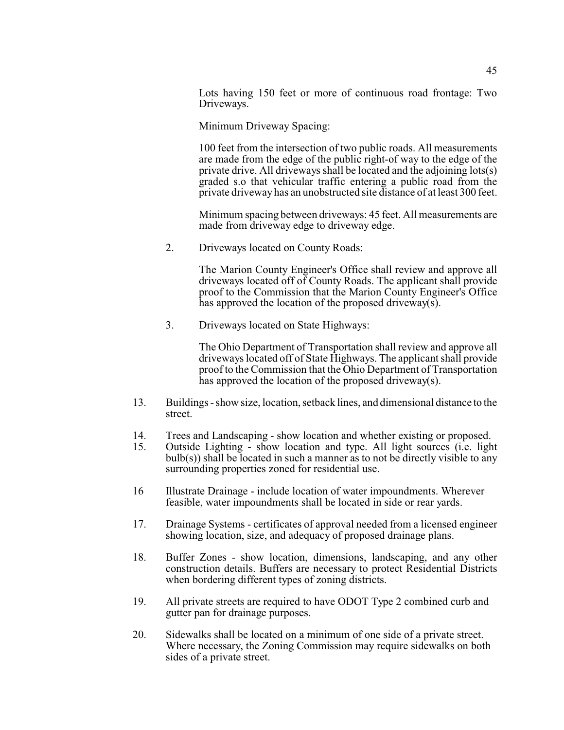Lots having 150 feet or more of continuous road frontage: Two Driveways.

Minimum Driveway Spacing:

100 feet from the intersection of two public roads. All measurements are made from the edge of the public right-of way to the edge of the private drive. All driveways shall be located and the adjoining lots(s) graded s.o that vehicular traffic entering a public road from the private driveway has an unobstructed site distance of at least 300 feet.

Minimum spacing between driveways: 45 feet. All measurements are made from driveway edge to driveway edge.

2. Driveways located on County Roads:

The Marion County Engineer's Office shall review and approve all driveways located off of County Roads. The applicant shall provide proof to the Commission that the Marion County Engineer's Office has approved the location of the proposed driveway(s).

3. Driveways located on State Highways:

The Ohio Department of Transportation shall review and approve all driveways located off of State Highways. The applicant shall provide proof to the Commission that the Ohio Department of Transportation has approved the location of the proposed driveway(s).

- 13. Buildings show size, location, setback lines, and dimensional distance to the street.
- 14. Trees and Landscaping show location and whether existing or proposed.<br>15. Outside Lighting show location and type. All light sources (i.e. light
- 15. Outside Lighting show location and type. All light sources (i.e. light bulb(s)) shall be located in such a manner as to not be directly visible to any surrounding properties zoned for residential use.
- 16 Illustrate Drainage include location of water impoundments. Wherever feasible, water impoundments shall be located in side or rear yards.
- 17. Drainage Systems certificates of approval needed from a licensed engineer showing location, size, and adequacy of proposed drainage plans.
- 18. Buffer Zones show location, dimensions, landscaping, and any other construction details. Buffers are necessary to protect Residential Districts when bordering different types of zoning districts.
- 19. All private streets are required to have ODOT Type 2 combined curb and gutter pan for drainage purposes.
- 20. Sidewalks shall be located on a minimum of one side of a private street. Where necessary, the Zoning Commission may require sidewalks on both sides of a private street.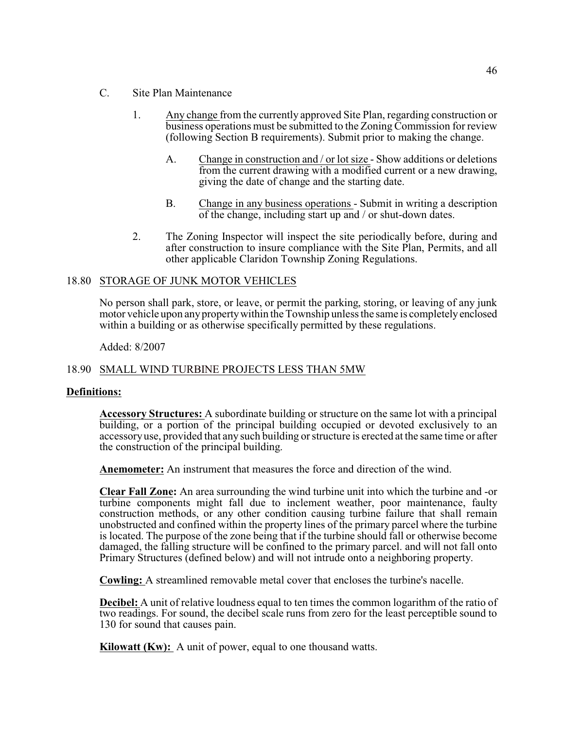- C. Site Plan Maintenance
	- 1. Any change from the currently approved Site Plan, regarding construction or business operations must be submitted to the Zoning Commission for review (following Section B requirements). Submit prior to making the change.
		- A. Change in construction and / or lot size Show additions or deletions from the current drawing with a modified current or a new drawing, giving the date of change and the starting date.
		- B. Change in any business operations Submit in writing a description of the change, including start up and / or shut-down dates.
	- 2. The Zoning Inspector will inspect the site periodically before, during and after construction to insure compliance with the Site Plan, Permits, and all other applicable Claridon Township Zoning Regulations.

# 18.80 STORAGE OF JUNK MOTOR VEHICLES

No person shall park, store, or leave, or permit the parking, storing, or leaving of any junk motor vehicle upon any property within the Township unless the same is completely enclosed within a building or as otherwise specifically permitted by these regulations.

Added: 8/2007

# 18.90 SMALL WIND TURBINE PROJECTS LESS THAN 5MW

# **Definitions:**

**Accessory Structures:** A subordinate building or structure on the same lot with a principal building, or a portion of the principal building occupied or devoted exclusively to an accessoryuse, provided that any such building or structure is erected at the same time or after the construction of the principal building.

**Anemometer:** An instrument that measures the force and direction of the wind.

**Clear Fall Zone:** An area surrounding the wind turbine unit into which the turbine and -or turbine components might fall due to inclement weather, poor maintenance, faulty construction methods, or any other condition causing turbine failure that shall remain unobstructed and confined within the property lines of the primary parcel where the turbine is located. The purpose of the zone being that if the turbine should fall or otherwise become damaged, the falling structure will be confined to the primary parcel. and will not fall onto Primary Structures (defined below) and will not intrude onto a neighboring property.

**Cowling:** A streamlined removable metal cover that encloses the turbine's nacelle.

**Decibel:** A unit of relative loudness equal to ten times the common logarithm of the ratio of two readings. For sound, the decibel scale runs from zero for the least perceptible sound to 130 for sound that causes pain.

**Kilowatt (Kw):** A unit of power, equal to one thousand watts.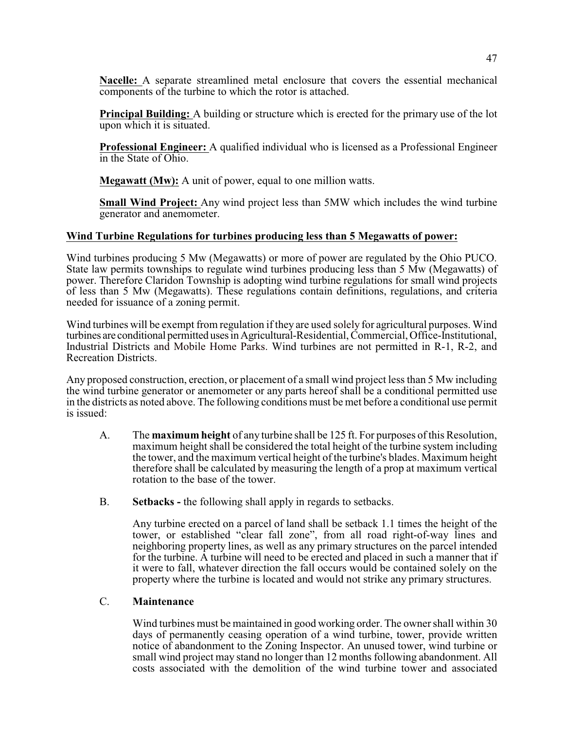**Nacelle:** A separate streamlined metal enclosure that covers the essential mechanical components of the turbine to which the rotor is attached.

**Principal Building:** A building or structure which is erected for the primary use of the lot upon which it is situated.

**Professional Engineer:** A qualified individual who is licensed as a Professional Engineer in the State of Ohio.

**Megawatt (Mw):** A unit of power, equal to one million watts.

**Small Wind Project:** Any wind project less than 5MW which includes the wind turbine generator and anemometer.

## **Wind Turbine Regulations for turbines producing less than 5 Megawatts of power:**

Wind turbines producing 5 Mw (Megawatts) or more of power are regulated by the Ohio PUCO. State law permits townships to regulate wind turbines producing less than 5 Mw (Megawatts) of power. Therefore Claridon Township is adopting wind turbine regulations for small wind projects of less than 5 Mw (Megawatts). These regulations contain definitions, regulations, and criteria needed for issuance of a zoning permit.

Wind turbines will be exempt from regulation if they are used solely for agricultural purposes. Wind turbines are conditional permitted usesinAgricultural-Residential, Commercial, Office-Institutional, Industrial Districts and Mobile Home Parks. Wind turbines are not permitted in R-1, R-2, and Recreation Districts.

Any proposed construction, erection, or placement of a small wind project less than 5 Mw including the wind turbine generator or anemometer or any parts hereof shall be a conditional permitted use in the districts as noted above. The following conditions must be met before a conditional use permit is issued:

- A. The **maximum height** of any turbine shall be 125 ft. For purposes of this Resolution, maximum height shall be considered the total height of the turbine system including the tower, and the maximum vertical height of the turbine's blades. Maximum height therefore shall be calculated by measuring the length of a prop at maximum vertical rotation to the base of the tower.
- B. **Setbacks -** the following shall apply in regards to setbacks.

Any turbine erected on a parcel of land shall be setback 1.1 times the height of the tower, or established "clear fall zone", from all road right-of-way lines and neighboring property lines, as well as any primary structures on the parcel intended for the turbine. A turbine will need to be erected and placed in such a manner that if it were to fall, whatever direction the fall occurs would be contained solely on the property where the turbine is located and would not strike any primary structures.

#### C. **Maintenance**

Wind turbines must be maintained in good working order. The owner shall within 30 days of permanently ceasing operation of a wind turbine, tower, provide written notice of abandonment to the Zoning Inspector. An unused tower, wind turbine or small wind project may stand no longer than 12 months following abandonment. All costs associated with the demolition of the wind turbine tower and associated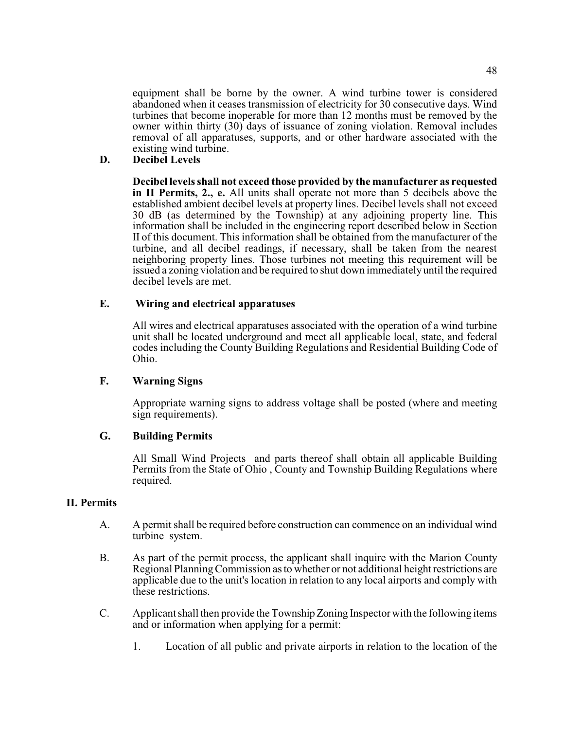equipment shall be borne by the owner. A wind turbine tower is considered abandoned when it ceases transmission of electricity for 30 consecutive days. Wind turbines that become inoperable for more than 12 months must be removed by the owner within thirty (30) days of issuance of zoning violation. Removal includes removal of all apparatuses, supports, and or other hardware associated with the existing wind turbine.

# **D. Decibel Levels**

**Decibel levels shall not exceed those provided by the manufacturer as requested in II Permits, 2., e.** All units shall operate not more than 5 decibels above the established ambient decibel levels at property lines. Decibel levels shall not exceed 30 dB (as determined by the Township) at any adjoining property line. This information shall be included in the engineering report described below in Section II of this document. This information shall be obtained from the manufacturer of the turbine, and all decibel readings, if necessary, shall be taken from the nearest neighboring property lines. Those turbines not meeting this requirement will be issued a zoning violation and be required to shut down immediatelyuntil the required decibel levels are met.

# **E. Wiring and electrical apparatuses**

All wires and electrical apparatuses associated with the operation of a wind turbine unit shall be located underground and meet all applicable local, state, and federal codes including the County Building Regulations and Residential Building Code of Ohio.

# **F. Warning Signs**

Appropriate warning signs to address voltage shall be posted (where and meeting sign requirements).

# **G. Building Permits**

All Small Wind Projects and parts thereof shall obtain all applicable Building Permits from the State of Ohio , County and Township Building Regulations where required.

#### **II. Permits**

- A. A permit shall be required before construction can commence on an individual wind turbine system.
- B. As part of the permit process, the applicant shall inquire with the Marion County Regional PlanningCommission as to whether or not additional height restrictions are applicable due to the unit's location in relation to any local airports and comply with these restrictions.
- C. Applicant shall then provide the TownshipZoning Inspector with the following items and or information when applying for a permit:
	- 1. Location of all public and private airports in relation to the location of the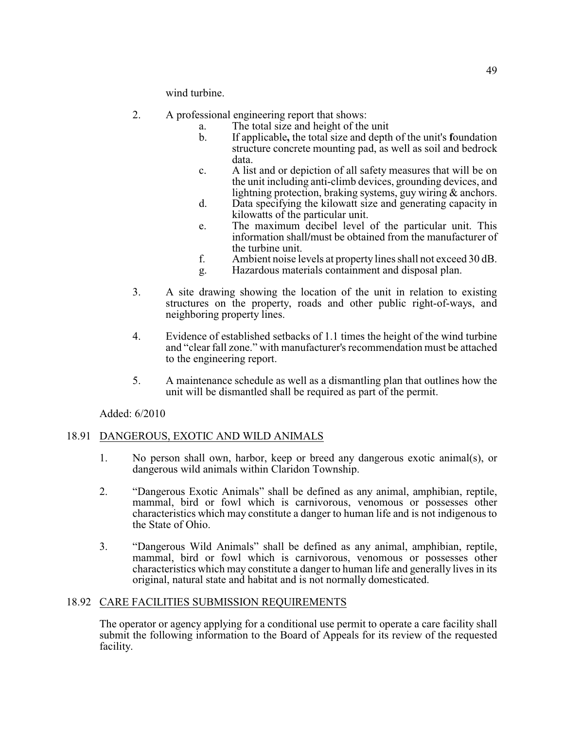wind turbine.

- 2. A professional engineering report that shows:
	- a. The total size and height of the unit<br>b. If applicable, the total size and depth
	- b. If applicable**,** the total size and depth of the unit's **f**oundation structure concrete mounting pad, as well as soil and bedrock data.
	- c. A list and or depiction of all safety measures that will be on the unit including anti-climb devices, grounding devices, and lightning protection, braking systems, guy wiring & anchors.
	- d. Data specifying the kilowatt size and generating capacity in kilowatts of the particular unit.
	- e. The maximum decibel level of the particular unit. This information shall**/**must be obtained from the manufacturer of the turbine unit.
	- f. Ambient noise levels at property lines shall not exceed 30 dB.
	- g. Hazardous materials containment and disposal plan.
- 3. A site drawing showing the location of the unit in relation to existing structures on the property, roads and other public right-of-ways, and neighboring property lines.
- 4. Evidence of established setbacks of 1.1 times the height of the wind turbine and "clear fall zone." with manufacturer's recommendation must be attached to the engineering report.
- 5. A maintenance schedule as well as a dismantling plan that outlines how the unit will be dismantled shall be required as part of the permit.

Added: 6/2010

# 18.91 DANGEROUS, EXOTIC AND WILD ANIMALS

- 1. No person shall own, harbor, keep or breed any dangerous exotic animal(s), or dangerous wild animals within Claridon Township.
- 2. "Dangerous Exotic Animals" shall be defined as any animal, amphibian, reptile, mammal, bird or fowl which is carnivorous, venomous or possesses other characteristics which may constitute a danger to human life and is not indigenous to the State of Ohio.
- 3. "Dangerous Wild Animals" shall be defined as any animal, amphibian, reptile, mammal, bird or fowl which is carnivorous, venomous or possesses other characteristics which may constitute a danger to human life and generally lives in its original, natural state and habitat and is not normally domesticated.

#### 18.92 CARE FACILITIES SUBMISSION REQUIREMENTS

The operator or agency applying for a conditional use permit to operate a care facility shall submit the following information to the Board of Appeals for its review of the requested facility.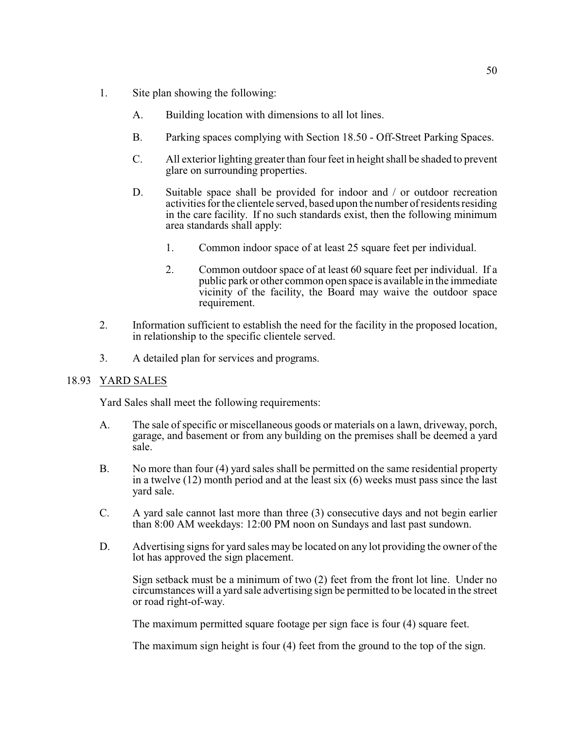- 1. Site plan showing the following:
	- A. Building location with dimensions to all lot lines.
	- B. Parking spaces complying with Section 18.50 Off-Street Parking Spaces.
	- C. All exterior lighting greater than four feet in height shall be shaded to prevent glare on surrounding properties.
	- D. Suitable space shall be provided for indoor and / or outdoor recreation activities for the clientele served, based upon the number of residents residing in the care facility. If no such standards exist, then the following minimum area standards shall apply:
		- 1. Common indoor space of at least 25 square feet per individual.
		- 2. Common outdoor space of at least 60 square feet per individual. If a public park or other common open space is available in the immediate vicinity of the facility, the Board may waive the outdoor space requirement.
- 2. Information sufficient to establish the need for the facility in the proposed location, in relationship to the specific clientele served.
- 3. A detailed plan for services and programs.

# 18.93 YARD SALES

Yard Sales shall meet the following requirements:

- A. The sale of specific or miscellaneous goods or materials on a lawn, driveway, porch, garage, and basement or from any building on the premises shall be deemed a yard sale.
- B. No more than four (4) yard sales shall be permitted on the same residential property in a twelve (12) month period and at the least six (6) weeks must pass since the last yard sale.
- C. A yard sale cannot last more than three (3) consecutive days and not begin earlier than 8:00 AM weekdays: 12:00 PM noon on Sundays and last past sundown.
- D. Advertising signs for yard sales may be located on any lot providing the owner of the lot has approved the sign placement.

Sign setback must be a minimum of two (2) feet from the front lot line. Under no circumstances will a yard sale advertising sign be permitted to be located in the street or road right-of-way.

The maximum permitted square footage per sign face is four (4) square feet.

The maximum sign height is four (4) feet from the ground to the top of the sign.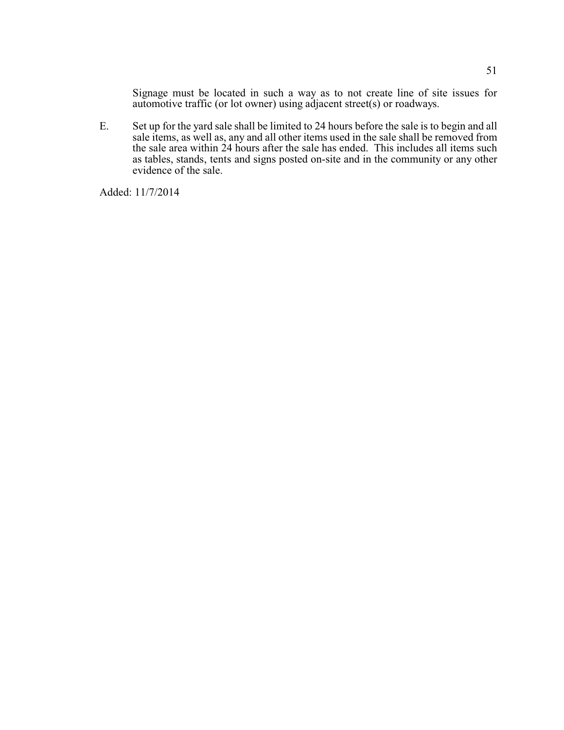Signage must be located in such a way as to not create line of site issues for automotive traffic (or lot owner) using adjacent street(s) or roadways.

E. Set up for the yard sale shall be limited to 24 hours before the sale is to begin and all sale items, as well as, any and all other items used in the sale shall be removed from the sale area within 24 hours after the sale has ended. This includes all items such as tables, stands, tents and signs posted on-site and in the community or any other evidence of the sale.

Added: 11/7/2014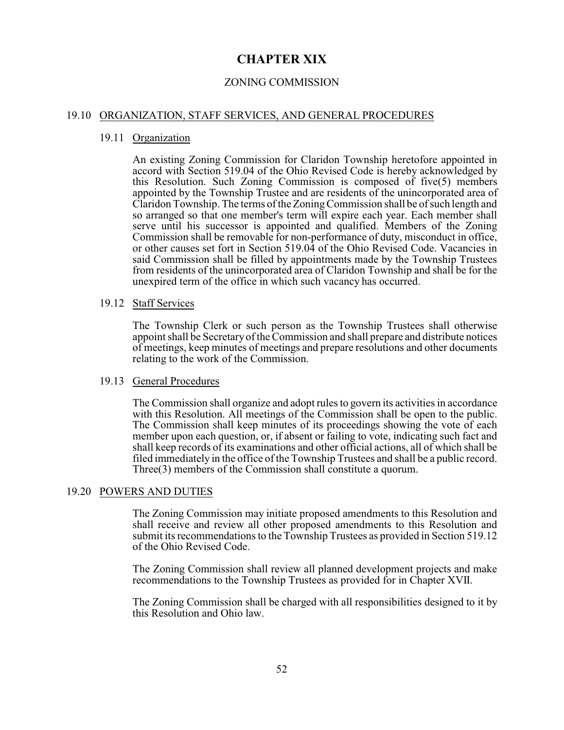# **CHAPTER XIX**

#### ZONING COMMISSION

#### 19.10 ORGANIZATION, STAFF SERVICES, AND GENERAL PROCEDURES

#### 19.11 Organization

An existing Zoning Commission for Claridon Township heretofore appointed in accord with Section 519.04 of the Ohio Revised Code is hereby acknowledged by this Resolution. Such Zoning Commission is composed of five(5) members appointed by the Township Trustee and are residents of the unincorporated area of Claridon Township. The terms of the ZoningCommission shall be of such length and so arranged so that one member's term will expire each year. Each member shall serve until his successor is appointed and qualified. Members of the Zoning Commission shall be removable for non-performance of duty, misconduct in office, or other causes set fort in Section 519.04 of the Ohio Revised Code. Vacancies in said Commission shall be filled by appointments made by the Township Trustees from residents of the unincorporated area of Claridon Township and shall be for the unexpired term of the office in which such vacancy has occurred.

#### 19.12 Staff Services

The Township Clerk or such person as the Township Trustees shall otherwise appoint shall be Secretaryof the Commission and shall prepare and distribute notices of meetings, keep minutes of meetings and prepare resolutions and other documents relating to the work of the Commission.

#### 19.13 General Procedures

The Commission shall organize and adopt rules to govern its activities in accordance with this Resolution. All meetings of the Commission shall be open to the public. The Commission shall keep minutes of its proceedings showing the vote of each member upon each question, or, if absent or failing to vote, indicating such fact and shall keep records of its examinations and other official actions, all of which shall be filed immediately in the office of the Township Trustees and shall be a public record. Three(3) members of the Commission shall constitute a quorum.

#### 19.20 POWERS AND DUTIES

The Zoning Commission may initiate proposed amendments to this Resolution and shall receive and review all other proposed amendments to this Resolution and submit its recommendations to the Township Trustees as provided in Section 519.12 of the Ohio Revised Code.

The Zoning Commission shall review all planned development projects and make recommendations to the Township Trustees as provided for in Chapter XVII.

The Zoning Commission shall be charged with all responsibilities designed to it by this Resolution and Ohio law.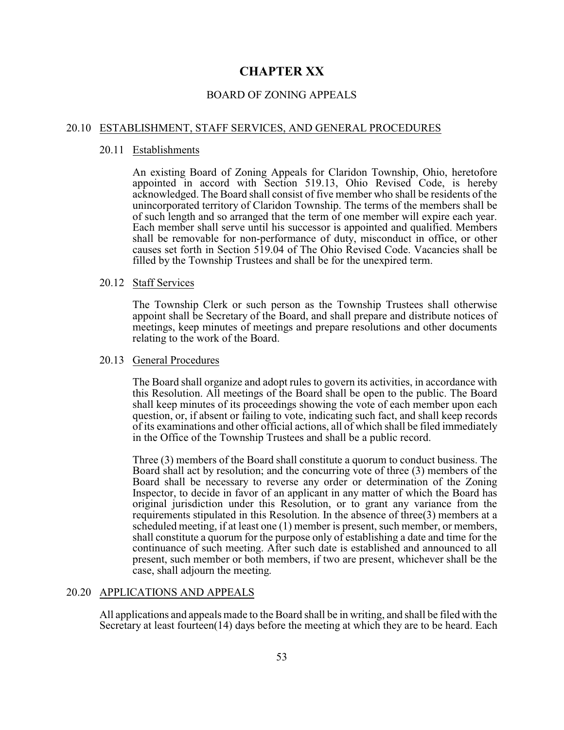# **CHAPTER XX**

#### BOARD OF ZONING APPEALS

#### 20.10 ESTABLISHMENT, STAFF SERVICES, AND GENERAL PROCEDURES

#### 20.11 Establishments

An existing Board of Zoning Appeals for Claridon Township, Ohio, heretofore appointed in accord with Section 519.13, Ohio Revised Code, is hereby acknowledged. The Board shall consist of five member who shall be residents of the unincorporated territory of Claridon Township. The terms of the members shall be of such length and so arranged that the term of one member will expire each year. Each member shall serve until his successor is appointed and qualified. Members shall be removable for non-performance of duty, misconduct in office, or other causes set forth in Section 519.04 of The Ohio Revised Code. Vacancies shall be filled by the Township Trustees and shall be for the unexpired term.

#### 20.12 Staff Services

The Township Clerk or such person as the Township Trustees shall otherwise appoint shall be Secretary of the Board, and shall prepare and distribute notices of meetings, keep minutes of meetings and prepare resolutions and other documents relating to the work of the Board.

#### 20.13 General Procedures

The Board shall organize and adopt rules to govern its activities, in accordance with this Resolution. All meetings of the Board shall be open to the public. The Board shall keep minutes of its proceedings showing the vote of each member upon each question, or, if absent or failing to vote, indicating such fact, and shall keep records of its examinations and other official actions, all of which shall be filed immediately in the Office of the Township Trustees and shall be a public record.

Three (3) members of the Board shall constitute a quorum to conduct business. The Board shall act by resolution; and the concurring vote of three (3) members of the Board shall be necessary to reverse any order or determination of the Zoning Inspector, to decide in favor of an applicant in any matter of which the Board has original jurisdiction under this Resolution, or to grant any variance from the requirements stipulated in this Resolution. In the absence of three(3) members at a scheduled meeting, if at least one (1) member is present, such member, or members, shall constitute a quorum for the purpose only of establishing a date and time for the continuance of such meeting. After such date is established and announced to all present, such member or both members, if two are present, whichever shall be the case, shall adjourn the meeting.

# 20.20 APPLICATIONS AND APPEALS

All applications and appeals made to the Board shall be in writing, and shall be filed with the Secretary at least fourteen( $14$ ) days before the meeting at which they are to be heard. Each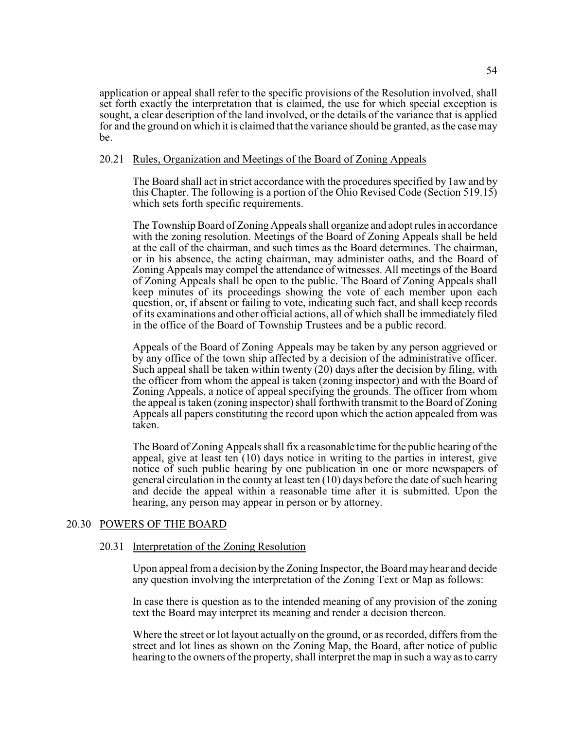application or appeal shall refer to the specific provisions of the Resolution involved, shall set forth exactly the interpretation that is claimed, the use for which special exception is sought, a clear description of the land involved, or the details of the variance that is applied for and the ground on which it is claimed that the variance should be granted, as the case may be.

#### 20.21 Rules, Organization and Meetings of the Board of Zoning Appeals

The Board shall act in strict accordance with the procedures specified by 1aw and by this Chapter. The following is a portion of the Ohio Revised Code (Section 519.15) which sets forth specific requirements.

The Township Board of Zoning Appeals shall organize and adopt rules in accordance with the zoning resolution. Meetings of the Board of Zoning Appeals shall be held at the call of the chairman, and such times as the Board determines. The chairman, or in his absence, the acting chairman, may administer oaths, and the Board of Zoning Appeals may compel the attendance of witnesses. All meetings of the Board of Zoning Appeals shall be open to the public. The Board of Zoning Appeals shall keep minutes of its proceedings showing the vote of each member upon each question, or, if absent or failing to vote, indicating such fact, and shall keep records of its examinations and other official actions, all of which shall be immediately filed in the office of the Board of Township Trustees and be a public record.

Appeals of the Board of Zoning Appeals may be taken by any person aggrieved or by any office of the town ship affected by a decision of the administrative officer. Such appeal shall be taken within twenty (20) days after the decision by filing, with the officer from whom the appeal is taken (zoning inspector) and with the Board of Zoning Appeals, a notice of appeal specifying the grounds. The officer from whom the appeal is taken (zoning inspector) shall forthwith transmit to the Board of Zoning Appeals all papers constituting the record upon which the action appealed from was taken.

The Board of Zoning Appeals shall fix a reasonable time for the public hearing of the appeal, give at least ten (10) days notice in writing to the parties in interest, give notice of such public hearing by one publication in one or more newspapers of general circulation in the county at least ten (10) days before the date of such hearing and decide the appeal within a reasonable time after it is submitted. Upon the hearing, any person may appear in person or by attorney.

#### 20.30 POWERS OF THE BOARD

#### 20.31 Interpretation of the Zoning Resolution

Upon appeal from a decision by the Zoning Inspector, the Board may hear and decide any question involving the interpretation of the Zoning Text or Map as follows:

In case there is question as to the intended meaning of any provision of the zoning text the Board may interpret its meaning and render a decision thereon.

Where the street or lot layout actually on the ground, or as recorded, differs from the street and lot lines as shown on the Zoning Map, the Board, after notice of public hearing to the owners of the property, shall interpret the map in such a way as to carry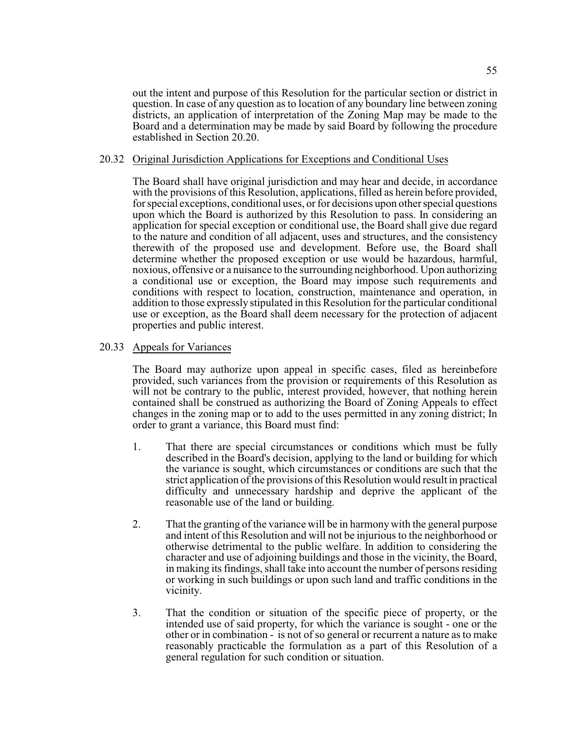out the intent and purpose of this Resolution for the particular section or district in question. In case of any question as to location of any boundary line between zoning districts, an application of interpretation of the Zoning Map may be made to the Board and a determination may be made by said Board by following the procedure established in Section 20.20.

#### 20.32 Original Jurisdiction Applications for Exceptions and Conditional Uses

The Board shall have original jurisdiction and may hear and decide, in accordance with the provisions of this Resolution, applications, filled as herein before provided, for special exceptions, conditional uses, or for decisions upon other special questions upon which the Board is authorized by this Resolution to pass. In considering an application for special exception or conditional use, the Board shall give due regard to the nature and condition of all adjacent, uses and structures, and the consistency therewith of the proposed use and development. Before use, the Board shall determine whether the proposed exception or use would be hazardous, harmful, noxious, offensive or a nuisance to the surrounding neighborhood. Upon authorizing a conditional use or exception, the Board may impose such requirements and conditions with respect to location, construction, maintenance and operation, in addition to those expressly stipulated in this Resolution for the particular conditional use or exception, as the Board shall deem necessary for the protection of adjacent properties and public interest.

#### 20.33 Appeals for Variances

The Board may authorize upon appeal in specific cases, filed as hereinbefore provided, such variances from the provision or requirements of this Resolution as will not be contrary to the public, interest provided, however, that nothing herein contained shall be construed as authorizing the Board of Zoning Appeals to effect changes in the zoning map or to add to the uses permitted in any zoning district; In order to grant a variance, this Board must find:

- 1. That there are special circumstances or conditions which must be fully described in the Board's decision, applying to the land or building for which the variance is sought, which circumstances or conditions are such that the strict application of the provisions of this Resolution would result in practical difficulty and unnecessary hardship and deprive the applicant of the reasonable use of the land or building.
- 2. That the granting of the variance will be in harmony with the general purpose and intent of this Resolution and will not be injurious to the neighborhood or otherwise detrimental to the public welfare. In addition to considering the character and use of adjoining buildings and those in the vicinity, the Board, in making its findings, shall take into account the number of persons residing or working in such buildings or upon such land and traffic conditions in the vicinity.
- 3. That the condition or situation of the specific piece of property, or the intended use of said property, for which the variance is sought - one or the other or in combination - is not of so general or recurrent a nature as to make reasonably practicable the formulation as a part of this Resolution of a general regulation for such condition or situation.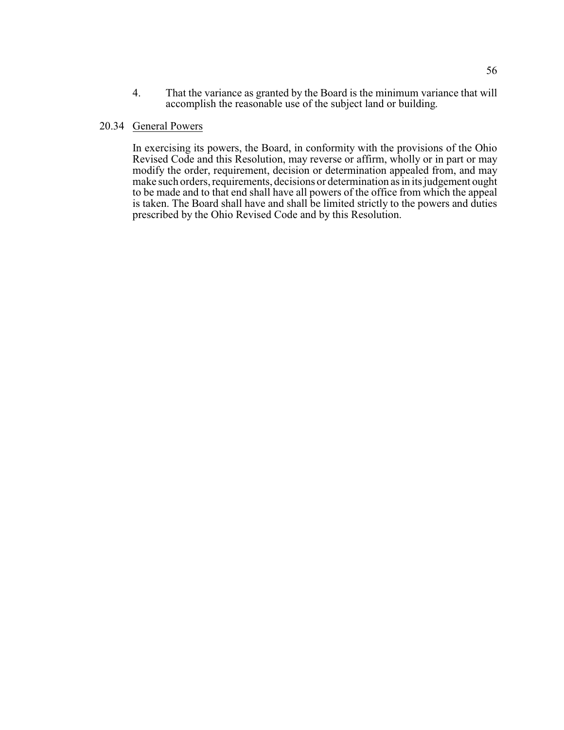4. That the variance as granted by the Board is the minimum variance that will accomplish the reasonable use of the subject land or building.

#### 20.34 General Powers

In exercising its powers, the Board, in conformity with the provisions of the Ohio Revised Code and this Resolution, may reverse or affirm, wholly or in part or may modify the order, requirement, decision or determination appealed from, and may make such orders, requirements, decisions or determination as in its judgement ought to be made and to that end shall have all powers of the office from which the appeal is taken. The Board shall have and shall be limited strictly to the powers and duties prescribed by the Ohio Revised Code and by this Resolution.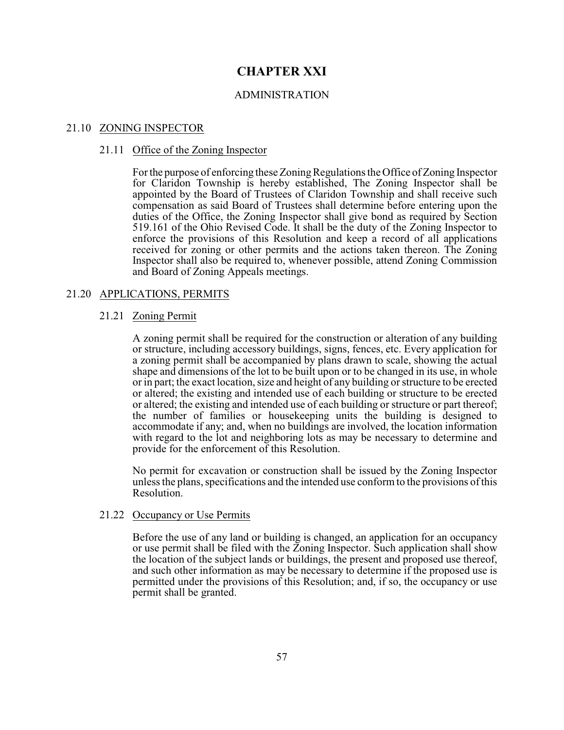# **CHAPTER XXI**

#### ADMINISTRATION

#### 21.10 ZONING INSPECTOR

#### 21.11 Office of the Zoning Inspector

For the purpose of enforcing these Zoning Regulations the Office of Zoning Inspector for Claridon Township is hereby established, The Zoning Inspector shall be appointed by the Board of Trustees of Claridon Township and shall receive such compensation as said Board of Trustees shall determine before entering upon the duties of the Office, the Zoning Inspector shall give bond as required by Section 519.161 of the Ohio Revised Code. It shall be the duty of the Zoning Inspector to enforce the provisions of this Resolution and keep a record of all applications received for zoning or other permits and the actions taken thereon. The Zoning Inspector shall also be required to, whenever possible, attend Zoning Commission and Board of Zoning Appeals meetings.

#### 21.20 APPLICATIONS, PERMITS

#### 21.21 Zoning Permit

A zoning permit shall be required for the construction or alteration of any building or structure, including accessory buildings, signs, fences, etc. Every application for a zoning permit shall be accompanied by plans drawn to scale, showing the actual shape and dimensions of the lot to be built upon or to be changed in its use, in whole or in part; the exact location, size and height of any building or structure to be erected or altered; the existing and intended use of each building or structure to be erected or altered; the existing and intended use of each building or structure or part thereof; the number of families or housekeeping units the building is designed to accommodate if any; and, when no buildings are involved, the location information with regard to the lot and neighboring lots as may be necessary to determine and provide for the enforcement of this Resolution.

No permit for excavation or construction shall be issued by the Zoning Inspector unless the plans, specifications and the intended use conform to the provisions of this Resolution.

#### 21.22 Occupancy or Use Permits

Before the use of any land or building is changed, an application for an occupancy or use permit shall be filed with the Zoning Inspector. Such application shall show the location of the subject lands or buildings, the present and proposed use thereof, and such other information as may be necessary to determine if the proposed use is permitted under the provisions of this Resolution; and, if so, the occupancy or use permit shall be granted.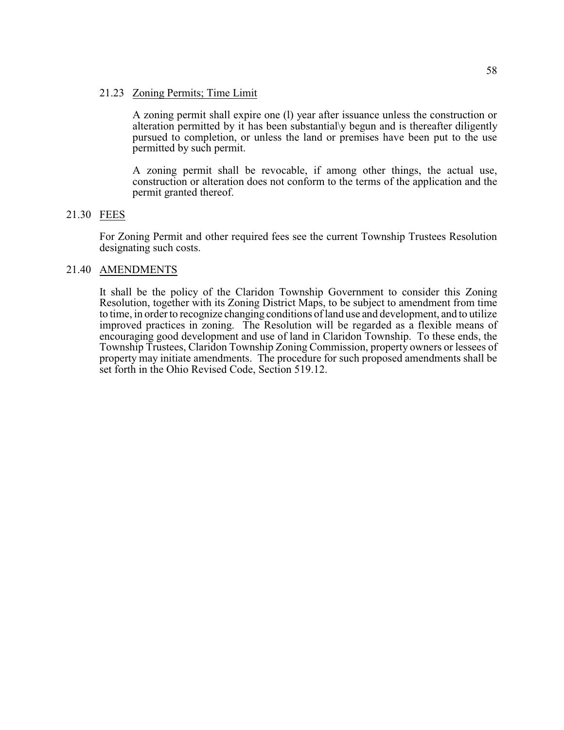#### 21.23 Zoning Permits; Time Limit

A zoning permit shall expire one (l) year after issuance unless the construction or alteration permitted by it has been substantial\y begun and is thereafter diligently pursued to completion, or unless the land or premises have been put to the use permitted by such permit.

A zoning permit shall be revocable, if among other things, the actual use, construction or alteration does not conform to the terms of the application and the permit granted thereof.

#### 21.30 FEES

For Zoning Permit and other required fees see the current Township Trustees Resolution designating such costs.

#### 21.40 AMENDMENTS

It shall be the policy of the Claridon Township Government to consider this Zoning Resolution, together with its Zoning District Maps, to be subject to amendment from time to time, in order to recognize changing conditions of land use and development, and to utilize improved practices in zoning. The Resolution will be regarded as a flexible means of encouraging good development and use of land in Claridon Township. To these ends, the Township Trustees, Claridon Township Zoning Commission, property owners or lessees of property may initiate amendments. The procedure for such proposed amendments shall be set forth in the Ohio Revised Code, Section 519.12.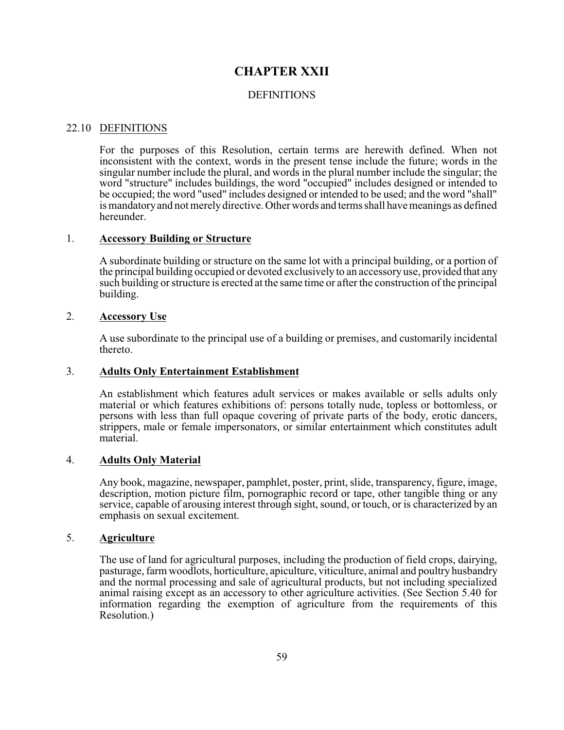# **CHAPTER XXII**

#### DEFINITIONS

#### 22.10 DEFINITIONS

For the purposes of this Resolution, certain terms are herewith defined. When not inconsistent with the context, words in the present tense include the future; words in the singular number include the plural, and words in the plural number include the singular; the word "structure" includes buildings, the word "occupied" includes designed or intended to be occupied; the word "used" includes designed or intended to be used; and the word "shall" is mandatory and not merely directive. Other words and terms shall have meanings as defined hereunder.

#### 1. **Accessory Building or Structure**

A subordinate building or structure on the same lot with a principal building, or a portion of the principal building occupied or devoted exclusively to an accessoryuse, provided that any such building or structure is erected at the same time or after the construction of the principal building.

#### 2. **Accessory Use**

A use subordinate to the principal use of a building or premises, and customarily incidental thereto.

#### 3. **Adults Only Entertainment Establishment**

An establishment which features adult services or makes available or sells adults only material or which features exhibitions of: persons totally nude, topless or bottomless, or persons with less than full opaque covering of private parts of the body, erotic dancers, strippers, male or female impersonators, or similar entertainment which constitutes adult material.

#### 4. **Adults Only Material**

Any book, magazine, newspaper, pamphlet, poster, print, slide, transparency, figure, image, description, motion picture film, pornographic record or tape, other tangible thing or any service, capable of arousing interest through sight, sound, or touch, or is characterized by an emphasis on sexual excitement.

#### 5. **Agriculture**

The use of land for agricultural purposes, including the production of field crops, dairying, pasturage, farm woodlots, horticulture, apiculture, viticulture, animal and poultry husbandry and the normal processing and sale of agricultural products, but not including specialized animal raising except as an accessory to other agriculture activities. (See Section 5.40 for information regarding the exemption of agriculture from the requirements of this Resolution.)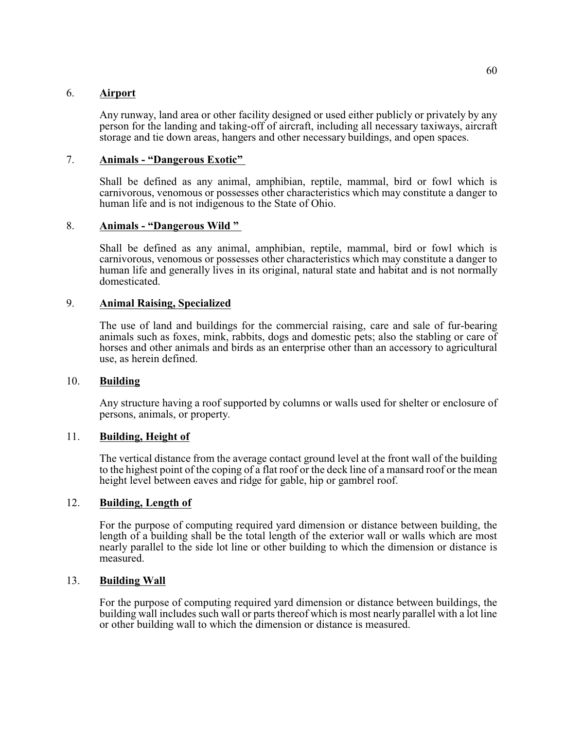#### 6. **Airport**

Any runway, land area or other facility designed or used either publicly or privately by any person for the landing and taking-off of aircraft, including all necessary taxiways, aircraft storage and tie down areas, hangers and other necessary buildings, and open spaces.

## 7. **Animals - "Dangerous Exotic"**

Shall be defined as any animal, amphibian, reptile, mammal, bird or fowl which is carnivorous, venomous or possesses other characteristics which may constitute a danger to human life and is not indigenous to the State of Ohio.

# 8. **Animals - "Dangerous Wild "**

Shall be defined as any animal, amphibian, reptile, mammal, bird or fowl which is carnivorous, venomous or possesses other characteristics which may constitute a danger to human life and generally lives in its original, natural state and habitat and is not normally domesticated.

## 9. **Animal Raising, Specialized**

The use of land and buildings for the commercial raising, care and sale of fur-bearing animals such as foxes, mink, rabbits, dogs and domestic pets; also the stabling or care of horses and other animals and birds as an enterprise other than an accessory to agricultural use, as herein defined.

#### 10. **Building**

Any structure having a roof supported by columns or walls used for shelter or enclosure of persons, animals, or property.

#### 11. **Building, Height of**

The vertical distance from the average contact ground level at the front wall of the building to the highest point of the coping of a flat roof or the deck line of a mansard roof or the mean height level between eaves and ridge for gable, hip or gambrel roof.

#### 12. **Building, Length of**

For the purpose of computing required yard dimension or distance between building, the length of a building shall be the total length of the exterior wall or walls which are most nearly parallel to the side lot line or other building to which the dimension or distance is measured.

#### 13. **Building Wall**

For the purpose of computing required yard dimension or distance between buildings, the building wall includes such wall or parts thereof which is most nearly parallel with a lot line or other building wall to which the dimension or distance is measured.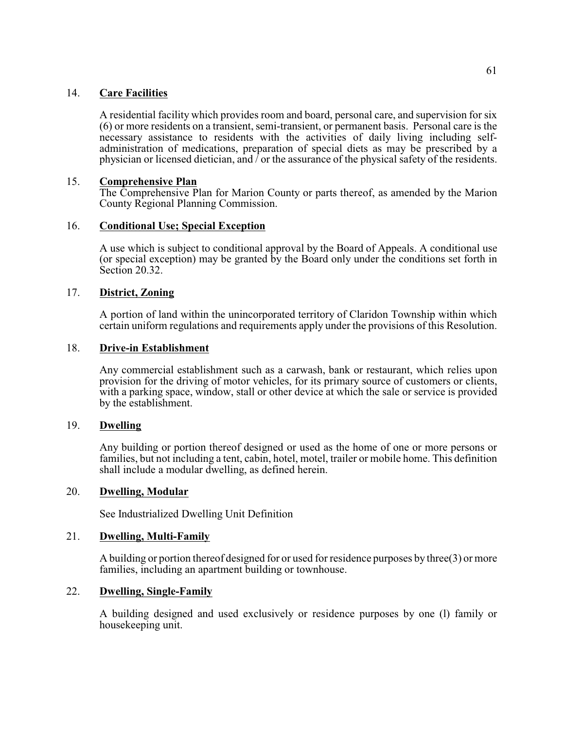## 14. **Care Facilities**

A residential facility which provides room and board, personal care, and supervision for six (6) or more residents on a transient, semi-transient, or permanent basis. Personal care is the necessary assistance to residents with the activities of daily living including selfadministration of medications, preparation of special diets as may be prescribed by a physician or licensed dietician, and / or the assurance of the physical safety of the residents.

#### 15. **Comprehensive Plan**

The Comprehensive Plan for Marion County or parts thereof, as amended by the Marion County Regional Planning Commission.

## 16. **Conditional Use; Special Exception**

A use which is subject to conditional approval by the Board of Appeals. A conditional use (or special exception) may be granted by the Board only under the conditions set forth in Section 20.32.

## 17. **District, Zoning**

A portion of land within the unincorporated territory of Claridon Township within which certain uniform regulations and requirements apply under the provisions of this Resolution.

#### 18. **Drive-in Establishment**

Any commercial establishment such as a carwash, bank or restaurant, which relies upon provision for the driving of motor vehicles, for its primary source of customers or clients, with a parking space, window, stall or other device at which the sale or service is provided by the establishment.

#### 19. **Dwelling**

Any building or portion thereof designed or used as the home of one or more persons or families, but not including a tent, cabin, hotel, motel, trailer or mobile home. This definition shall include a modular dwelling, as defined herein.

#### 20. **Dwelling, Modular**

See Industrialized Dwelling Unit Definition

#### 21. **Dwelling, Multi-Family**

A building or portion thereof designed for or used for residence purposes by three(3) or more families, including an apartment building or townhouse.

#### 22. **Dwelling, Single-Family**

A building designed and used exclusively or residence purposes by one (l) family or housekeeping unit.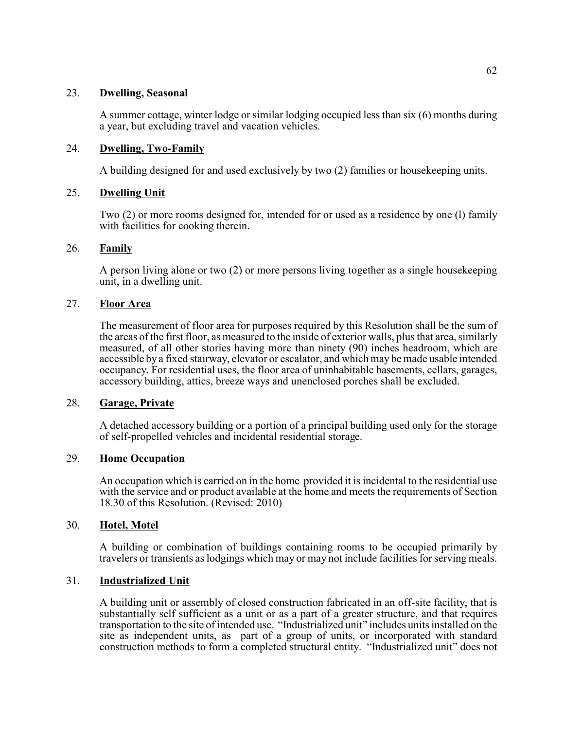#### 23. **Dwelling, Seasonal**

A summer cottage, winter lodge or similar lodging occupied less than six (6) months during a year, but excluding travel and vacation vehicles.

## 24. **Dwelling, Two-Family**

A building designed for and used exclusively by two (2) families or housekeeping units.

## 25. **Dwelling Unit**

Two (2) or more rooms designed for, intended for or used as a residence by one (l) family with facilities for cooking therein.

## 26. **Family**

A person living alone or two (2) or more persons living together as a single housekeeping unit, in a dwelling unit.

## 27. **Floor Area**

The measurement of floor area for purposes required by this Resolution shall be the sum of the areas of the first floor, as measured to the inside of exterior walls, plus that area, similarly measured, of all other stories having more than ninety (90) inches headroom, which are accessible by a fixed stairway, elevator or escalator, and which may be made usable intended occupancy. For residential uses, the floor area of uninhabitable basements, cellars, garages, accessory building, attics, breeze ways and unenclosed porches shall be excluded.

#### 28. **Garage, Private**

A detached accessory building or a portion of a principal building used only for the storage of self-propelled vehicles and incidental residential storage.

#### 29. **Home Occupation**

An occupation which is carried on in the home provided it is incidental to the residential use with the service and or product available at the home and meets the requirements of Section 18.30 of this Resolution. (Revised: 2010)

#### 30. **Hotel, Motel**

A building or combination of buildings containing rooms to be occupied primarily by travelers or transients as lodgings which may or may not include facilities for serving meals.

# 31. **Industrialized Unit**

A building unit or assembly of closed construction fabricated in an off-site facility, that is substantially self sufficient as a unit or as a part of a greater structure, and that requires transportation to the site of intended use. "Industrialized unit" includes units installed on the site as independent units, as part of a group of units, or incorporated with standard construction methods to form a completed structural entity. "Industrialized unit" does not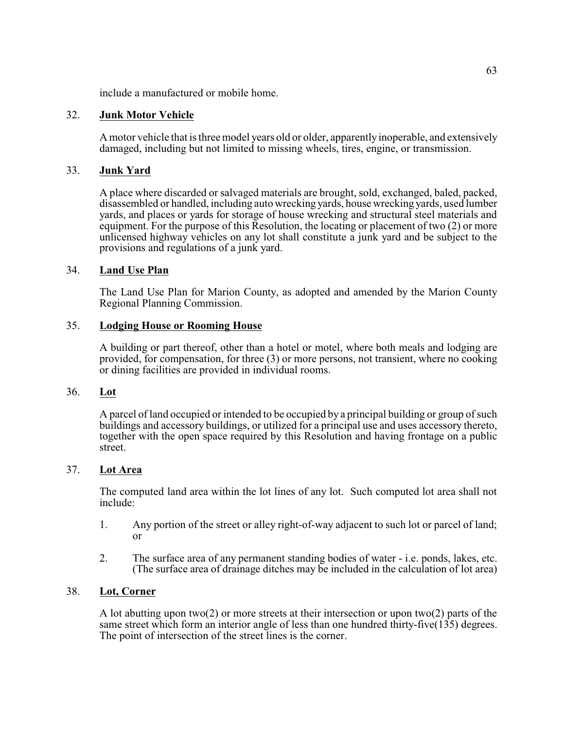include a manufactured or mobile home.

#### 32. **Junk Motor Vehicle**

A motor vehicle that is three model years old or older, apparentlyinoperable, and extensively damaged, including but not limited to missing wheels, tires, engine, or transmission.

#### 33. **Junk Yard**

A place where discarded or salvaged materials are brought, sold, exchanged, baled, packed, disassembled or handled, including auto wrecking yards, house wrecking yards, used lumber yards, and places or yards for storage of house wrecking and structural steel materials and equipment. For the purpose of this Resolution, the locating or placement of two (2) or more unlicensed highway vehicles on any lot shall constitute a junk yard and be subject to the provisions and regulations of a junk yard.

#### 34. **Land Use Plan**

The Land Use Plan for Marion County, as adopted and amended by the Marion County Regional Planning Commission.

## 35. **Lodging House or Rooming House**

A building or part thereof, other than a hotel or motel, where both meals and lodging are provided, for compensation, for three (3) or more persons, not transient, where no cooking or dining facilities are provided in individual rooms.

#### 36. **Lot**

A parcel of land occupied or intended to be occupied by a principal building or group of such buildings and accessory buildings, or utilized for a principal use and uses accessory thereto, together with the open space required by this Resolution and having frontage on a public street.

#### 37. **Lot Area**

The computed land area within the lot lines of any lot. Such computed lot area shall not include:

- 1. Any portion of the street or alley right-of-way adjacent to such lot or parcel of land; or
- 2. The surface area of any permanent standing bodies of water i.e. ponds, lakes, etc. (The surface area of drainage ditches may be included in the calculation of lot area)

#### 38. **Lot, Corner**

A lot abutting upon two(2) or more streets at their intersection or upon two(2) parts of the same street which form an interior angle of less than one hundred thirty-five(135) degrees. The point of intersection of the street lines is the corner.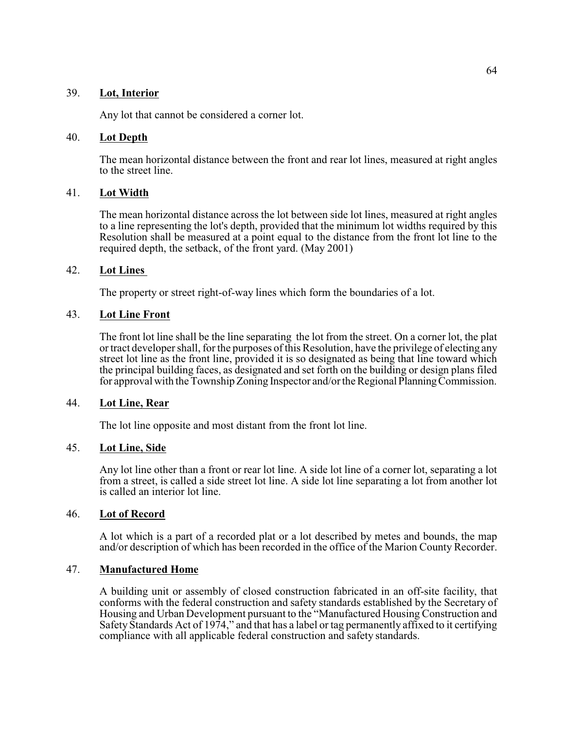## 39. **Lot, Interior**

Any lot that cannot be considered a corner lot.

#### 40. **Lot Depth**

The mean horizontal distance between the front and rear lot lines, measured at right angles to the street line.

## 41. **Lot Width**

The mean horizontal distance across the lot between side lot lines, measured at right angles to a line representing the lot's depth, provided that the minimum lot widths required by this Resolution shall be measured at a point equal to the distance from the front lot line to the required depth, the setback, of the front yard. (May 2001)

## 42. **Lot Lines**

The property or street right-of-way lines which form the boundaries of a lot.

## 43. **Lot Line Front**

The front lot line shall be the line separating the lot from the street. On a corner lot, the plat or tract developer shall, for the purposes of this Resolution, have the privilege of electing any street lot line as the front line, provided it is so designated as being that line toward which the principal building faces, as designated and set forth on the building or design plans filed for approval with the Township Zoning Inspector and/or the Regional Planning Commission.

### 44. **Lot Line, Rear**

The lot line opposite and most distant from the front lot line.

# 45. **Lot Line, Side**

Any lot line other than a front or rear lot line. A side lot line of a corner lot, separating a lot from a street, is called a side street lot line. A side lot line separating a lot from another lot is called an interior lot line.

#### 46. **Lot of Record**

A lot which is a part of a recorded plat or a lot described by metes and bounds, the map and/or description of which has been recorded in the office of the Marion County Recorder.

# 47. **Manufactured Home**

A building unit or assembly of closed construction fabricated in an off-site facility, that conforms with the federal construction and safety standards established by the Secretary of Housing and Urban Development pursuant to the "Manufactured Housing Construction and Safety Standards Act of 1974," and that has a label or tag permanently affixed to it certifying compliance with all applicable federal construction and safety standards.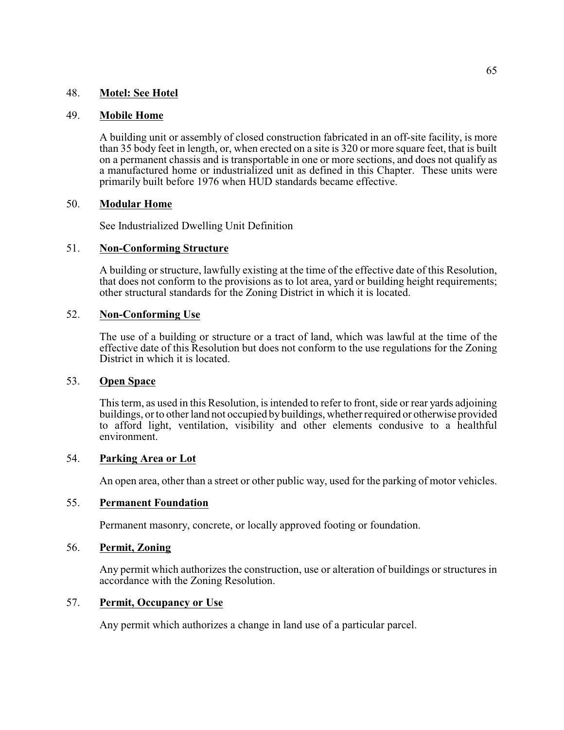#### 48. **Motel: See Hotel**

#### 49. **Mobile Home**

A building unit or assembly of closed construction fabricated in an off-site facility, is more than 35 body feet in length, or, when erected on a site is 320 or more square feet, that is built on a permanent chassis and is transportable in one or more sections, and does not qualify as a manufactured home or industrialized unit as defined in this Chapter. These units were primarily built before 1976 when HUD standards became effective.

#### 50. **Modular Home**

See Industrialized Dwelling Unit Definition

#### 51. **Non-Conforming Structure**

A building or structure, lawfully existing at the time of the effective date of this Resolution, that does not conform to the provisions as to lot area, yard or building height requirements; other structural standards for the Zoning District in which it is located.

## 52. **Non-Conforming Use**

The use of a building or structure or a tract of land, which was lawful at the time of the effective date of this Resolution but does not conform to the use regulations for the Zoning District in which it is located.

#### 53. **Open Space**

This term, as used in this Resolution, is intended to refer to front, side or rear yards adjoining buildings, or to other land not occupied by buildings, whether required or otherwise provided to afford light, ventilation, visibility and other elements condusive to a healthful environment.

#### 54. **Parking Area or Lot**

An open area, other than a street or other public way, used for the parking of motor vehicles.

## 55. **Permanent Foundation**

Permanent masonry, concrete, or locally approved footing or foundation.

# 56. **Permit, Zoning**

Any permit which authorizes the construction, use or alteration of buildings or structures in accordance with the Zoning Resolution.

#### 57. **Permit, Occupancy or Use**

Any permit which authorizes a change in land use of a particular parcel.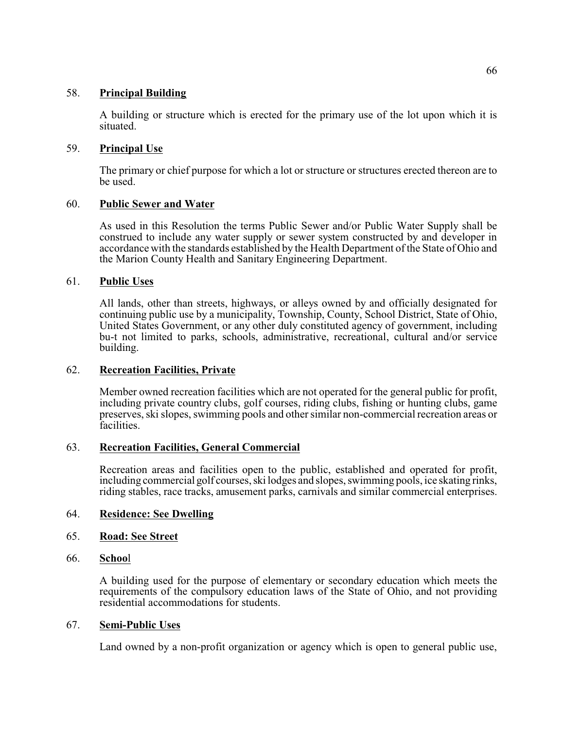#### 58. **Principal Building**

A building or structure which is erected for the primary use of the lot upon which it is situated.

## 59. **Principal Use**

The primary or chief purpose for which a lot or structure or structures erected thereon are to be used.

## 60. **Public Sewer and Water**

As used in this Resolution the terms Public Sewer and/or Public Water Supply shall be construed to include any water supply or sewer system constructed by and developer in accordance with the standards established by the Health Department of the State of Ohio and the Marion County Health and Sanitary Engineering Department.

## 61. **Public Uses**

All lands, other than streets, highways, or alleys owned by and officially designated for continuing public use by a municipality, Township, County, School District, State of Ohio, United States Government, or any other duly constituted agency of government, including bu-t not limited to parks, schools, administrative, recreational, cultural and/or service building.

#### 62. **Recreation Facilities, Private**

Member owned recreation facilities which are not operated for the general public for profit, including private country clubs, golf courses, riding clubs, fishing or hunting clubs, game preserves, ski slopes, swimming pools and other similar non-commercial recreation areas or facilities.

#### 63. **Recreation Facilities, General Commercial**

Recreation areas and facilities open to the public, established and operated for profit, including commercial golf courses, ski lodges and slopes, swimming pools, ice skating rinks, riding stables, race tracks, amusement parks, carnivals and similar commercial enterprises.

# 64. **Residence: See Dwelling**

#### 65. **Road: See Street**

#### 66. **Schoo**l

A building used for the purpose of elementary or secondary education which meets the requirements of the compulsory education laws of the State of Ohio, and not providing residential accommodations for students.

#### 67. **Semi-Public Uses**

Land owned by a non-profit organization or agency which is open to general public use,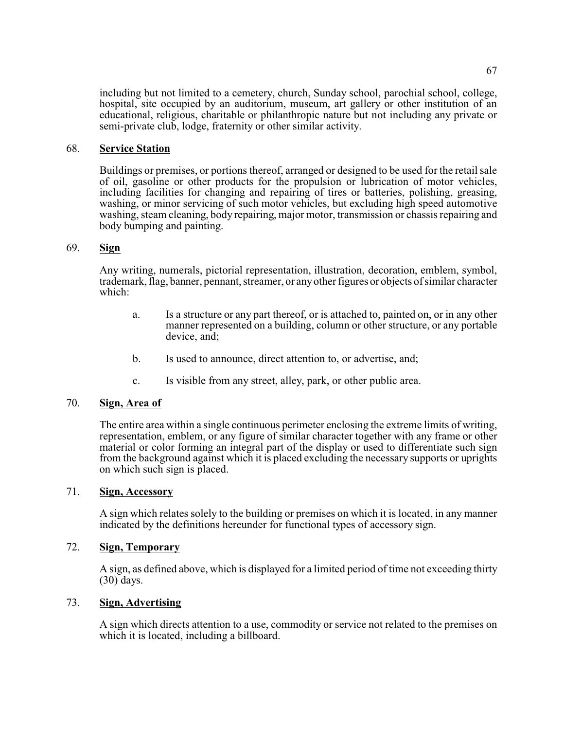including but not limited to a cemetery, church, Sunday school, parochial school, college, hospital, site occupied by an auditorium, museum, art gallery or other institution of an educational, religious, charitable or philanthropic nature but not including any private or semi-private club, lodge, fraternity or other similar activity.

#### 68. **Service Station**

Buildings or premises, or portions thereof, arranged or designed to be used for the retail sale of oil, gasoline or other products for the propulsion or lubrication of motor vehicles, including facilities for changing and repairing of tires or batteries, polishing, greasing, washing, or minor servicing of such motor vehicles, but excluding high speed automotive washing, steam cleaning, body repairing, major motor, transmission or chassis repairing and body bumping and painting.

## 69. **Sign**

Any writing, numerals, pictorial representation, illustration, decoration, emblem, symbol, trademark, flag, banner, pennant, streamer, or anyother figures or objects of similar character which:

- a. Is a structure or any part thereof, or is attached to, painted on, or in any other manner represented on a building, column or other structure, or any portable device, and;
- b. Is used to announce, direct attention to, or advertise, and;
- c. Is visible from any street, alley, park, or other public area.

# 70. **Sign, Area of**

The entire area within a single continuous perimeter enclosing the extreme limits of writing, representation, emblem, or any figure of similar character together with any frame or other material or color forming an integral part of the display or used to differentiate such sign from the background against which it is placed excluding the necessary supports or uprights on which such sign is placed.

#### 71. **Sign, Accessory**

A sign which relates solely to the building or premises on which it is located, in any manner indicated by the definitions hereunder for functional types of accessory sign.

# 72. **Sign, Temporary**

A sign, as defined above, which is displayed for a limited period of time not exceeding thirty (30) days.

## 73. **Sign, Advertising**

A sign which directs attention to a use, commodity or service not related to the premises on which it is located, including a billboard.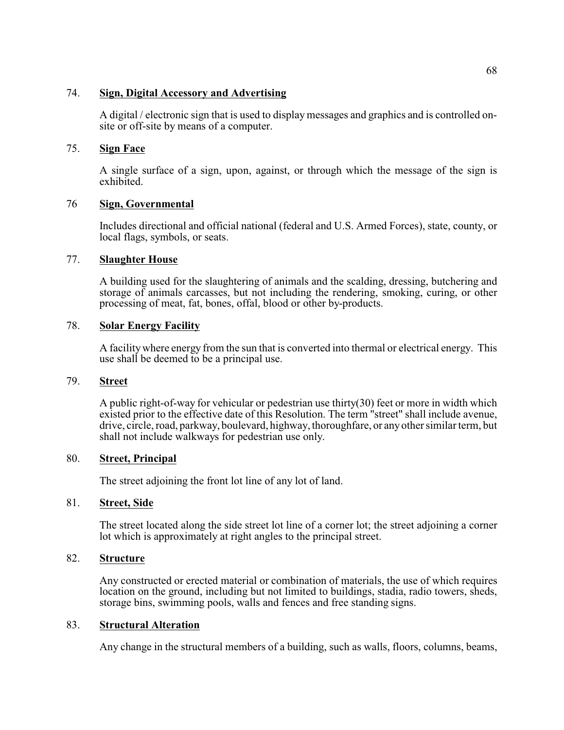#### 74. **Sign, Digital Accessory and Advertising**

A digital / electronic sign that is used to display messages and graphics and is controlled onsite or off-site by means of a computer.

# 75. **Sign Face**

A single surface of a sign, upon, against, or through which the message of the sign is exhibited.

## 76 **Sign, Governmental**

Includes directional and official national (federal and U.S. Armed Forces), state, county, or local flags, symbols, or seats.

## 77. **Slaughter House**

A building used for the slaughtering of animals and the scalding, dressing, butchering and storage of animals carcasses, but not including the rendering, smoking, curing, or other processing of meat, fat, bones, offal, blood or other by-products.

## 78. **Solar Energy Facility**

A facilitywhere energy from the sun that is converted into thermal or electrical energy. This use shall be deemed to be a principal use.

## 79. **Street**

A public right-of-way for vehicular or pedestrian use thirty(30) feet or more in width which existed prior to the effective date of this Resolution. The term "street" shall include avenue, drive, circle, road, parkway, boulevard, highway, thoroughfare, or any other similar term, but shall not include walkways for pedestrian use only.

#### 80. **Street, Principal**

The street adjoining the front lot line of any lot of land.

## 81. **Street, Side**

The street located along the side street lot line of a corner lot; the street adjoining a corner lot which is approximately at right angles to the principal street.

## 82. **Structure**

Any constructed or erected material or combination of materials, the use of which requires location on the ground, including but not limited to buildings, stadia, radio towers, sheds, storage bins, swimming pools, walls and fences and free standing signs.

#### 83. **Structural Alteration**

Any change in the structural members of a building, such as walls, floors, columns, beams,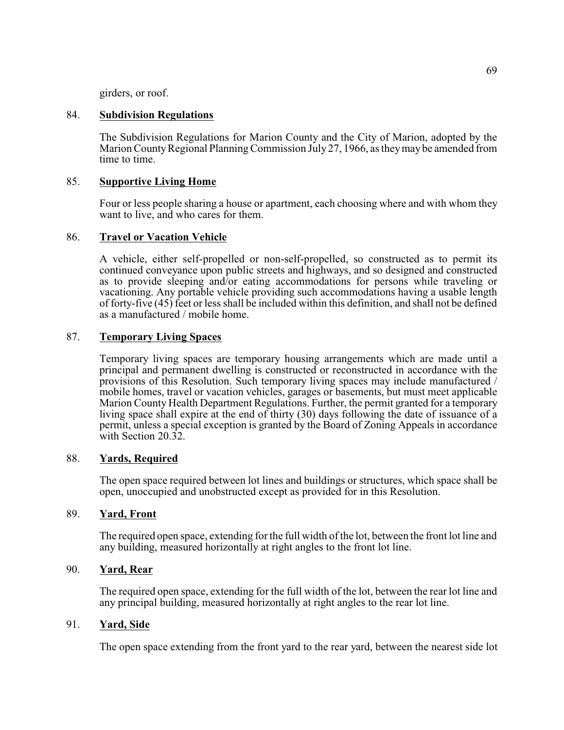girders, or roof.

### 84. **Subdivision Regulations**

The Subdivision Regulations for Marion County and the City of Marion, adopted by the Marion County Regional Planning Commission July 27, 1966, as they may be amended from time to time.

## 85. **Supportive Living Home**

Four or less people sharing a house or apartment, each choosing where and with whom they want to live, and who cares for them.

### 86. **Travel or Vacation Vehicle**

A vehicle, either self-propelled or non-self-propelled, so constructed as to permit its continued conveyance upon public streets and highways, and so designed and constructed as to provide sleeping and/or eating accommodations for persons while traveling or vacationing. Any portable vehicle providing such accommodations having a usable length of forty-five (45) feet or less shall be included within this definition, and shall not be defined as a manufactured / mobile home.

# 87. **Temporary Living Spaces**

Temporary living spaces are temporary housing arrangements which are made until a principal and permanent dwelling is constructed or reconstructed in accordance with the provisions of this Resolution. Such temporary living spaces may include manufactured / mobile homes, travel or vacation vehicles, garages or basements, but must meet applicable Marion County Health Department Regulations. Further, the permit granted for a temporary living space shall expire at the end of thirty (30) days following the date of issuance of a permit, unless a special exception is granted by the Board of Zoning Appeals in accordance with Section 20.32.

#### 88. **Yards, Required**

The open space required between lot lines and buildings or structures, which space shall be open, unoccupied and unobstructed except as provided for in this Resolution.

# 89. **Yard, Front**

The required open space, extending for the full width of the lot, between the front lot line and any building, measured horizontally at right angles to the front lot line.

## 90. **Yard, Rear**

The required open space, extending for the full width of the lot, between the rear lot line and any principal building, measured horizontally at right angles to the rear lot line.

# 91. **Yard, Side**

The open space extending from the front yard to the rear yard, between the nearest side lot